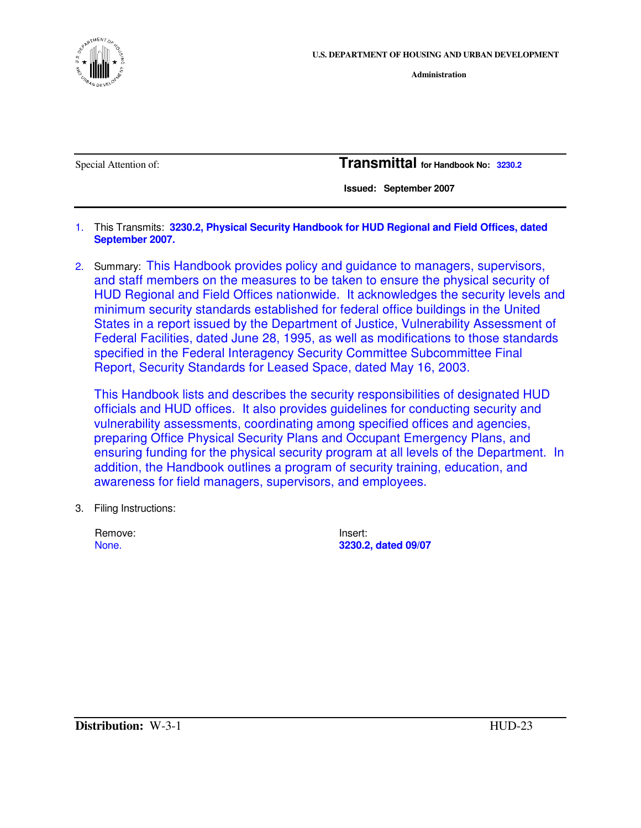

**Administration**

Special Attention of: **Transmittal for Handbook No: 3230.2**

 **Issued: September 2007** 

- 1. This Transmits: **3230.2, Physical Security Handbook for HUD Regional and Field Offices, dated September 2007.**
- 2. Summary: This Handbook provides policy and guidance to managers, supervisors, and staff members on the measures to be taken to ensure the physical security of HUD Regional and Field Offices nationwide. It acknowledges the security levels and minimum security standards established for federal office buildings in the United States in a report issued by the Department of Justice, Vulnerability Assessment of Federal Facilities, dated June 28, 1995, as well as modifications to those standards specified in the Federal Interagency Security Committee Subcommittee Final Report, Security Standards for Leased Space, dated May 16, 2003.

This Handbook lists and describes the security responsibilities of designated HUD officials and HUD offices. It also provides guidelines for conducting security and vulnerability assessments, coordinating among specified offices and agencies, preparing Office Physical Security Plans and Occupant Emergency Plans, and ensuring funding for the physical security program at all levels of the Department. In addition, the Handbook outlines a program of security training, education, and awareness for field managers, supervisors, and employees.

3. Filing Instructions:

| Remove: | Insert: |
|---------|---------|
| None.   | 3230.2  |

None. **3230.2, dated 09/07**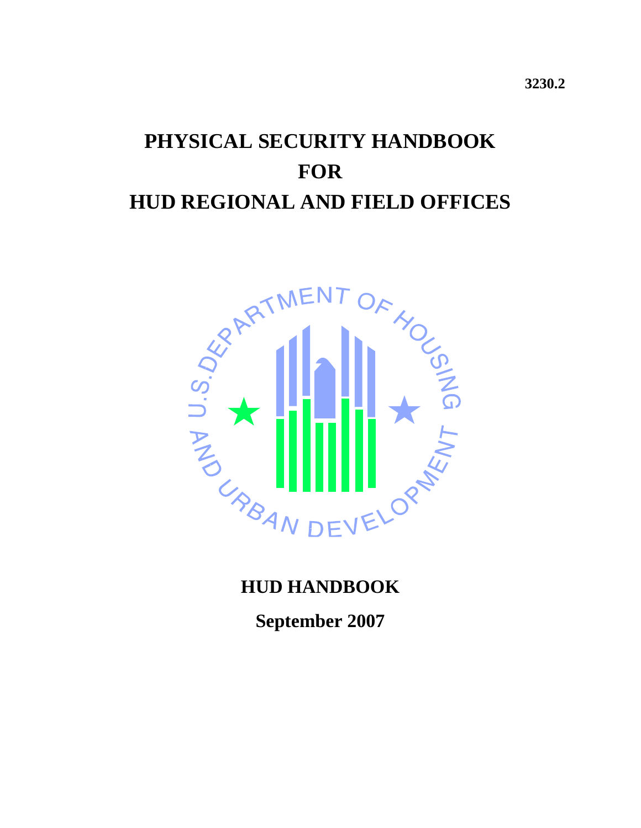# **PHYSICAL SECURITY HANDBOOK FOR HUD REGIONAL AND FIELD OFFICES**



## **HUD HANDBOOK**

**September 2007**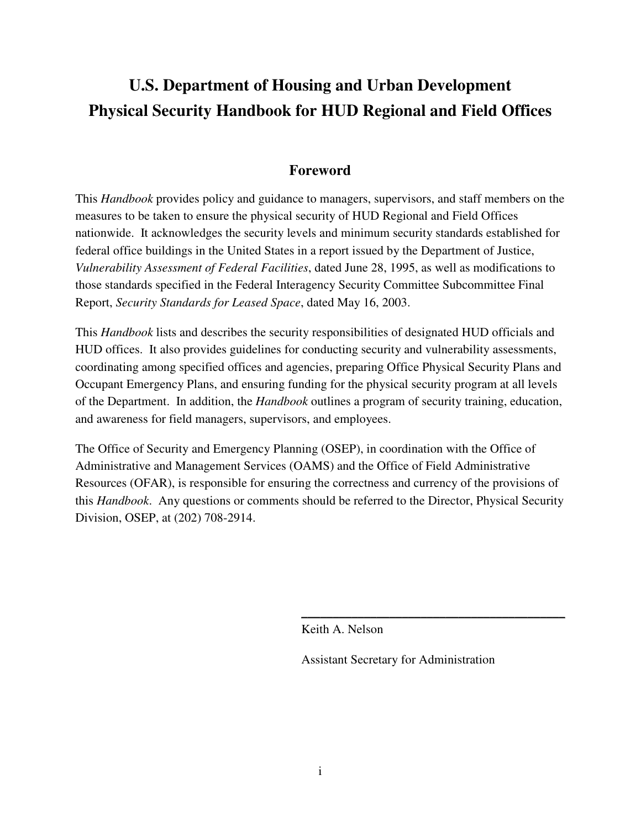## **U.S. Department of Housing and Urban Development Physical Security Handbook for HUD Regional and Field Offices**

### **Foreword**

This *Handbook* provides policy and guidance to managers, supervisors, and staff members on the measures to be taken to ensure the physical security of HUD Regional and Field Offices nationwide. It acknowledges the security levels and minimum security standards established for federal office buildings in the United States in a report issued by the Department of Justice, *Vulnerability Assessment of Federal Facilities*, dated June 28, 1995, as well as modifications to those standards specified in the Federal Interagency Security Committee Subcommittee Final Report, *Security Standards for Leased Space*, dated May 16, 2003.

This *Handbook* lists and describes the security responsibilities of designated HUD officials and HUD offices. It also provides guidelines for conducting security and vulnerability assessments, coordinating among specified offices and agencies, preparing Office Physical Security Plans and Occupant Emergency Plans, and ensuring funding for the physical security program at all levels of the Department. In addition, the *Handbook* outlines a program of security training, education, and awareness for field managers, supervisors, and employees.

The Office of Security and Emergency Planning (OSEP), in coordination with the Office of Administrative and Management Services (OAMS) and the Office of Field Administrative Resources (OFAR), is responsible for ensuring the correctness and currency of the provisions of this *Handbook*. Any questions or comments should be referred to the Director, Physical Security Division, OSEP, at (202) 708-2914.

Keith A. Nelson

Assistant Secretary for Administration

 $\frac{1}{2}$  , and the set of the set of the set of the set of the set of the set of the set of the set of the set of the set of the set of the set of the set of the set of the set of the set of the set of the set of the set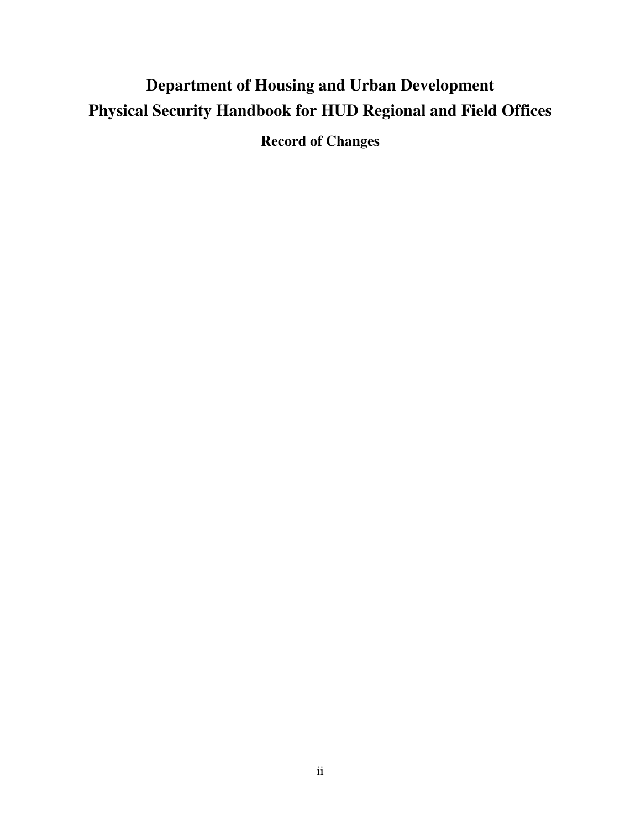## **Department of Housing and Urban Development Physical Security Handbook for HUD Regional and Field Offices**

**Record of Changes**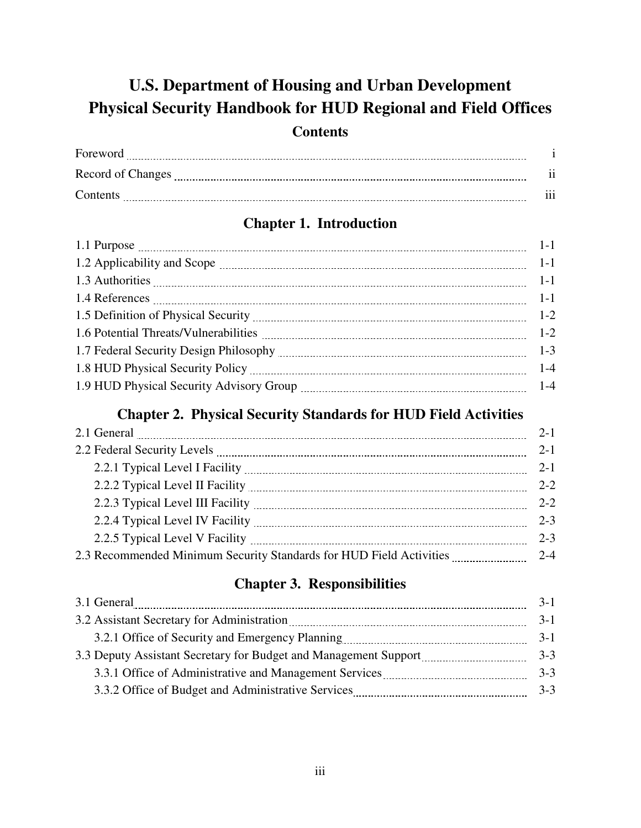## **U.S. Department of Housing and Urban Development Physical Security Handbook for HUD Regional and Field Offices Contents**

| Foreword          |                 |
|-------------------|-----------------|
| Record of Changes | $\cdot$ $\cdot$ |
| Contents          | $\cdots$        |

## **Chapter 1. Introduction**

### **Chapter 2. Physical Security Standards for HUD Field Activities**

| 2.1 General <b>Contract Contract Contract Contract Contract Contract Contract Contract Contract Contract Contract Contract Contract Contract Contract Contract Contract Contract Contract Contract Contract Contract Contract Co</b> | $2 - 1$ |
|--------------------------------------------------------------------------------------------------------------------------------------------------------------------------------------------------------------------------------------|---------|
| 2.2 Federal Security Levels <b>Manual According to the Contract Office</b> Security Levels                                                                                                                                           | $2 - 1$ |
|                                                                                                                                                                                                                                      | $2 - 1$ |
| 2.2.2 Typical Level II Facility <b>Martin Marshall</b> 2.2.2 Typical Level II Facility                                                                                                                                               | $2 - 2$ |
|                                                                                                                                                                                                                                      | $2 - 2$ |
|                                                                                                                                                                                                                                      | $2 - 3$ |
|                                                                                                                                                                                                                                      | $2 - 3$ |
|                                                                                                                                                                                                                                      | $2 - 4$ |

## **Chapter 3. Responsibilities**

| 3.1 General                                                                                                                                                                                                                          | $3 - 1$ |
|--------------------------------------------------------------------------------------------------------------------------------------------------------------------------------------------------------------------------------------|---------|
| 3.2 Assistant Secretary for Administration <b>Material Contract Contract Contract Contract Contract Contract Contract Contract Contract Contract Contract Contract Contract Contract Contract Contract Contract Contract Contrac</b> | $3-1$   |
|                                                                                                                                                                                                                                      | $3-1$   |
| 3.3 Deputy Assistant Secretary for Budget and Management Support manufactured and Management Support                                                                                                                                 |         |
| 3.3.1 Office of Administrative and Management Services                                                                                                                                                                               | $3 - 3$ |
|                                                                                                                                                                                                                                      | $3 - 3$ |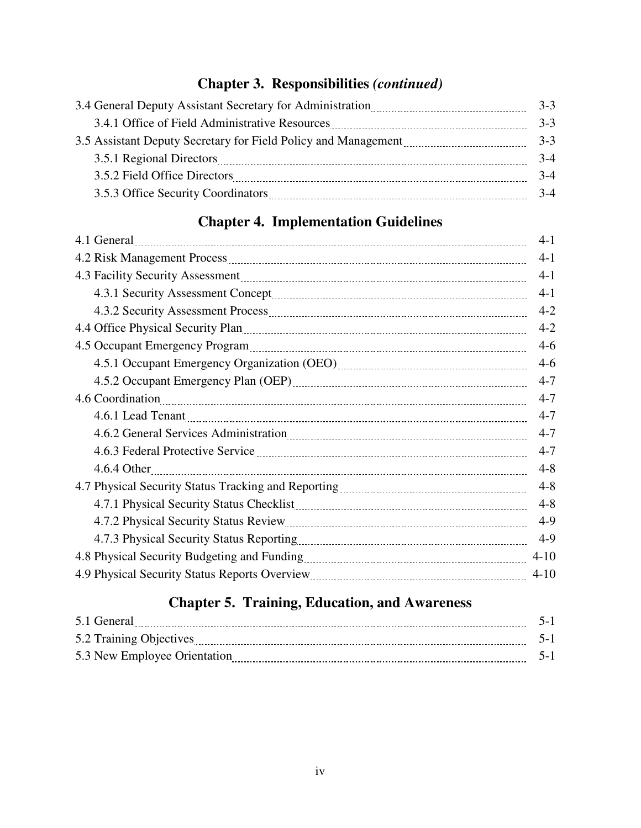## **Chapter 3. Responsibilities** *(continued)*

|                                                                                                                                                                                                                                                    | $3 - 3$ |
|----------------------------------------------------------------------------------------------------------------------------------------------------------------------------------------------------------------------------------------------------|---------|
| 3.4.1 Office of Field Administrative Resources [11] [12] [13] [14.1] Office of Field Administrative Resources                                                                                                                                      | $3 - 3$ |
| 3.5 Assistant Deputy Secretary for Field Policy and Management manufactured and Management                                                                                                                                                         | $3-3$   |
| 3.5.1 Regional Directors <b>Manual According to the Contract Office</b> Directors <b>Manual According to the Contract Office</b> Directors <b>Manual According to the Contract Office</b> Directors <b>Manual According to the Contract Office</b> | $3-4$   |
| 3.5.2 Field Office Directors                                                                                                                                                                                                                       | $3-4$   |
|                                                                                                                                                                                                                                                    | $3-4$   |

## **Chapter 4. Implementation Guidelines**

| 4.1 General 2000 Contract 2000 Contract 2000 Contract 2000 Contract 2000 Contract 2000 Contract 2000 Contract 2000 Contract 2000 Contract 2000 Contract 2000 Contract 2000 Contract 2000 Contract 2000 Contract 2000 Contract        | $4-1$    |
|--------------------------------------------------------------------------------------------------------------------------------------------------------------------------------------------------------------------------------------|----------|
| 4.2 Risk Management Process <b>Management Process</b> 2004 and 2014 and 2015 and 2016 and 2016 and 2016 and 2016 and 2016 and 2016 and 2016 and 2016 and 2016 and 2016 and 2016 and 2016 and 2016 and 2016 and 2016 and 2016 and 20  | $4-1$    |
|                                                                                                                                                                                                                                      | $4-1$    |
|                                                                                                                                                                                                                                      | $4 - 1$  |
|                                                                                                                                                                                                                                      | $4 - 2$  |
| 4.4 Office Physical Security Plan 2000 Martin Communication and Communication of the Physical Security Plan                                                                                                                          | $4 - 2$  |
|                                                                                                                                                                                                                                      | $4-6$    |
|                                                                                                                                                                                                                                      | $4-6$    |
|                                                                                                                                                                                                                                      | $4 - 7$  |
|                                                                                                                                                                                                                                      | $4 - 7$  |
| 4.6.1 Lead Tenant <u>manual contract and the set of the set of the set of the set of the set of the set of the set of the set of the set of the set of the set of the set of the set of the set of the set of the set of the set</u> | $4 - 7$  |
|                                                                                                                                                                                                                                      | $4 - 7$  |
| 4.6.3 Federal Protective Service <b>Manual Accord Protective Service</b> Manual Accord Protective Service <b>Manual Accord Protective Service</b>                                                                                    | $4 - 7$  |
|                                                                                                                                                                                                                                      | $4 - 8$  |
|                                                                                                                                                                                                                                      | $4 - 8$  |
|                                                                                                                                                                                                                                      | $4 - 8$  |
| 4.7.2 Physical Security Status Review                                                                                                                                                                                                | $4-9$    |
|                                                                                                                                                                                                                                      | $4-9$    |
|                                                                                                                                                                                                                                      | $4 - 10$ |
|                                                                                                                                                                                                                                      | $4 - 10$ |
|                                                                                                                                                                                                                                      |          |

## **Chapter 5. Training, Education, and Awareness**

| 5.1 General                  |  |
|------------------------------|--|
| 5.2 Training Objectives      |  |
| 5.3 New Employee Orientation |  |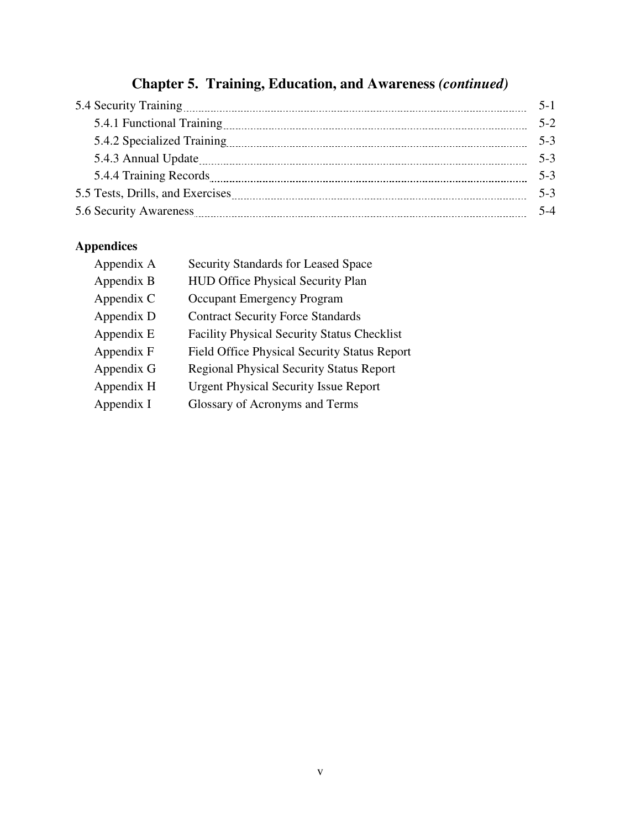## **Chapter 5. Training, Education, and Awareness** *(continued)*

|                            | $5-1$   |
|----------------------------|---------|
| 5.4.1 Functional Training  | $5-2$   |
| 5.4.2 Specialized Training | $5 - 3$ |
|                            | $5 - 3$ |
|                            | $5 - 3$ |
|                            | $5-3$   |
| 5.6 Security Awareness     | $5 - 4$ |

## **Appendices**

| Appendix A | Security Standards for Leased Space                 |
|------------|-----------------------------------------------------|
| Appendix B | <b>HUD Office Physical Security Plan</b>            |
| Appendix C | <b>Occupant Emergency Program</b>                   |
| Appendix D | <b>Contract Security Force Standards</b>            |
| Appendix E | <b>Facility Physical Security Status Checklist</b>  |
| Appendix F | <b>Field Office Physical Security Status Report</b> |
| Appendix G | <b>Regional Physical Security Status Report</b>     |
| Appendix H | <b>Urgent Physical Security Issue Report</b>        |
| Appendix I | Glossary of Acronyms and Terms                      |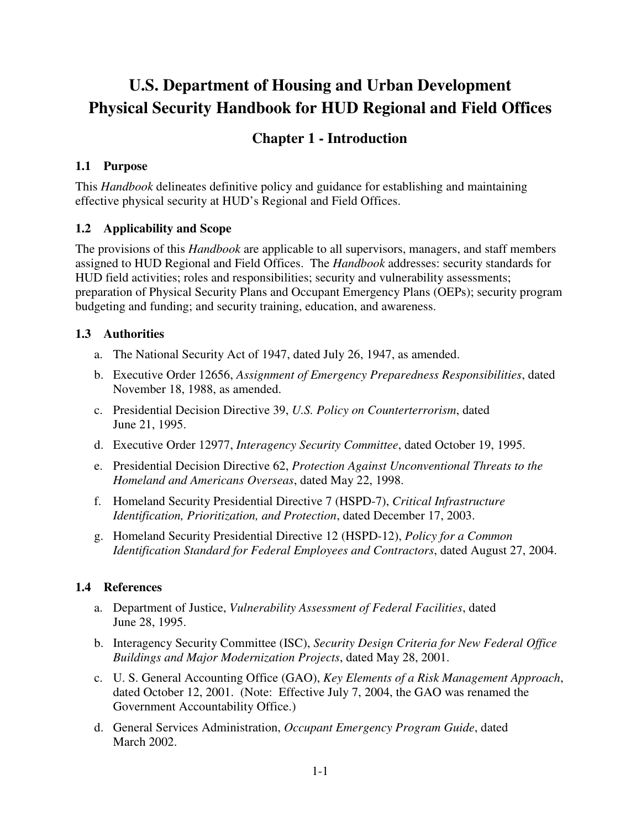## **U.S. Department of Housing and Urban Development Physical Security Handbook for HUD Regional and Field Offices**

### **Chapter 1 - Introduction**

#### **1.1 Purpose**

This *Handbook* delineates definitive policy and guidance for establishing and maintaining effective physical security at HUD's Regional and Field Offices.

#### **1.2 Applicability and Scope**

The provisions of this *Handbook* are applicable to all supervisors, managers, and staff members assigned to HUD Regional and Field Offices. The *Handbook* addresses: security standards for HUD field activities; roles and responsibilities; security and vulnerability assessments; preparation of Physical Security Plans and Occupant Emergency Plans (OEPs); security program budgeting and funding; and security training, education, and awareness.

#### **1.3 Authorities**

- a. The National Security Act of 1947, dated July 26, 1947, as amended.
- b. Executive Order 12656, *Assignment of Emergency Preparedness Responsibilities*, dated November 18, 1988, as amended.
- c. Presidential Decision Directive 39, *U.S. Policy on Counterterrorism*, dated June 21, 1995.
- d. Executive Order 12977, *Interagency Security Committee*, dated October 19, 1995.
- e. Presidential Decision Directive 62, *Protection Against Unconventional Threats to the Homeland and Americans Overseas*, dated May 22, 1998.
- f. Homeland Security Presidential Directive 7 (HSPD-7), *Critical Infrastructure Identification, Prioritization, and Protection*, dated December 17, 2003.
- g. Homeland Security Presidential Directive 12 (HSPD-12), *Policy for a Common Identification Standard for Federal Employees and Contractors*, dated August 27, 2004.

#### **1.4 References**

- a. Department of Justice, *Vulnerability Assessment of Federal Facilities*, dated June 28, 1995.
- b. Interagency Security Committee (ISC), *Security Design Criteria for New Federal Office Buildings and Major Modernization Projects*, dated May 28, 2001.
- c. U. S. General Accounting Office (GAO), *Key Elements of a Risk Management Approach*, dated October 12, 2001. (Note: Effective July 7, 2004, the GAO was renamed the Government Accountability Office.)
- d. General Services Administration, *Occupant Emergency Program Guide*, dated March 2002.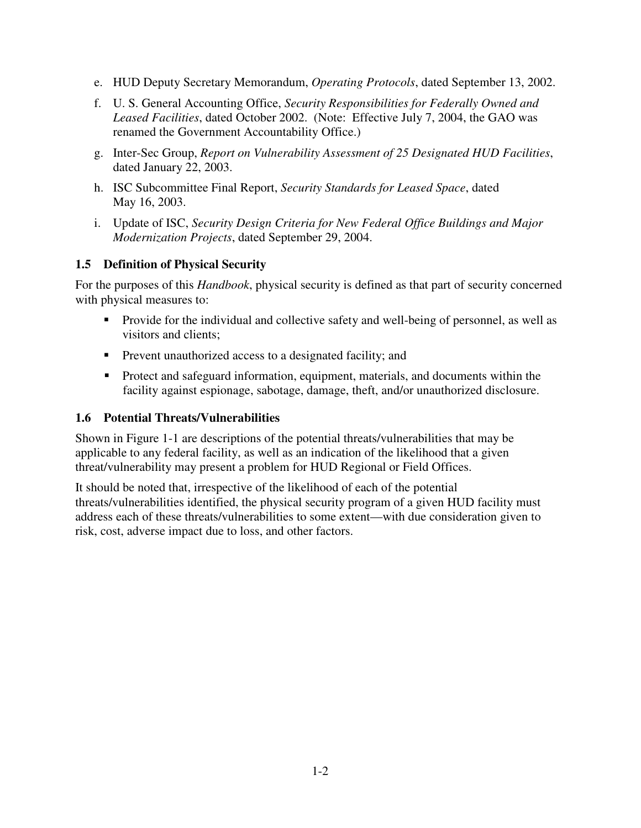- e. HUD Deputy Secretary Memorandum, *Operating Protocols*, dated September 13, 2002.
- f. U. S. General Accounting Office, *Security Responsibilities for Federally Owned and Leased Facilities*, dated October 2002. (Note: Effective July 7, 2004, the GAO was renamed the Government Accountability Office.)
- g. Inter-Sec Group, *Report on Vulnerability Assessment of 25 Designated HUD Facilities*, dated January 22, 2003.
- h. ISC Subcommittee Final Report, *Security Standards for Leased Space*, dated May 16, 2003.
- i. Update of ISC, *Security Design Criteria for New Federal Office Buildings and Major Modernization Projects*, dated September 29, 2004.

#### **1.5 Definition of Physical Security**

For the purposes of this *Handbook*, physical security is defined as that part of security concerned with physical measures to:

- **Provide for the individual and collective safety and well-being of personnel, as well as** visitors and clients;
- Prevent unauthorized access to a designated facility; and
- **Protect and safeguard information, equipment, materials, and documents within the** facility against espionage, sabotage, damage, theft, and/or unauthorized disclosure.

#### **1.6 Potential Threats/Vulnerabilities**

Shown in Figure 1-1 are descriptions of the potential threats/vulnerabilities that may be applicable to any federal facility, as well as an indication of the likelihood that a given threat/vulnerability may present a problem for HUD Regional or Field Offices.

It should be noted that, irrespective of the likelihood of each of the potential threats/vulnerabilities identified, the physical security program of a given HUD facility must address each of these threats/vulnerabilities to some extent—with due consideration given to risk, cost, adverse impact due to loss, and other factors.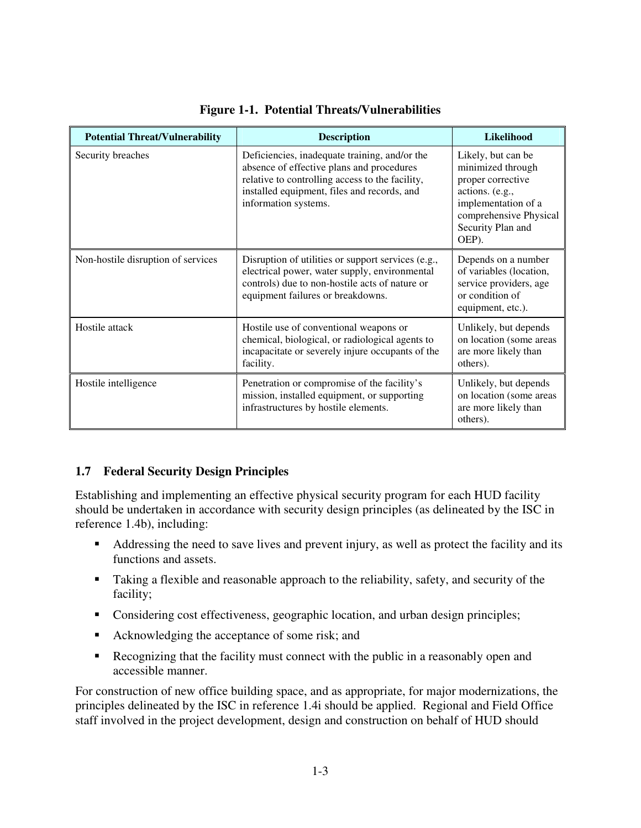| <b>Potential Threat/Vulnerability</b> | <b>Description</b>                                                                                                                                                                                                   | Likelihood                                                                                                                                                     |
|---------------------------------------|----------------------------------------------------------------------------------------------------------------------------------------------------------------------------------------------------------------------|----------------------------------------------------------------------------------------------------------------------------------------------------------------|
| Security breaches                     | Deficiencies, inadequate training, and/or the<br>absence of effective plans and procedures<br>relative to controlling access to the facility,<br>installed equipment, files and records, and<br>information systems. | Likely, but can be<br>minimized through<br>proper corrective<br>actions. (e.g.,<br>implementation of a<br>comprehensive Physical<br>Security Plan and<br>OEP). |
| Non-hostile disruption of services    | Disruption of utilities or support services (e.g.,<br>electrical power, water supply, environmental<br>controls) due to non-hostile acts of nature or<br>equipment failures or breakdowns.                           | Depends on a number<br>of variables (location,<br>service providers, age<br>or condition of<br>equipment, etc.).                                               |
| Hostile attack                        | Hostile use of conventional weapons or<br>chemical, biological, or radiological agents to<br>incapacitate or severely injure occupants of the<br>facility.                                                           | Unlikely, but depends<br>on location (some areas<br>are more likely than<br>others).                                                                           |
| Hostile intelligence                  | Penetration or compromise of the facility's<br>mission, installed equipment, or supporting<br>infrastructures by hostile elements.                                                                                   | Unlikely, but depends<br>on location (some areas<br>are more likely than<br>others).                                                                           |

#### **Figure 1-1. Potential Threats/Vulnerabilities**

#### **1.7 Federal Security Design Principles**

Establishing and implementing an effective physical security program for each HUD facility should be undertaken in accordance with security design principles (as delineated by the ISC in reference 1.4b), including:

- Addressing the need to save lives and prevent injury, as well as protect the facility and its functions and assets.
- Taking a flexible and reasonable approach to the reliability, safety, and security of the facility;
- Considering cost effectiveness, geographic location, and urban design principles;
- Acknowledging the acceptance of some risk; and
- Recognizing that the facility must connect with the public in a reasonably open and accessible manner.

For construction of new office building space, and as appropriate, for major modernizations, the principles delineated by the ISC in reference 1.4i should be applied. Regional and Field Office staff involved in the project development, design and construction on behalf of HUD should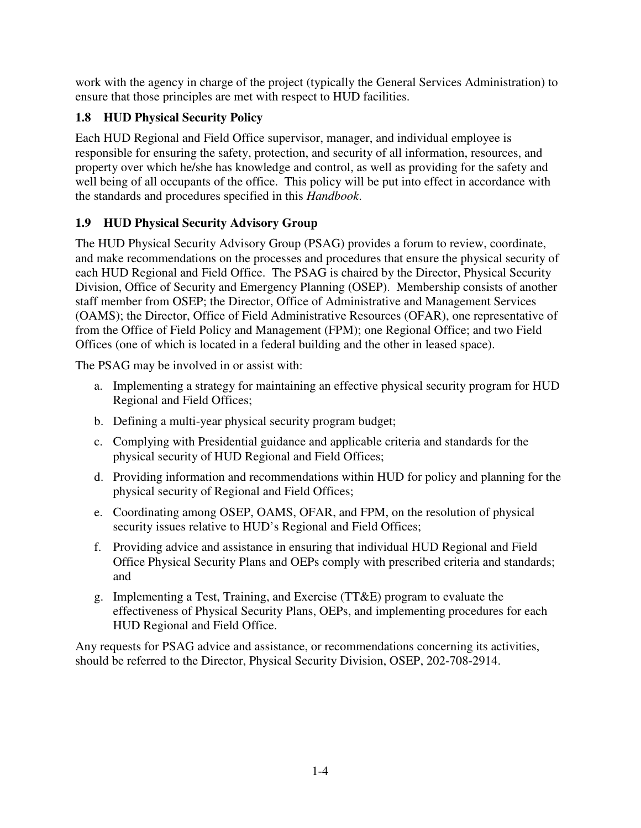work with the agency in charge of the project (typically the General Services Administration) to ensure that those principles are met with respect to HUD facilities.

### **1.8 HUD Physical Security Policy**

Each HUD Regional and Field Office supervisor, manager, and individual employee is responsible for ensuring the safety, protection, and security of all information, resources, and property over which he/she has knowledge and control, as well as providing for the safety and well being of all occupants of the office. This policy will be put into effect in accordance with the standards and procedures specified in this *Handbook*.

### **1.9 HUD Physical Security Advisory Group**

The HUD Physical Security Advisory Group (PSAG) provides a forum to review, coordinate, and make recommendations on the processes and procedures that ensure the physical security of each HUD Regional and Field Office. The PSAG is chaired by the Director, Physical Security Division, Office of Security and Emergency Planning (OSEP). Membership consists of another staff member from OSEP; the Director, Office of Administrative and Management Services (OAMS); the Director, Office of Field Administrative Resources (OFAR), one representative of from the Office of Field Policy and Management (FPM); one Regional Office; and two Field Offices (one of which is located in a federal building and the other in leased space).

The PSAG may be involved in or assist with:

- a. Implementing a strategy for maintaining an effective physical security program for HUD Regional and Field Offices;
- b. Defining a multi-year physical security program budget;
- c. Complying with Presidential guidance and applicable criteria and standards for the physical security of HUD Regional and Field Offices;
- d. Providing information and recommendations within HUD for policy and planning for the physical security of Regional and Field Offices;
- e. Coordinating among OSEP, OAMS, OFAR, and FPM, on the resolution of physical security issues relative to HUD's Regional and Field Offices;
- f. Providing advice and assistance in ensuring that individual HUD Regional and Field Office Physical Security Plans and OEPs comply with prescribed criteria and standards; and
- g. Implementing a Test, Training, and Exercise (TT&E) program to evaluate the effectiveness of Physical Security Plans, OEPs, and implementing procedures for each HUD Regional and Field Office.

Any requests for PSAG advice and assistance, or recommendations concerning its activities, should be referred to the Director, Physical Security Division, OSEP, 202-708-2914.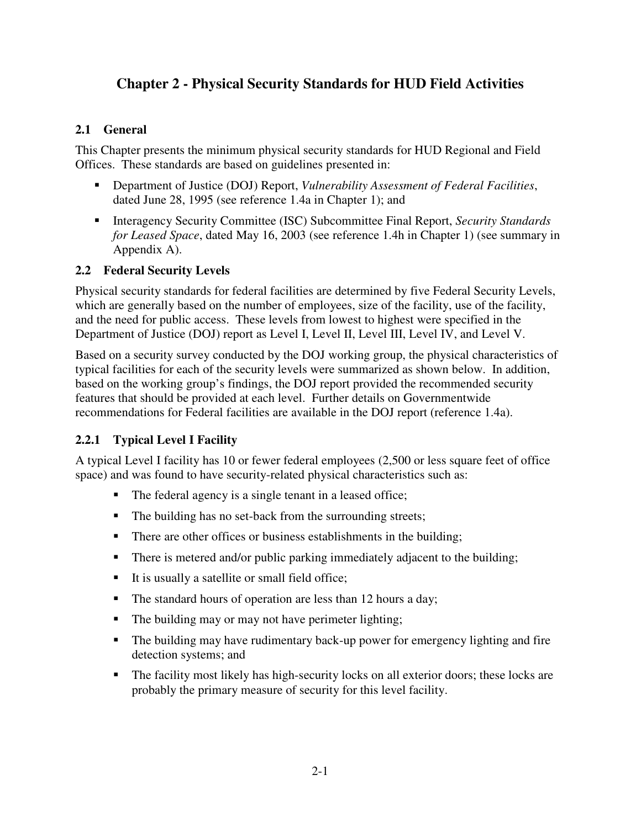## **Chapter 2 - Physical Security Standards for HUD Field Activities**

#### **2.1 General**

This Chapter presents the minimum physical security standards for HUD Regional and Field Offices. These standards are based on guidelines presented in:

- Department of Justice (DOJ) Report, *Vulnerability Assessment of Federal Facilities*, dated June 28, 1995 (see reference 1.4a in Chapter 1); and
- Interagency Security Committee (ISC) Subcommittee Final Report, *Security Standards for Leased Space*, dated May 16, 2003 (see reference 1.4h in Chapter 1) (see summary in Appendix A).

#### **2.2 Federal Security Levels**

Physical security standards for federal facilities are determined by five Federal Security Levels, which are generally based on the number of employees, size of the facility, use of the facility, and the need for public access. These levels from lowest to highest were specified in the Department of Justice (DOJ) report as Level I, Level II, Level III, Level IV, and Level V.

Based on a security survey conducted by the DOJ working group, the physical characteristics of typical facilities for each of the security levels were summarized as shown below. In addition, based on the working group's findings, the DOJ report provided the recommended security features that should be provided at each level. Further details on Governmentwide recommendations for Federal facilities are available in the DOJ report (reference 1.4a).

#### **2.2.1 Typical Level I Facility**

A typical Level I facility has 10 or fewer federal employees (2,500 or less square feet of office space) and was found to have security-related physical characteristics such as:

- The federal agency is a single tenant in a leased office;
- The building has no set-back from the surrounding streets;
- There are other offices or business establishments in the building;
- There is metered and/or public parking immediately adjacent to the building;
- It is usually a satellite or small field office;
- The standard hours of operation are less than 12 hours a day;
- The building may or may not have perimeter lighting;
- The building may have rudimentary back-up power for emergency lighting and fire detection systems; and
- The facility most likely has high-security locks on all exterior doors; these locks are probably the primary measure of security for this level facility.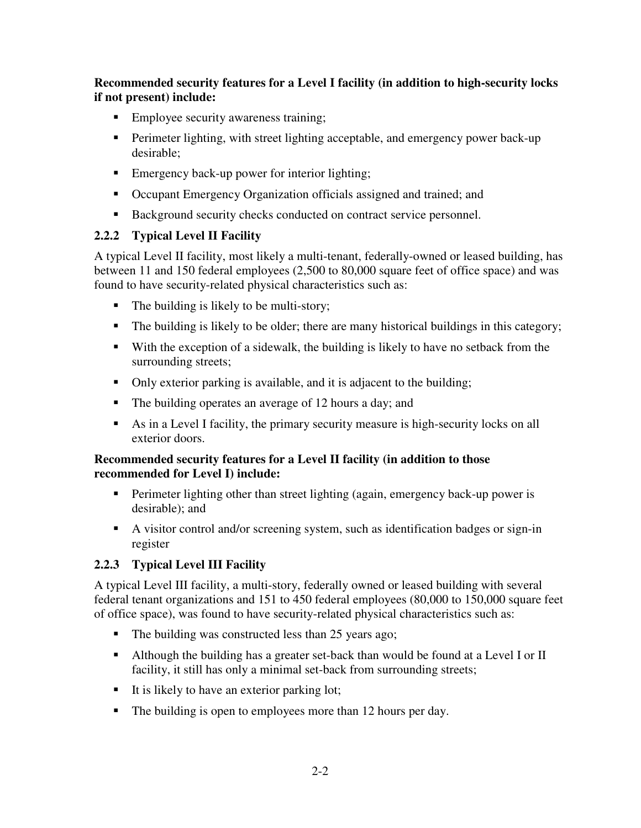**Recommended security features for a Level I facility (in addition to high-security locks if not present) include:** 

- **Employee security awareness training;**
- **Perimeter lighting, with street lighting acceptable, and emergency power back-up** desirable;
- Emergency back-up power for interior lighting;
- Occupant Emergency Organization officials assigned and trained; and
- Background security checks conducted on contract service personnel.

#### **2.2.2 Typical Level II Facility**

A typical Level II facility, most likely a multi-tenant, federally-owned or leased building, has between 11 and 150 federal employees (2,500 to 80,000 square feet of office space) and was found to have security-related physical characteristics such as:

- $\blacksquare$  The building is likely to be multi-story;
- The building is likely to be older; there are many historical buildings in this category;
- With the exception of a sidewalk, the building is likely to have no setback from the surrounding streets;
- Only exterior parking is available, and it is adjacent to the building;
- The building operates an average of 12 hours a day; and
- As in a Level I facility, the primary security measure is high-security locks on all exterior doors.

#### **Recommended security features for a Level II facility (in addition to those recommended for Level I) include:**

- **Perimeter lighting other than street lighting (again, emergency back-up power is** desirable); and
- A visitor control and/or screening system, such as identification badges or sign-in register

#### **2.2.3 Typical Level III Facility**

A typical Level III facility, a multi-story, federally owned or leased building with several federal tenant organizations and 151 to 450 federal employees (80,000 to 150,000 square feet of office space), was found to have security-related physical characteristics such as:

- The building was constructed less than 25 years ago;
- Although the building has a greater set-back than would be found at a Level I or II facility, it still has only a minimal set-back from surrounding streets;
- It is likely to have an exterior parking lot;
- The building is open to employees more than 12 hours per day.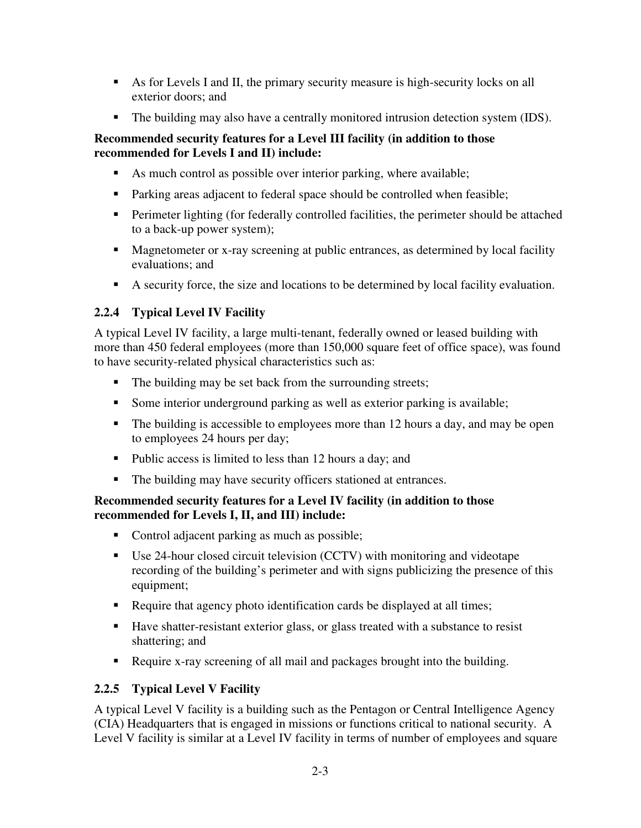- As for Levels I and II, the primary security measure is high-security locks on all exterior doors; and
- The building may also have a centrally monitored intrusion detection system (IDS).

#### **Recommended security features for a Level III facility (in addition to those recommended for Levels I and II) include:**

- As much control as possible over interior parking, where available;
- Parking areas adjacent to federal space should be controlled when feasible;
- Perimeter lighting (for federally controlled facilities, the perimeter should be attached to a back-up power system);
- **Magnetometer or x-ray screening at public entrances, as determined by local facility** evaluations; and
- A security force, the size and locations to be determined by local facility evaluation.

#### **2.2.4 Typical Level IV Facility**

A typical Level IV facility, a large multi-tenant, federally owned or leased building with more than 450 federal employees (more than 150,000 square feet of office space), was found to have security-related physical characteristics such as:

- The building may be set back from the surrounding streets;
- Some interior underground parking as well as exterior parking is available;
- The building is accessible to employees more than 12 hours a day, and may be open to employees 24 hours per day;
- Public access is limited to less than 12 hours a day; and
- The building may have security officers stationed at entrances.

#### **Recommended security features for a Level IV facility (in addition to those recommended for Levels I, II, and III) include:**

- Control adjacent parking as much as possible;
- Use 24-hour closed circuit television (CCTV) with monitoring and videotape recording of the building's perimeter and with signs publicizing the presence of this equipment;
- Require that agency photo identification cards be displayed at all times;
- Have shatter-resistant exterior glass, or glass treated with a substance to resist shattering; and
- Require x-ray screening of all mail and packages brought into the building.

#### **2.2.5 Typical Level V Facility**

A typical Level V facility is a building such as the Pentagon or Central Intelligence Agency (CIA) Headquarters that is engaged in missions or functions critical to national security. A Level V facility is similar at a Level IV facility in terms of number of employees and square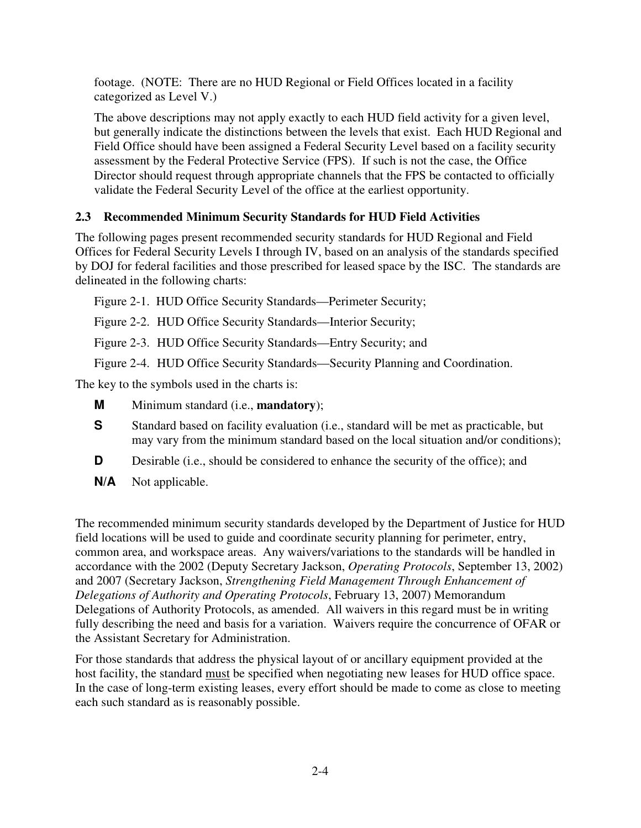footage. (NOTE: There are no HUD Regional or Field Offices located in a facility categorized as Level V.)

The above descriptions may not apply exactly to each HUD field activity for a given level, but generally indicate the distinctions between the levels that exist. Each HUD Regional and Field Office should have been assigned a Federal Security Level based on a facility security assessment by the Federal Protective Service (FPS). If such is not the case, the Office Director should request through appropriate channels that the FPS be contacted to officially validate the Federal Security Level of the office at the earliest opportunity.

#### **2.3 Recommended Minimum Security Standards for HUD Field Activities**

The following pages present recommended security standards for HUD Regional and Field Offices for Federal Security Levels I through IV, based on an analysis of the standards specified by DOJ for federal facilities and those prescribed for leased space by the ISC. The standards are delineated in the following charts:

Figure 2-1. HUD Office Security Standards—Perimeter Security;

Figure 2-2. HUD Office Security Standards—Interior Security;

Figure 2-3. HUD Office Security Standards—Entry Security; and

Figure 2-4. HUD Office Security Standards—Security Planning and Coordination.

The key to the symbols used in the charts is:

- **M** Minimum standard (i.e., **mandatory**);
- **S** Standard based on facility evaluation (i.e., standard will be met as practicable, but may vary from the minimum standard based on the local situation and/or conditions);
- **D** Desirable (i.e., should be considered to enhance the security of the office); and
- **N/A** Not applicable.

The recommended minimum security standards developed by the Department of Justice for HUD field locations will be used to guide and coordinate security planning for perimeter, entry, common area, and workspace areas. Any waivers/variations to the standards will be handled in accordance with the 2002 (Deputy Secretary Jackson, *Operating Protocols*, September 13, 2002) and 2007 (Secretary Jackson, *Strengthening Field Management Through Enhancement of Delegations of Authority and Operating Protocols*, February 13, 2007) Memorandum Delegations of Authority Protocols, as amended. All waivers in this regard must be in writing fully describing the need and basis for a variation. Waivers require the concurrence of OFAR or the Assistant Secretary for Administration.

For those standards that address the physical layout of or ancillary equipment provided at the host facility, the standard must be specified when negotiating new leases for HUD office space. In the case of long-term existing leases, every effort should be made to come as close to meeting each such standard as is reasonably possible.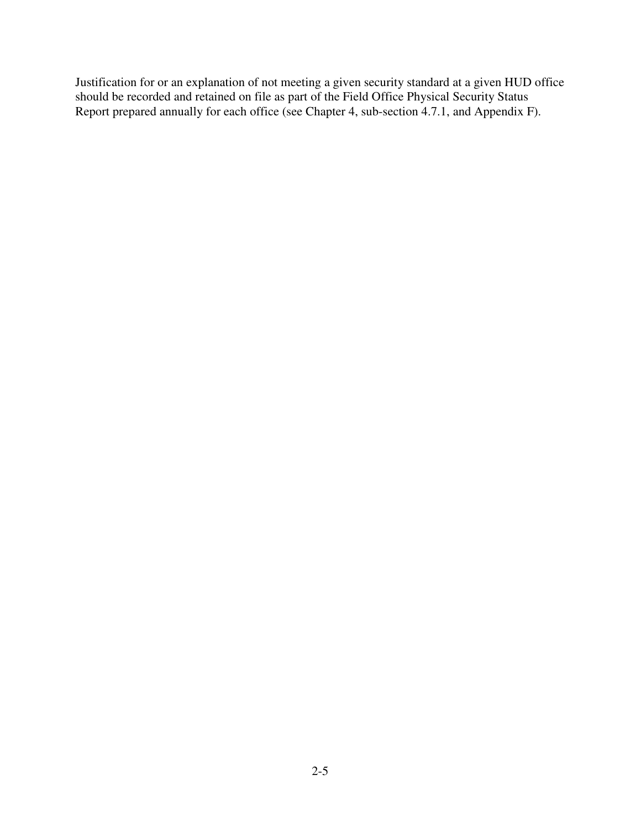Justification for or an explanation of not meeting a given security standard at a given HUD office should be recorded and retained on file as part of the Field Office Physical Security Status Report prepared annually for each office (see Chapter 4, sub-section 4.7.1, and Appendix F).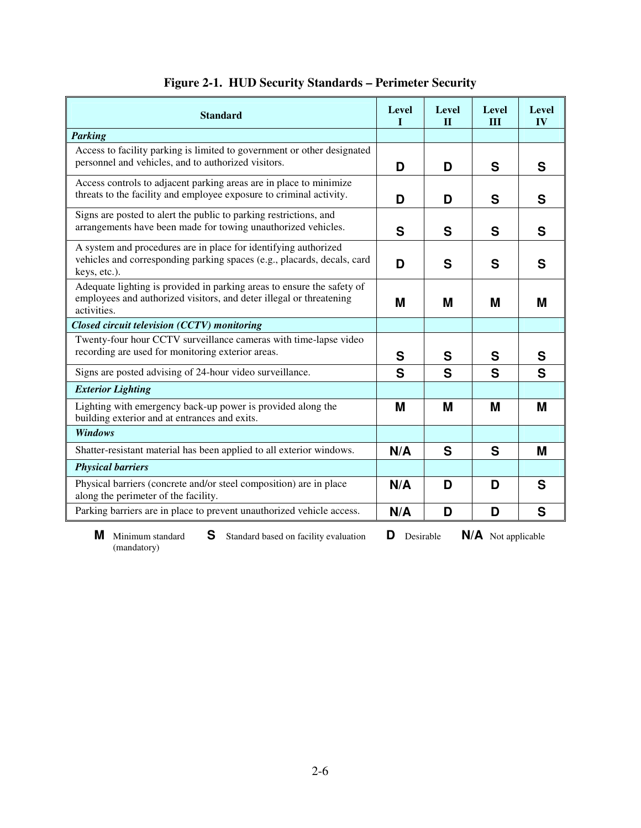| <b>Standard</b>                                                                                                                                              | <b>Level</b><br>Т | <b>Level</b><br>$\mathbf{I}$ | <b>Level</b><br>$\mathbf{III}$ | <b>Level</b><br>$\mathbf{IV}$ |
|--------------------------------------------------------------------------------------------------------------------------------------------------------------|-------------------|------------------------------|--------------------------------|-------------------------------|
| <b>Parking</b>                                                                                                                                               |                   |                              |                                |                               |
| Access to facility parking is limited to government or other designated<br>personnel and vehicles, and to authorized visitors.                               | D                 | D                            | S                              | S                             |
| Access controls to adjacent parking areas are in place to minimize<br>threats to the facility and employee exposure to criminal activity.                    | D                 | D                            | S                              | S                             |
| Signs are posted to alert the public to parking restrictions, and<br>arrangements have been made for towing unauthorized vehicles.                           | S                 | S                            | S                              | S                             |
| A system and procedures are in place for identifying authorized<br>vehicles and corresponding parking spaces (e.g., placards, decals, card<br>keys, etc.).   | D                 | S                            | S                              | S                             |
| Adequate lighting is provided in parking areas to ensure the safety of<br>employees and authorized visitors, and deter illegal or threatening<br>activities. | M                 | M                            | M                              | M                             |
| Closed circuit television (CCTV) monitoring                                                                                                                  |                   |                              |                                |                               |
| Twenty-four hour CCTV surveillance cameras with time-lapse video<br>recording are used for monitoring exterior areas.                                        | S                 | S                            | S                              | S                             |
| Signs are posted advising of 24-hour video surveillance.                                                                                                     | S                 | S                            | S                              | S                             |
| <b>Exterior Lighting</b>                                                                                                                                     |                   |                              |                                |                               |
| Lighting with emergency back-up power is provided along the<br>building exterior and at entrances and exits.                                                 | M                 | M                            | M                              | M                             |
| <b>Windows</b>                                                                                                                                               |                   |                              |                                |                               |
| Shatter-resistant material has been applied to all exterior windows.                                                                                         | N/A               | S                            | S                              | M                             |
| <b>Physical barriers</b>                                                                                                                                     |                   |                              |                                |                               |
| Physical barriers (concrete and/or steel composition) are in place<br>along the perimeter of the facility.                                                   | N/A               | D                            | D                              | S                             |
| Parking barriers are in place to prevent unauthorized vehicle access.                                                                                        | N/A               | D                            | D                              | S                             |

## **Figure 2-1. HUD Security Standards – Perimeter Security**

**M** Minimum standard **S** Standard based on facility evaluation **D** Desirable **N/A** Not applicable (mandatory)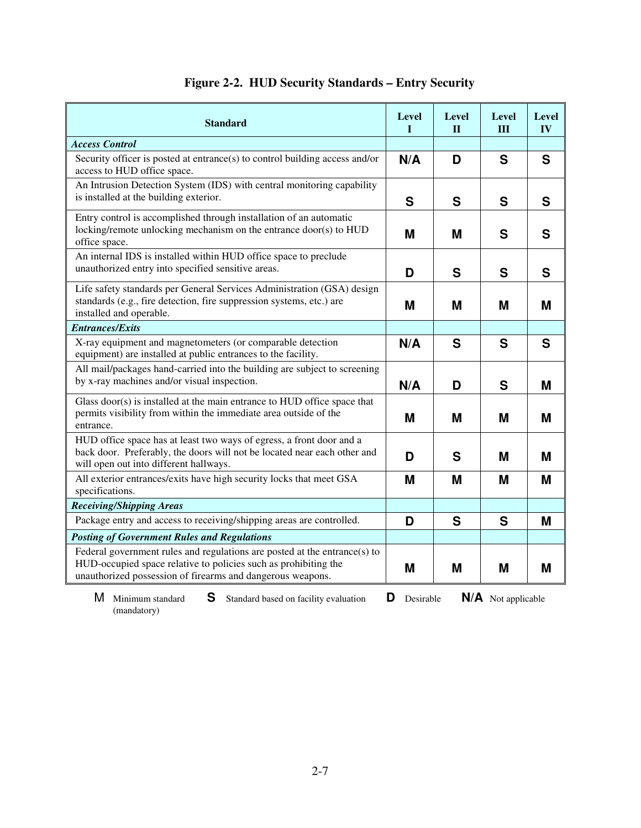| <b>Standard</b>                                                                                                                                                                                            | <b>Level</b><br>I | Level<br>$\mathbf{H}$ | Level<br>III | Level<br>IV |
|------------------------------------------------------------------------------------------------------------------------------------------------------------------------------------------------------------|-------------------|-----------------------|--------------|-------------|
| <b>Access Control</b>                                                                                                                                                                                      |                   |                       |              |             |
| Security officer is posted at entrance(s) to control building access and/or<br>access to HUD office space.                                                                                                 | N/A               | D                     | S            | S           |
| An Intrusion Detection System (IDS) with central monitoring capability<br>is installed at the building exterior.                                                                                           | S                 | S                     | S            | S           |
| Entry control is accomplished through installation of an automatic<br>locking/remote unlocking mechanism on the entrance door(s) to HUD<br>office space.                                                   | M                 | M                     | S            | S           |
| An internal IDS is installed within HUD office space to preclude<br>unauthorized entry into specified sensitive areas.                                                                                     | D                 | S                     | S            | S           |
| Life safety standards per General Services Administration (GSA) design<br>standards (e.g., fire detection, fire suppression systems, etc.) are<br>installed and operable.                                  | M                 | M                     | М            | М           |
| <b>Entrances/Exits</b>                                                                                                                                                                                     |                   |                       |              |             |
| X-ray equipment and magnetometers (or comparable detection<br>equipment) are installed at public entrances to the facility.                                                                                | N/A               | S                     | S            | S           |
| All mail/packages hand-carried into the building are subject to screening<br>by x-ray machines and/or visual inspection.                                                                                   | N/A               | D                     | S            | M           |
| Glass door(s) is installed at the main entrance to HUD office space that<br>permits visibility from within the immediate area outside of the<br>entrance.                                                  | M                 | M                     | M            | M           |
| HUD office space has at least two ways of egress, a front door and a<br>back door. Preferably, the doors will not be located near each other and<br>will open out into different hallways.                 | D<br>S<br>M       |                       |              | М           |
| All exterior entrances/exits have high security locks that meet GSA<br>specifications.                                                                                                                     | M                 | M                     | M            | M           |
| <b>Receiving/Shipping Areas</b>                                                                                                                                                                            |                   |                       |              |             |
| Package entry and access to receiving/shipping areas are controlled.                                                                                                                                       | D                 | S                     | S            | M           |
| <b>Posting of Government Rules and Regulations</b>                                                                                                                                                         |                   |                       |              |             |
| Federal government rules and regulations are posted at the entrance(s) to<br>HUD-occupied space relative to policies such as prohibiting the<br>unauthorized possession of firearms and dangerous weapons. | M<br>M<br>M       |                       | M            |             |

## **Figure 2-2. HUD Security Standards – Entry Security**

**S** Standard based on facility evaluation **D** Desirable **N/A** Not applicable **M** Minimum standard (mandatory)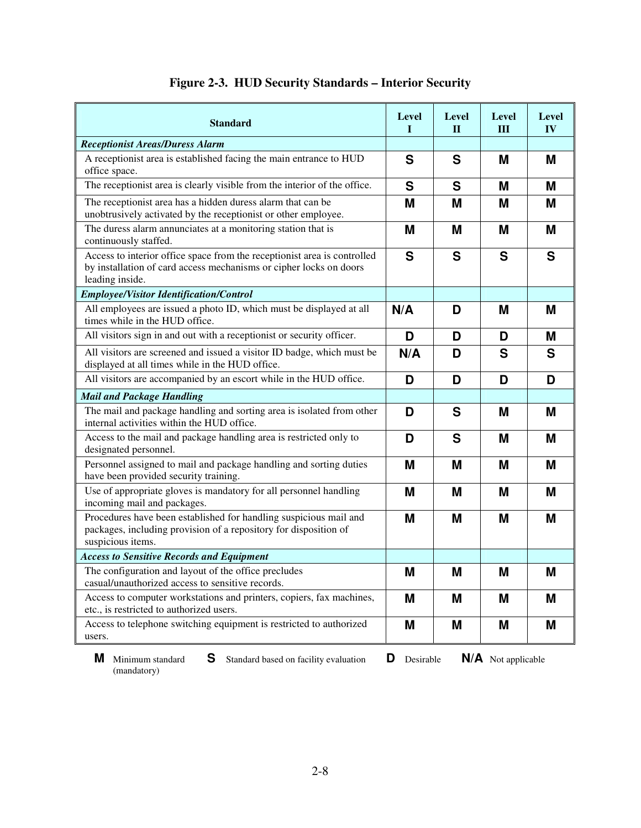| <b>Standard</b>                                                                                                                                                   | <b>Level</b><br>I | <b>Level</b><br>$\mathbf{I}$ | <b>Level</b><br>Ш | Level<br>IV |
|-------------------------------------------------------------------------------------------------------------------------------------------------------------------|-------------------|------------------------------|-------------------|-------------|
| <b>Receptionist Areas/Duress Alarm</b>                                                                                                                            |                   |                              |                   |             |
| A receptionist area is established facing the main entrance to HUD<br>office space.                                                                               | S                 | S                            | M                 | M           |
| The receptionist area is clearly visible from the interior of the office.                                                                                         | S                 | S                            | M                 | M           |
| The receptionist area has a hidden duress alarm that can be<br>unobtrusively activated by the receptionist or other employee.                                     | M                 | M                            | M                 | M           |
| The duress alarm annunciates at a monitoring station that is<br>continuously staffed.                                                                             | M                 | M                            | M                 | M           |
| Access to interior office space from the receptionist area is controlled<br>by installation of card access mechanisms or cipher locks on doors<br>leading inside. | S<br>S<br>S<br>S  |                              |                   |             |
| <b>Employee/Visitor Identification/Control</b>                                                                                                                    |                   |                              |                   |             |
| All employees are issued a photo ID, which must be displayed at all<br>times while in the HUD office.                                                             | N/A<br>D<br>M     |                              |                   | M           |
| All visitors sign in and out with a receptionist or security officer.                                                                                             | D                 | D                            | D                 | M           |
| All visitors are screened and issued a visitor ID badge, which must be<br>displayed at all times while in the HUD office.                                         | N/A               | D                            | S                 | S           |
| All visitors are accompanied by an escort while in the HUD office.                                                                                                | D                 | D                            | D                 | D           |
| <b>Mail and Package Handling</b>                                                                                                                                  |                   |                              |                   |             |
| The mail and package handling and sorting area is isolated from other<br>internal activities within the HUD office.                                               | D                 | S<br>M<br>M                  |                   |             |
| Access to the mail and package handling area is restricted only to<br>designated personnel.                                                                       | D                 | S                            | M                 | M           |
| Personnel assigned to mail and package handling and sorting duties<br>have been provided security training.                                                       | M<br>M<br>M       |                              |                   | M           |
| Use of appropriate gloves is mandatory for all personnel handling<br>incoming mail and packages.                                                                  | M                 | M<br>M                       |                   | M           |
| Procedures have been established for handling suspicious mail and<br>packages, including provision of a repository for disposition of<br>suspicious items.        | M                 | M                            | M                 | M           |
| <b>Access to Sensitive Records and Equipment</b>                                                                                                                  |                   |                              |                   |             |
| The configuration and layout of the office precludes<br>casual/unauthorized access to sensitive records.                                                          |                   | M                            | M                 | M           |
| Access to computer workstations and printers, copiers, fax machines,<br>etc., is restricted to authorized users.                                                  | M                 | M                            | M                 | M           |
| Access to telephone switching equipment is restricted to authorized<br>users.                                                                                     | M<br>M<br>M       |                              |                   | M           |

## **Figure 2-3. HUD Security Standards – Interior Security**

(mandatory)

**M** Minimum standard **S** Standard based on facility evaluation **D** Desirable **N/A** Not applicable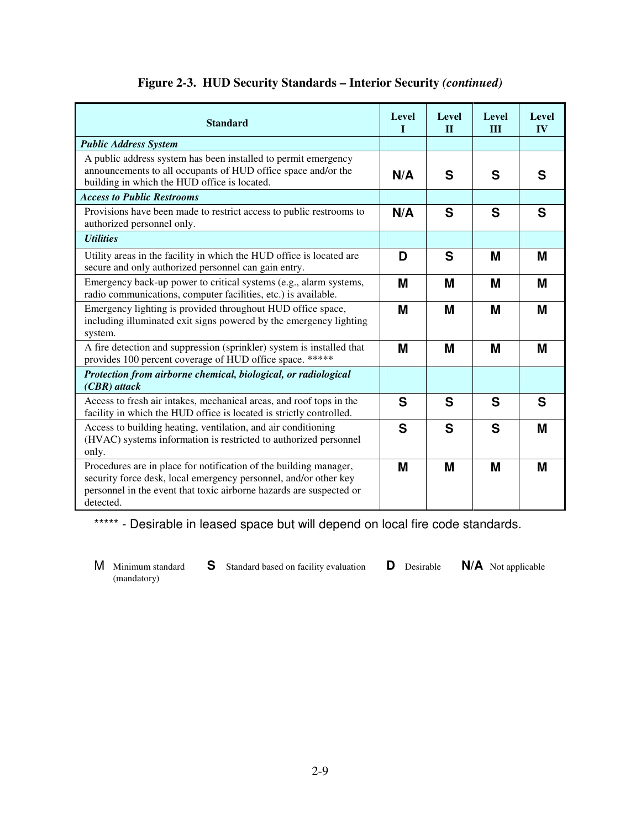|  | <b>Figure 2-3. HUD Security Standards – Interior Security (continued)</b> |  |  |  |
|--|---------------------------------------------------------------------------|--|--|--|
|--|---------------------------------------------------------------------------|--|--|--|

| <b>Standard</b>                                                                                                                                                                                                           | <b>Level</b><br>л. | <b>Level</b><br>$\Pi$ | <b>Level</b><br>$\mathbf{H}$ | Level<br><b>IV</b> |
|---------------------------------------------------------------------------------------------------------------------------------------------------------------------------------------------------------------------------|--------------------|-----------------------|------------------------------|--------------------|
| <b>Public Address System</b>                                                                                                                                                                                              |                    |                       |                              |                    |
| A public address system has been installed to permit emergency<br>announcements to all occupants of HUD office space and/or the<br>building in which the HUD office is located.                                           | N/A                | S                     | S                            | S                  |
| <b>Access to Public Restrooms</b>                                                                                                                                                                                         |                    |                       |                              |                    |
| Provisions have been made to restrict access to public restrooms to<br>authorized personnel only.                                                                                                                         | N/A                | S<br>S                |                              |                    |
| <b>Utilities</b>                                                                                                                                                                                                          |                    |                       |                              |                    |
| Utility areas in the facility in which the HUD office is located are<br>secure and only authorized personnel can gain entry.                                                                                              | S<br>D<br>M<br>M   |                       |                              |                    |
| Emergency back-up power to critical systems (e.g., alarm systems,<br>radio communications, computer facilities, etc.) is available.                                                                                       | M                  | M                     | M                            | M                  |
| Emergency lighting is provided throughout HUD office space,<br>including illuminated exit signs powered by the emergency lighting<br>system.                                                                              | M                  | M                     | M                            | M                  |
| A fire detection and suppression (sprinkler) system is installed that<br>provides 100 percent coverage of HUD office space. *****                                                                                         | M                  | M                     | M                            | M                  |
| Protection from airborne chemical, biological, or radiological<br>$(CBR)$ attack                                                                                                                                          |                    |                       |                              |                    |
| Access to fresh air intakes, mechanical areas, and roof tops in the<br>facility in which the HUD office is located is strictly controlled.                                                                                | S                  | S                     | S                            | S                  |
| S<br>Access to building heating, ventilation, and air conditioning<br>(HVAC) systems information is restricted to authorized personnel<br>only.                                                                           |                    | S                     | S                            | M                  |
| Procedures are in place for notification of the building manager,<br>security force desk, local emergency personnel, and/or other key<br>personnel in the event that toxic airborne hazards are suspected or<br>detected. | M<br>M<br>M        |                       | M                            |                    |

\*\*\*\*\* - Desirable in leased space but will depend on local fire code standards.

(mandatory)

M Minimum standard **S** Standard based on facility evaluation **D** Desirable **N/A** Not applicable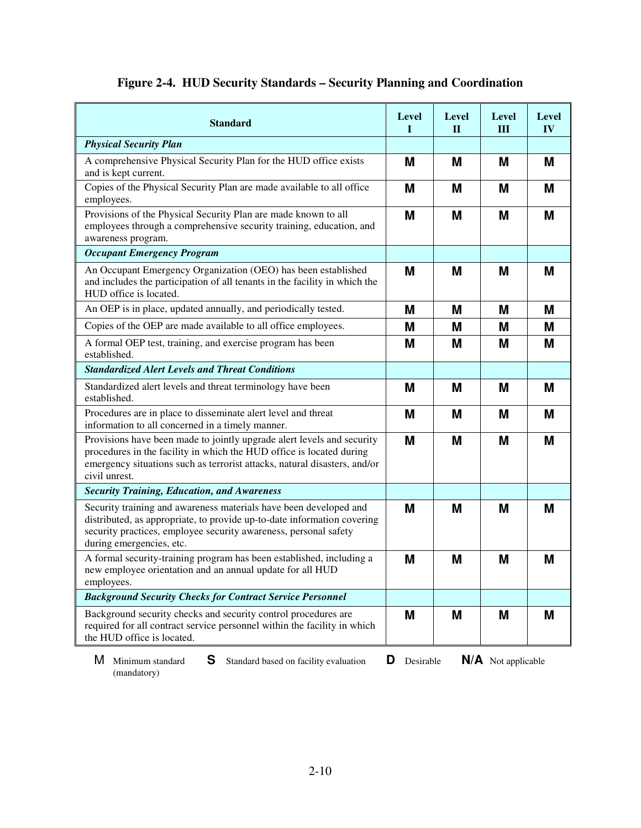|  | Figure 2-4. HUD Security Standards - Security Planning and Coordination |  |  |  |  |
|--|-------------------------------------------------------------------------|--|--|--|--|
|--|-------------------------------------------------------------------------|--|--|--|--|

| <b>Standard</b>                                                                                                                                                                                                                              | <b>Level</b><br>I | <b>Level</b><br>$\mathbf{I}$ | <b>Level</b><br>III | <b>Level</b><br>IV |
|----------------------------------------------------------------------------------------------------------------------------------------------------------------------------------------------------------------------------------------------|-------------------|------------------------------|---------------------|--------------------|
| <b>Physical Security Plan</b>                                                                                                                                                                                                                |                   |                              |                     |                    |
| A comprehensive Physical Security Plan for the HUD office exists<br>and is kept current.                                                                                                                                                     | M                 | M                            | M                   | M                  |
| Copies of the Physical Security Plan are made available to all office<br>employees.                                                                                                                                                          | M                 | M                            | M                   | M                  |
| Provisions of the Physical Security Plan are made known to all<br>employees through a comprehensive security training, education, and<br>awareness program.                                                                                  | M                 | M                            | M                   | M                  |
| <b>Occupant Emergency Program</b>                                                                                                                                                                                                            |                   |                              |                     |                    |
| An Occupant Emergency Organization (OEO) has been established<br>and includes the participation of all tenants in the facility in which the<br>HUD office is located.                                                                        | M                 | M                            | M                   | M                  |
| An OEP is in place, updated annually, and periodically tested.                                                                                                                                                                               | Μ                 | M                            | M                   | Μ                  |
| Copies of the OEP are made available to all office employees.                                                                                                                                                                                | M                 | M                            | M                   | M                  |
| A formal OEP test, training, and exercise program has been<br>established.                                                                                                                                                                   | M                 | M                            | M                   | M                  |
| <b>Standardized Alert Levels and Threat Conditions</b>                                                                                                                                                                                       |                   |                              |                     |                    |
| Standardized alert levels and threat terminology have been<br>established.                                                                                                                                                                   | M                 | M                            | M                   | M                  |
| Procedures are in place to disseminate alert level and threat<br>information to all concerned in a timely manner.                                                                                                                            | M                 | M                            | M                   | M                  |
| Provisions have been made to jointly upgrade alert levels and security<br>procedures in the facility in which the HUD office is located during<br>emergency situations such as terrorist attacks, natural disasters, and/or<br>civil unrest. | M                 | M                            | M                   | M                  |
| <b>Security Training, Education, and Awareness</b>                                                                                                                                                                                           |                   |                              |                     |                    |
| Security training and awareness materials have been developed and<br>distributed, as appropriate, to provide up-to-date information covering<br>security practices, employee security awareness, personal safety<br>during emergencies, etc. | M                 | M                            | M                   | M                  |
| A formal security-training program has been established, including a<br>new employee orientation and an annual update for all HUD<br>employees.                                                                                              | M                 | M                            | M                   | M                  |
| <b>Background Security Checks for Contract Service Personnel</b>                                                                                                                                                                             |                   |                              |                     |                    |
| Background security checks and security control procedures are<br>required for all contract service personnel within the facility in which<br>the HUD office is located.                                                                     | M                 | M                            | M                   | M                  |

M Minimum standard **S** Standard based on facility evaluation **D** Desirable **N/A** Not applicable (mandatory)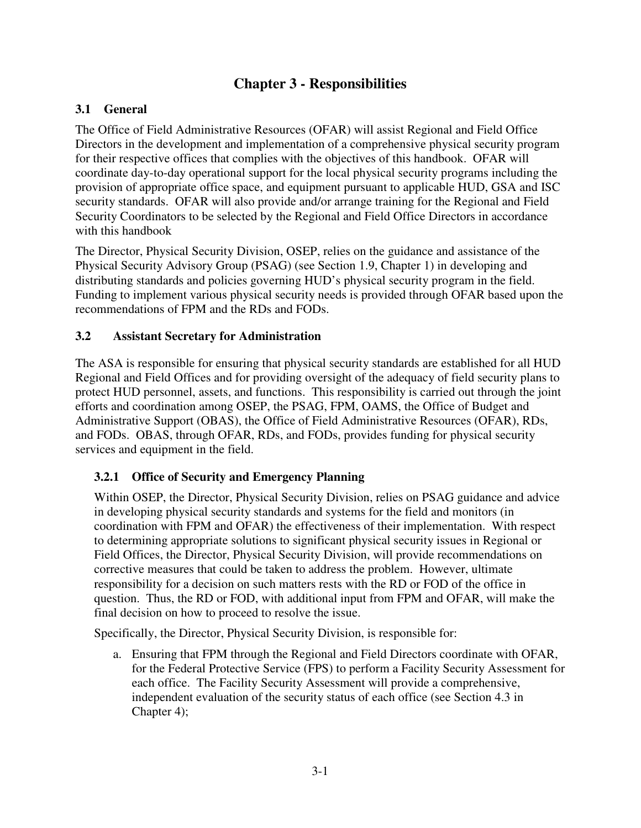### **Chapter 3 - Responsibilities**

#### **3.1 General**

The Office of Field Administrative Resources (OFAR) will assist Regional and Field Office Directors in the development and implementation of a comprehensive physical security program for their respective offices that complies with the objectives of this handbook. OFAR will coordinate day-to-day operational support for the local physical security programs including the provision of appropriate office space, and equipment pursuant to applicable HUD, GSA and ISC security standards. OFAR will also provide and/or arrange training for the Regional and Field Security Coordinators to be selected by the Regional and Field Office Directors in accordance with this handbook

The Director, Physical Security Division, OSEP, relies on the guidance and assistance of the Physical Security Advisory Group (PSAG) (see Section 1.9, Chapter 1) in developing and distributing standards and policies governing HUD's physical security program in the field. Funding to implement various physical security needs is provided through OFAR based upon the recommendations of FPM and the RDs and FODs.

#### **3.2 Assistant Secretary for Administration**

The ASA is responsible for ensuring that physical security standards are established for all HUD Regional and Field Offices and for providing oversight of the adequacy of field security plans to protect HUD personnel, assets, and functions. This responsibility is carried out through the joint efforts and coordination among OSEP, the PSAG, FPM, OAMS, the Office of Budget and Administrative Support (OBAS), the Office of Field Administrative Resources (OFAR), RDs, and FODs. OBAS, through OFAR, RDs, and FODs, provides funding for physical security services and equipment in the field.

#### **3.2.1 Office of Security and Emergency Planning**

Within OSEP, the Director, Physical Security Division, relies on PSAG guidance and advice in developing physical security standards and systems for the field and monitors (in coordination with FPM and OFAR) the effectiveness of their implementation. With respect to determining appropriate solutions to significant physical security issues in Regional or Field Offices, the Director, Physical Security Division, will provide recommendations on corrective measures that could be taken to address the problem. However, ultimate responsibility for a decision on such matters rests with the RD or FOD of the office in question. Thus, the RD or FOD, with additional input from FPM and OFAR, will make the final decision on how to proceed to resolve the issue.

Specifically, the Director, Physical Security Division, is responsible for:

a. Ensuring that FPM through the Regional and Field Directors coordinate with OFAR, for the Federal Protective Service (FPS) to perform a Facility Security Assessment for each office. The Facility Security Assessment will provide a comprehensive, independent evaluation of the security status of each office (see Section 4.3 in Chapter 4);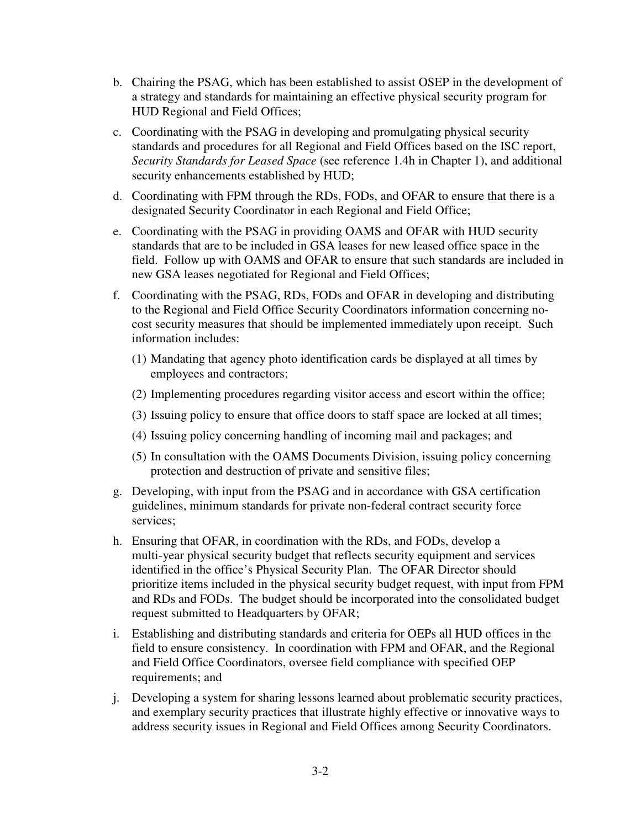- b. Chairing the PSAG, which has been established to assist OSEP in the development of a strategy and standards for maintaining an effective physical security program for HUD Regional and Field Offices;
- c. Coordinating with the PSAG in developing and promulgating physical security standards and procedures for all Regional and Field Offices based on the ISC report, *Security Standards for Leased Space* (see reference 1.4h in Chapter 1), and additional security enhancements established by HUD;
- d. Coordinating with FPM through the RDs, FODs, and OFAR to ensure that there is a designated Security Coordinator in each Regional and Field Office;
- e. Coordinating with the PSAG in providing OAMS and OFAR with HUD security standards that are to be included in GSA leases for new leased office space in the field. Follow up with OAMS and OFAR to ensure that such standards are included in new GSA leases negotiated for Regional and Field Offices;
- f. Coordinating with the PSAG, RDs, FODs and OFAR in developing and distributing to the Regional and Field Office Security Coordinators information concerning nocost security measures that should be implemented immediately upon receipt. Such information includes:
	- (1) Mandating that agency photo identification cards be displayed at all times by employees and contractors;
	- (2) Implementing procedures regarding visitor access and escort within the office;
	- (3) Issuing policy to ensure that office doors to staff space are locked at all times;
	- (4) Issuing policy concerning handling of incoming mail and packages; and
	- (5) In consultation with the OAMS Documents Division, issuing policy concerning protection and destruction of private and sensitive files;
- g. Developing, with input from the PSAG and in accordance with GSA certification guidelines, minimum standards for private non-federal contract security force services;
- h. Ensuring that OFAR, in coordination with the RDs, and FODs, develop a multi-year physical security budget that reflects security equipment and services identified in the office's Physical Security Plan. The OFAR Director should prioritize items included in the physical security budget request, with input from FPM and RDs and FODs. The budget should be incorporated into the consolidated budget request submitted to Headquarters by OFAR;
- i. Establishing and distributing standards and criteria for OEPs all HUD offices in the field to ensure consistency. In coordination with FPM and OFAR, and the Regional and Field Office Coordinators, oversee field compliance with specified OEP requirements; and
- j. Developing a system for sharing lessons learned about problematic security practices, and exemplary security practices that illustrate highly effective or innovative ways to address security issues in Regional and Field Offices among Security Coordinators.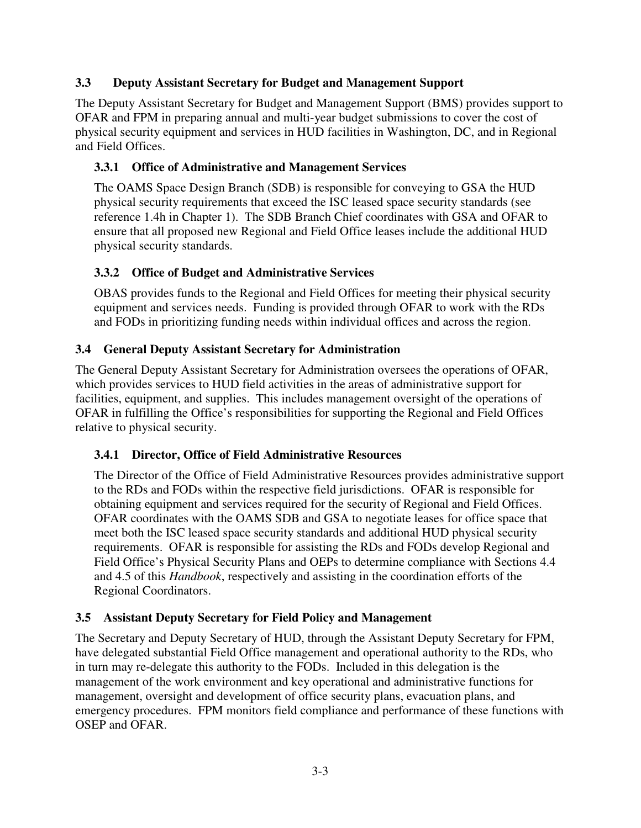#### **3.3 Deputy Assistant Secretary for Budget and Management Support**

The Deputy Assistant Secretary for Budget and Management Support (BMS) provides support to OFAR and FPM in preparing annual and multi-year budget submissions to cover the cost of physical security equipment and services in HUD facilities in Washington, DC, and in Regional and Field Offices.

#### **3.3.1 Office of Administrative and Management Services**

The OAMS Space Design Branch (SDB) is responsible for conveying to GSA the HUD physical security requirements that exceed the ISC leased space security standards (see reference 1.4h in Chapter 1). The SDB Branch Chief coordinates with GSA and OFAR to ensure that all proposed new Regional and Field Office leases include the additional HUD physical security standards.

#### **3.3.2 Office of Budget and Administrative Services**

OBAS provides funds to the Regional and Field Offices for meeting their physical security equipment and services needs. Funding is provided through OFAR to work with the RDs and FODs in prioritizing funding needs within individual offices and across the region.

#### **3.4 General Deputy Assistant Secretary for Administration**

The General Deputy Assistant Secretary for Administration oversees the operations of OFAR, which provides services to HUD field activities in the areas of administrative support for facilities, equipment, and supplies. This includes management oversight of the operations of OFAR in fulfilling the Office's responsibilities for supporting the Regional and Field Offices relative to physical security.

#### **3.4.1 Director, Office of Field Administrative Resources**

The Director of the Office of Field Administrative Resources provides administrative support to the RDs and FODs within the respective field jurisdictions. OFAR is responsible for obtaining equipment and services required for the security of Regional and Field Offices. OFAR coordinates with the OAMS SDB and GSA to negotiate leases for office space that meet both the ISC leased space security standards and additional HUD physical security requirements. OFAR is responsible for assisting the RDs and FODs develop Regional and Field Office's Physical Security Plans and OEPs to determine compliance with Sections 4.4 and 4.5 of this *Handbook*, respectively and assisting in the coordination efforts of the Regional Coordinators.

#### **3.5 Assistant Deputy Secretary for Field Policy and Management**

The Secretary and Deputy Secretary of HUD, through the Assistant Deputy Secretary for FPM, have delegated substantial Field Office management and operational authority to the RDs, who in turn may re-delegate this authority to the FODs. Included in this delegation is the management of the work environment and key operational and administrative functions for management, oversight and development of office security plans, evacuation plans, and emergency procedures. FPM monitors field compliance and performance of these functions with OSEP and OFAR.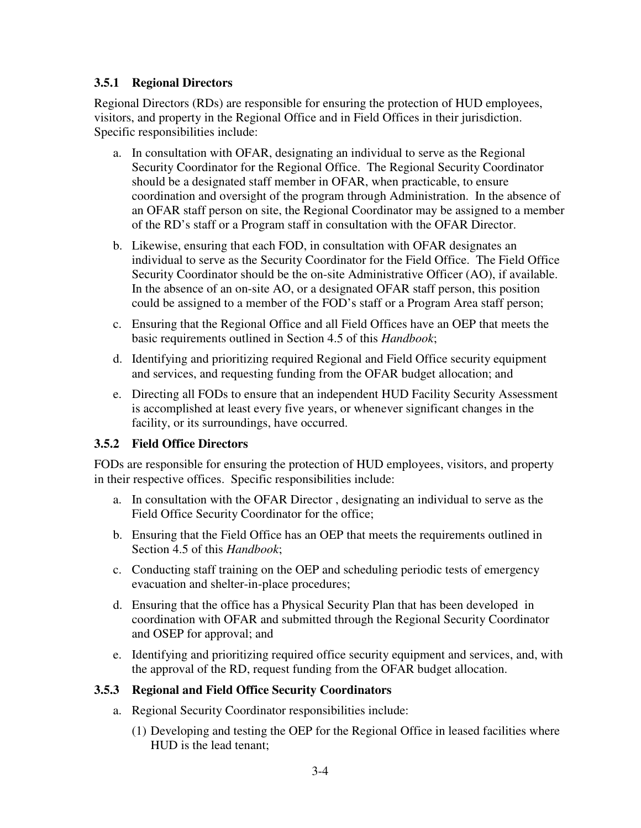#### **3.5.1 Regional Directors**

Regional Directors (RDs) are responsible for ensuring the protection of HUD employees, visitors, and property in the Regional Office and in Field Offices in their jurisdiction. Specific responsibilities include:

- a. In consultation with OFAR, designating an individual to serve as the Regional Security Coordinator for the Regional Office. The Regional Security Coordinator should be a designated staff member in OFAR, when practicable, to ensure coordination and oversight of the program through Administration. In the absence of an OFAR staff person on site, the Regional Coordinator may be assigned to a member of the RD's staff or a Program staff in consultation with the OFAR Director.
- b. Likewise, ensuring that each FOD, in consultation with OFAR designates an individual to serve as the Security Coordinator for the Field Office. The Field Office Security Coordinator should be the on-site Administrative Officer (AO), if available. In the absence of an on-site AO, or a designated OFAR staff person, this position could be assigned to a member of the FOD's staff or a Program Area staff person;
- c. Ensuring that the Regional Office and all Field Offices have an OEP that meets the basic requirements outlined in Section 4.5 of this *Handbook*;
- d. Identifying and prioritizing required Regional and Field Office security equipment and services, and requesting funding from the OFAR budget allocation; and
- e. Directing all FODs to ensure that an independent HUD Facility Security Assessment is accomplished at least every five years, or whenever significant changes in the facility, or its surroundings, have occurred.

#### **3.5.2 Field Office Directors**

FODs are responsible for ensuring the protection of HUD employees, visitors, and property in their respective offices. Specific responsibilities include:

- a. In consultation with the OFAR Director , designating an individual to serve as the Field Office Security Coordinator for the office;
- b. Ensuring that the Field Office has an OEP that meets the requirements outlined in Section 4.5 of this *Handbook*;
- c. Conducting staff training on the OEP and scheduling periodic tests of emergency evacuation and shelter-in-place procedures;
- d. Ensuring that the office has a Physical Security Plan that has been developed in coordination with OFAR and submitted through the Regional Security Coordinator and OSEP for approval; and
- e. Identifying and prioritizing required office security equipment and services, and, with the approval of the RD, request funding from the OFAR budget allocation.

#### **3.5.3 Regional and Field Office Security Coordinators**

- a. Regional Security Coordinator responsibilities include:
	- (1) Developing and testing the OEP for the Regional Office in leased facilities where HUD is the lead tenant;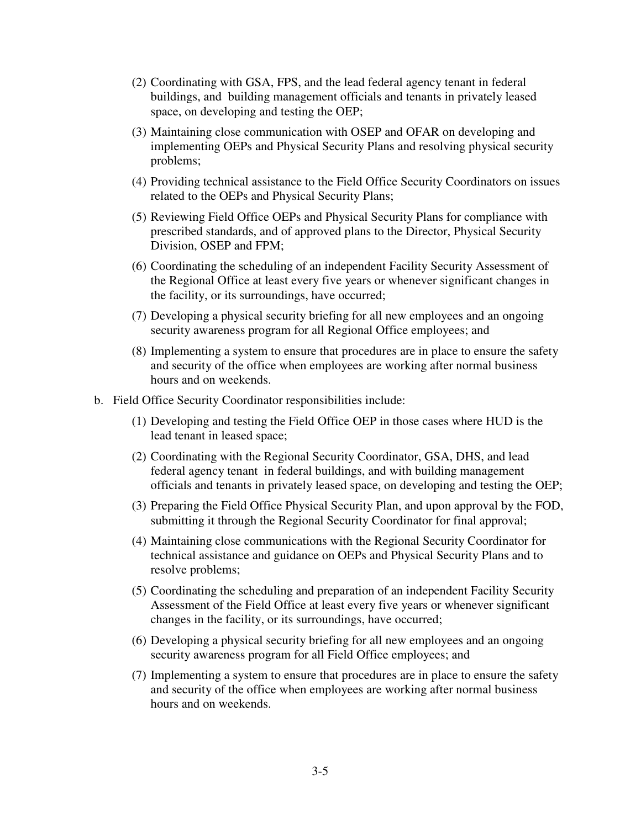- (2) Coordinating with GSA, FPS, and the lead federal agency tenant in federal buildings, and building management officials and tenants in privately leased space, on developing and testing the OEP;
- (3) Maintaining close communication with OSEP and OFAR on developing and implementing OEPs and Physical Security Plans and resolving physical security problems;
- (4) Providing technical assistance to the Field Office Security Coordinators on issues related to the OEPs and Physical Security Plans;
- (5) Reviewing Field Office OEPs and Physical Security Plans for compliance with prescribed standards, and of approved plans to the Director, Physical Security Division, OSEP and FPM;
- (6) Coordinating the scheduling of an independent Facility Security Assessment of the Regional Office at least every five years or whenever significant changes in the facility, or its surroundings, have occurred;
- (7) Developing a physical security briefing for all new employees and an ongoing security awareness program for all Regional Office employees; and
- (8) Implementing a system to ensure that procedures are in place to ensure the safety and security of the office when employees are working after normal business hours and on weekends.
- b. Field Office Security Coordinator responsibilities include:
	- (1) Developing and testing the Field Office OEP in those cases where HUD is the lead tenant in leased space;
	- (2) Coordinating with the Regional Security Coordinator, GSA, DHS, and lead federal agency tenant in federal buildings, and with building management officials and tenants in privately leased space, on developing and testing the OEP;
	- (3) Preparing the Field Office Physical Security Plan, and upon approval by the FOD, submitting it through the Regional Security Coordinator for final approval;
	- (4) Maintaining close communications with the Regional Security Coordinator for technical assistance and guidance on OEPs and Physical Security Plans and to resolve problems;
	- (5) Coordinating the scheduling and preparation of an independent Facility Security Assessment of the Field Office at least every five years or whenever significant changes in the facility, or its surroundings, have occurred;
	- (6) Developing a physical security briefing for all new employees and an ongoing security awareness program for all Field Office employees; and
	- (7) Implementing a system to ensure that procedures are in place to ensure the safety and security of the office when employees are working after normal business hours and on weekends.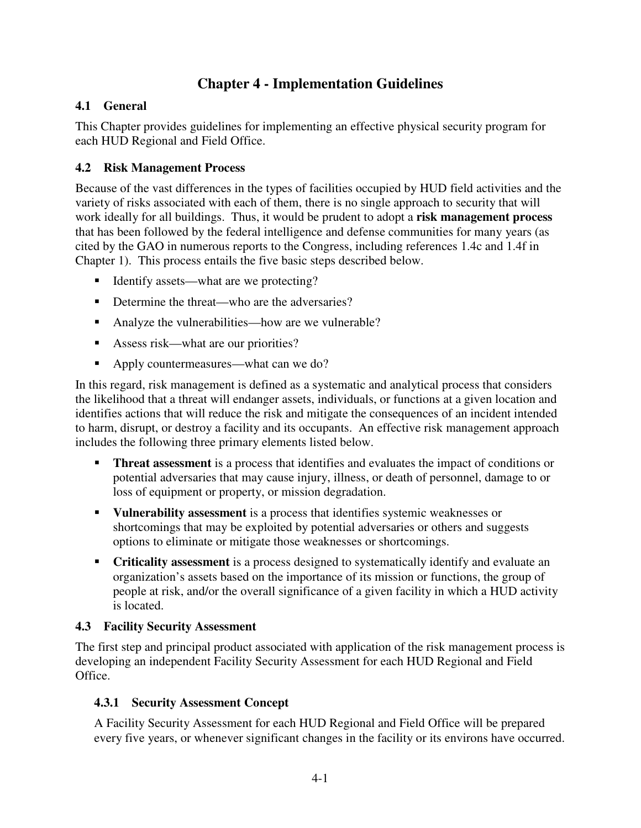## **Chapter 4 - Implementation Guidelines**

#### **4.1 General**

This Chapter provides guidelines for implementing an effective physical security program for each HUD Regional and Field Office.

#### **4.2 Risk Management Process**

Because of the vast differences in the types of facilities occupied by HUD field activities and the variety of risks associated with each of them, there is no single approach to security that will work ideally for all buildings. Thus, it would be prudent to adopt a **risk management process** that has been followed by the federal intelligence and defense communities for many years (as cited by the GAO in numerous reports to the Congress, including references 1.4c and 1.4f in Chapter 1). This process entails the five basic steps described below.

- Identify assets—what are we protecting?
- Determine the threat—who are the adversaries?
- Analyze the vulnerabilities—how are we vulnerable?
- Assess risk—what are our priorities?
- Apply countermeasures—what can we do?

In this regard, risk management is defined as a systematic and analytical process that considers the likelihood that a threat will endanger assets, individuals, or functions at a given location and identifies actions that will reduce the risk and mitigate the consequences of an incident intended to harm, disrupt, or destroy a facility and its occupants. An effective risk management approach includes the following three primary elements listed below.

- **Threat assessment** is a process that identifies and evaluates the impact of conditions or potential adversaries that may cause injury, illness, or death of personnel, damage to or loss of equipment or property, or mission degradation.
- **Vulnerability assessment** is a process that identifies systemic weaknesses or shortcomings that may be exploited by potential adversaries or others and suggests options to eliminate or mitigate those weaknesses or shortcomings.
- **Criticality assessment** is a process designed to systematically identify and evaluate an organization's assets based on the importance of its mission or functions, the group of people at risk, and/or the overall significance of a given facility in which a HUD activity is located.

#### **4.3 Facility Security Assessment**

The first step and principal product associated with application of the risk management process is developing an independent Facility Security Assessment for each HUD Regional and Field Office.

#### **4.3.1 Security Assessment Concept**

A Facility Security Assessment for each HUD Regional and Field Office will be prepared every five years, or whenever significant changes in the facility or its environs have occurred.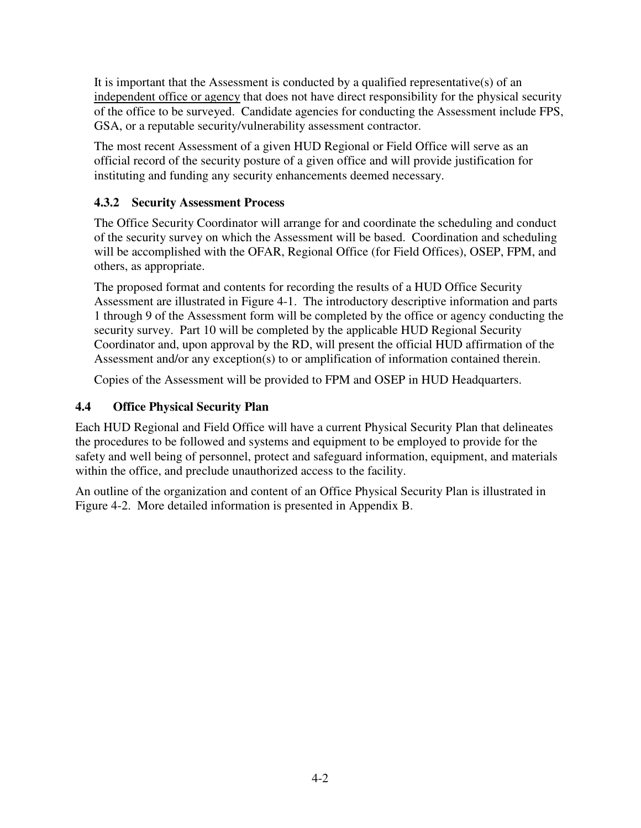It is important that the Assessment is conducted by a qualified representative(s) of an independent office or agency that does not have direct responsibility for the physical security of the office to be surveyed. Candidate agencies for conducting the Assessment include FPS, GSA, or a reputable security/vulnerability assessment contractor.

The most recent Assessment of a given HUD Regional or Field Office will serve as an official record of the security posture of a given office and will provide justification for instituting and funding any security enhancements deemed necessary.

#### **4.3.2 Security Assessment Process**

The Office Security Coordinator will arrange for and coordinate the scheduling and conduct of the security survey on which the Assessment will be based. Coordination and scheduling will be accomplished with the OFAR, Regional Office (for Field Offices), OSEP, FPM, and others, as appropriate.

The proposed format and contents for recording the results of a HUD Office Security Assessment are illustrated in Figure 4-1. The introductory descriptive information and parts 1 through 9 of the Assessment form will be completed by the office or agency conducting the security survey. Part 10 will be completed by the applicable HUD Regional Security Coordinator and, upon approval by the RD, will present the official HUD affirmation of the Assessment and/or any exception(s) to or amplification of information contained therein.

Copies of the Assessment will be provided to FPM and OSEP in HUD Headquarters.

### **4.4 Office Physical Security Plan**

Each HUD Regional and Field Office will have a current Physical Security Plan that delineates the procedures to be followed and systems and equipment to be employed to provide for the safety and well being of personnel, protect and safeguard information, equipment, and materials within the office, and preclude unauthorized access to the facility.

An outline of the organization and content of an Office Physical Security Plan is illustrated in Figure 4-2. More detailed information is presented in Appendix B.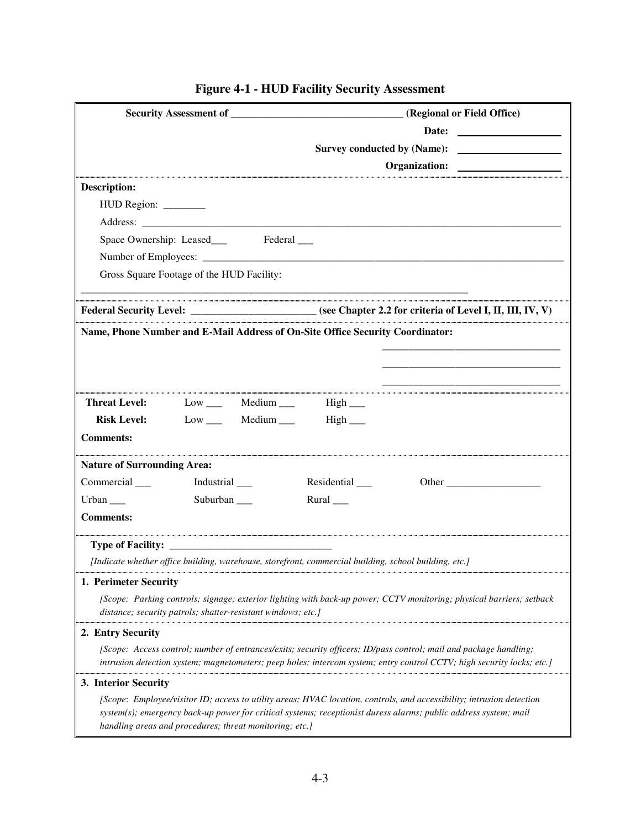|                                    |                                                                                                       |                             | Organization:                                                                                                                                                                                                                               |  |  |
|------------------------------------|-------------------------------------------------------------------------------------------------------|-----------------------------|---------------------------------------------------------------------------------------------------------------------------------------------------------------------------------------------------------------------------------------------|--|--|
| <b>Description:</b>                |                                                                                                       |                             |                                                                                                                                                                                                                                             |  |  |
| HUD Region: _______                |                                                                                                       |                             |                                                                                                                                                                                                                                             |  |  |
|                                    |                                                                                                       |                             |                                                                                                                                                                                                                                             |  |  |
|                                    |                                                                                                       |                             |                                                                                                                                                                                                                                             |  |  |
|                                    |                                                                                                       |                             |                                                                                                                                                                                                                                             |  |  |
|                                    | Gross Square Footage of the HUD Facility:                                                             |                             |                                                                                                                                                                                                                                             |  |  |
|                                    |                                                                                                       |                             | Federal Security Level: ________________________ (see Chapter 2.2 for criteria of Level I, II, III, IV, V)                                                                                                                                  |  |  |
|                                    | Name, Phone Number and E-Mail Address of On-Site Office Security Coordinator:                         |                             |                                                                                                                                                                                                                                             |  |  |
|                                    |                                                                                                       |                             |                                                                                                                                                                                                                                             |  |  |
|                                    |                                                                                                       |                             |                                                                                                                                                                                                                                             |  |  |
| <b>Threat Level:</b>               | Low ____ Medium ____ High ____                                                                        |                             |                                                                                                                                                                                                                                             |  |  |
|                                    | <b>Risk Level:</b> Low ______ Medium _____                                                            | High_                       |                                                                                                                                                                                                                                             |  |  |
| <b>Comments:</b>                   |                                                                                                       |                             |                                                                                                                                                                                                                                             |  |  |
| <b>Nature of Surrounding Area:</b> |                                                                                                       |                             |                                                                                                                                                                                                                                             |  |  |
| Commercial                         | Industrial ___                                                                                        | $Residental$ <sub>___</sub> | Other $\frac{1}{\sqrt{1-\frac{1}{2}}\left(1-\frac{1}{2}\right)}$                                                                                                                                                                            |  |  |
| Urban $\_\_$                       | Suburban $\_\_$                                                                                       | Rural $\_\_$                |                                                                                                                                                                                                                                             |  |  |
| <b>Comments:</b>                   |                                                                                                       |                             |                                                                                                                                                                                                                                             |  |  |
|                                    |                                                                                                       |                             |                                                                                                                                                                                                                                             |  |  |
|                                    | [Indicate whether office building, warehouse, storefront, commercial building, school building, etc.] |                             |                                                                                                                                                                                                                                             |  |  |
| 1. Perimeter Security              |                                                                                                       |                             |                                                                                                                                                                                                                                             |  |  |
|                                    | distance; security patrols; shatter-resistant windows; etc.]                                          |                             | [Scope: Parking controls; signage; exterior lighting with back-up power; CCTV monitoring; physical barriers; setback                                                                                                                        |  |  |
| 2. Entry Security                  |                                                                                                       |                             |                                                                                                                                                                                                                                             |  |  |
|                                    |                                                                                                       |                             | [Scope: Access control; number of entrances/exits; security officers; ID/pass control; mail and package handling;<br>intrusion detection system; magnetometers; peep holes; intercom system; entry control CCTV; high security locks; etc.] |  |  |
| 3. Interior Security               |                                                                                                       |                             |                                                                                                                                                                                                                                             |  |  |
|                                    | handling areas and procedures; threat monitoring; etc.]                                               |                             | [Scope: Employee/visitor ID; access to utility areas; HVAC location, controls, and accessibility; intrusion detection<br>system(s); emergency back-up power for critical systems; receptionist duress alarms; public address system; mail   |  |  |

## **Figure 4-1 - HUD Facility Security Assessment**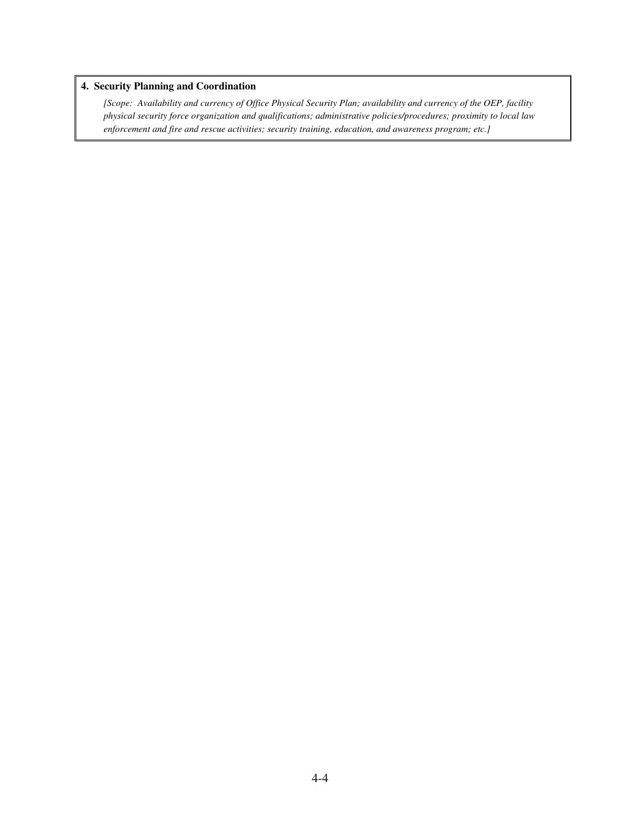#### **4. Security Planning and Coordination**

*[Scope: Availability and currency of Office Physical Security Plan; availability and currency of the OEP, facility physical security force organization and qualifications; administrative policies/procedures; proximity to local law enforcement and fire and rescue activities; security training, education, and awareness program; etc.]*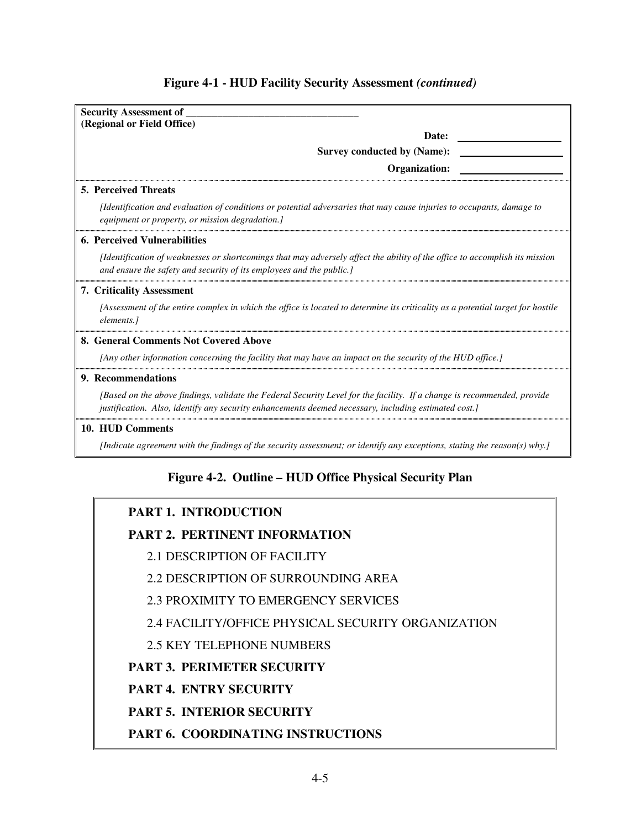| <b>Security Assessment of</b>                                                                                                                                                                                                   |
|---------------------------------------------------------------------------------------------------------------------------------------------------------------------------------------------------------------------------------|
| (Regional or Field Office)                                                                                                                                                                                                      |
| Date:                                                                                                                                                                                                                           |
| <b>Survey conducted by (Name):</b>                                                                                                                                                                                              |
| Organization:                                                                                                                                                                                                                   |
| <b>5. Perceived Threats</b>                                                                                                                                                                                                     |
| <i>[Identification and evaluation of conditions or potential adversaries that may cause injuries to occupants, damage to</i><br>equipment or property, or mission degradation.]                                                 |
| <b>6. Perceived Vulnerabilities</b>                                                                                                                                                                                             |
| [Identification of weaknesses or shortcomings that may adversely affect the ability of the office to accomplish its mission<br>and ensure the safety and security of its employees and the public.                              |
| 7. Criticality Assessment                                                                                                                                                                                                       |
| [Assessment of the entire complex in which the office is located to determine its criticality as a potential target for hostile<br>elements.]                                                                                   |
| 8. General Comments Not Covered Above                                                                                                                                                                                           |
| [Any other information concerning the facility that may have an impact on the security of the HUD office.]                                                                                                                      |
| 9. Recommendations                                                                                                                                                                                                              |
| [Based on the above findings, validate the Federal Security Level for the facility. If a change is recommended, provide<br>justification. Also, identify any security enhancements deemed necessary, including estimated cost.] |
| 10. HUD Comments                                                                                                                                                                                                                |
| [Indicate agreement with the findings of the security assessment; or identify any exceptions, stating the reason(s) why.]                                                                                                       |

#### **Figure 4-1 - HUD Facility Security Assessment** *(continued)*

## **Figure 4-2. Outline – HUD Office Physical Security Plan**

### **PART 1. INTRODUCTION**

### **PART 2. PERTINENT INFORMATION**

- 2.1 DESCRIPTION OF FACILITY
- 2.2 DESCRIPTION OF SURROUNDING AREA
- 2.3 PROXIMITY TO EMERGENCY SERVICES

## 2.4 FACILITY/OFFICE PHYSICAL SECURITY ORGANIZATION

## 2.5 KEY TELEPHONE NUMBERS

## **PART 3. PERIMETER SECURITY**

## **PART 4. ENTRY SECURITY**

## **PART 5. INTERIOR SECURITY**

## **PART 6. COORDINATING INSTRUCTIONS**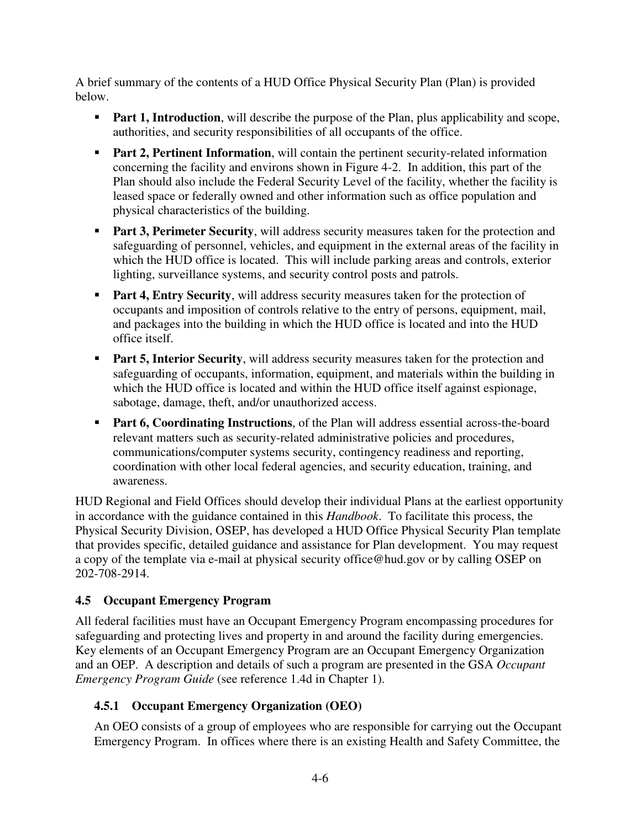A brief summary of the contents of a HUD Office Physical Security Plan (Plan) is provided below.

- **Part 1, Introduction**, will describe the purpose of the Plan, plus applicability and scope, authorities, and security responsibilities of all occupants of the office.
- **Part 2, Pertinent Information**, will contain the pertinent security-related information concerning the facility and environs shown in Figure 4-2. In addition, this part of the Plan should also include the Federal Security Level of the facility, whether the facility is leased space or federally owned and other information such as office population and physical characteristics of the building.
- **Part 3, Perimeter Security**, will address security measures taken for the protection and safeguarding of personnel, vehicles, and equipment in the external areas of the facility in which the HUD office is located. This will include parking areas and controls, exterior lighting, surveillance systems, and security control posts and patrols.
- **Part 4, Entry Security**, will address security measures taken for the protection of occupants and imposition of controls relative to the entry of persons, equipment, mail, and packages into the building in which the HUD office is located and into the HUD office itself.
- **Part 5, Interior Security**, will address security measures taken for the protection and safeguarding of occupants, information, equipment, and materials within the building in which the HUD office is located and within the HUD office itself against espionage, sabotage, damage, theft, and/or unauthorized access.
- **Part 6, Coordinating Instructions**, of the Plan will address essential across-the-board relevant matters such as security-related administrative policies and procedures, communications/computer systems security, contingency readiness and reporting, coordination with other local federal agencies, and security education, training, and awareness.

HUD Regional and Field Offices should develop their individual Plans at the earliest opportunity in accordance with the guidance contained in this *Handbook*. To facilitate this process, the Physical Security Division, OSEP, has developed a HUD Office Physical Security Plan template that provides specific, detailed guidance and assistance for Plan development. You may request a copy of the template via e-mail at physical security office@hud.gov or by calling OSEP on 202-708-2914.

#### **4.5 Occupant Emergency Program**

All federal facilities must have an Occupant Emergency Program encompassing procedures for safeguarding and protecting lives and property in and around the facility during emergencies. Key elements of an Occupant Emergency Program are an Occupant Emergency Organization and an OEP. A description and details of such a program are presented in the GSA *Occupant Emergency Program Guide* (see reference 1.4d in Chapter 1).

#### **4.5.1 Occupant Emergency Organization (OEO)**

An OEO consists of a group of employees who are responsible for carrying out the Occupant Emergency Program. In offices where there is an existing Health and Safety Committee, the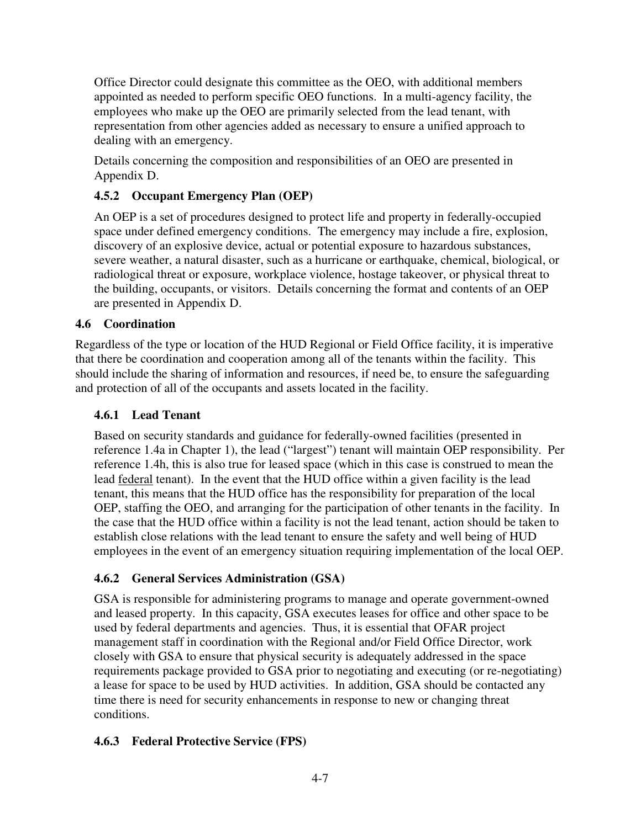Office Director could designate this committee as the OEO, with additional members appointed as needed to perform specific OEO functions. In a multi-agency facility, the employees who make up the OEO are primarily selected from the lead tenant, with representation from other agencies added as necessary to ensure a unified approach to dealing with an emergency.

Details concerning the composition and responsibilities of an OEO are presented in Appendix D.

#### **4.5.2 Occupant Emergency Plan (OEP)**

An OEP is a set of procedures designed to protect life and property in federally-occupied space under defined emergency conditions. The emergency may include a fire, explosion, discovery of an explosive device, actual or potential exposure to hazardous substances, severe weather, a natural disaster, such as a hurricane or earthquake, chemical, biological, or radiological threat or exposure, workplace violence, hostage takeover, or physical threat to the building, occupants, or visitors. Details concerning the format and contents of an OEP are presented in Appendix D.

#### **4.6 Coordination**

Regardless of the type or location of the HUD Regional or Field Office facility, it is imperative that there be coordination and cooperation among all of the tenants within the facility. This should include the sharing of information and resources, if need be, to ensure the safeguarding and protection of all of the occupants and assets located in the facility.

#### **4.6.1 Lead Tenant**

Based on security standards and guidance for federally-owned facilities (presented in reference 1.4a in Chapter 1), the lead ("largest") tenant will maintain OEP responsibility. Per reference 1.4h, this is also true for leased space (which in this case is construed to mean the lead federal tenant). In the event that the HUD office within a given facility is the lead tenant, this means that the HUD office has the responsibility for preparation of the local OEP, staffing the OEO, and arranging for the participation of other tenants in the facility. In the case that the HUD office within a facility is not the lead tenant, action should be taken to establish close relations with the lead tenant to ensure the safety and well being of HUD employees in the event of an emergency situation requiring implementation of the local OEP.

#### **4.6.2 General Services Administration (GSA)**

GSA is responsible for administering programs to manage and operate government-owned and leased property. In this capacity, GSA executes leases for office and other space to be used by federal departments and agencies. Thus, it is essential that OFAR project management staff in coordination with the Regional and/or Field Office Director, work closely with GSA to ensure that physical security is adequately addressed in the space requirements package provided to GSA prior to negotiating and executing (or re-negotiating) a lease for space to be used by HUD activities. In addition, GSA should be contacted any time there is need for security enhancements in response to new or changing threat conditions.

#### **4.6.3 Federal Protective Service (FPS)**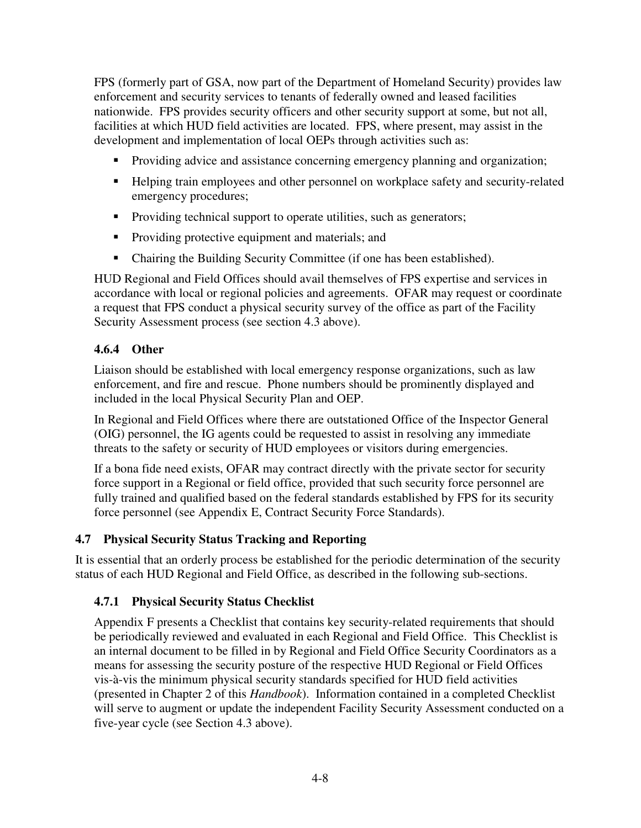FPS (formerly part of GSA, now part of the Department of Homeland Security) provides law enforcement and security services to tenants of federally owned and leased facilities nationwide. FPS provides security officers and other security support at some, but not all, facilities at which HUD field activities are located. FPS, where present, may assist in the development and implementation of local OEPs through activities such as:

- **Providing advice and assistance concerning emergency planning and organization;**
- Helping train employees and other personnel on workplace safety and security-related emergency procedures;
- Providing technical support to operate utilities, such as generators;
- **Providing protective equipment and materials; and**
- Chairing the Building Security Committee (if one has been established).

HUD Regional and Field Offices should avail themselves of FPS expertise and services in accordance with local or regional policies and agreements. OFAR may request or coordinate a request that FPS conduct a physical security survey of the office as part of the Facility Security Assessment process (see section 4.3 above).

#### **4.6.4 Other**

Liaison should be established with local emergency response organizations, such as law enforcement, and fire and rescue. Phone numbers should be prominently displayed and included in the local Physical Security Plan and OEP.

In Regional and Field Offices where there are outstationed Office of the Inspector General (OIG) personnel, the IG agents could be requested to assist in resolving any immediate threats to the safety or security of HUD employees or visitors during emergencies.

If a bona fide need exists, OFAR may contract directly with the private sector for security force support in a Regional or field office, provided that such security force personnel are fully trained and qualified based on the federal standards established by FPS for its security force personnel (see Appendix E, Contract Security Force Standards).

#### **4.7 Physical Security Status Tracking and Reporting**

It is essential that an orderly process be established for the periodic determination of the security status of each HUD Regional and Field Office, as described in the following sub-sections.

#### **4.7.1 Physical Security Status Checklist**

Appendix F presents a Checklist that contains key security-related requirements that should be periodically reviewed and evaluated in each Regional and Field Office. This Checklist is an internal document to be filled in by Regional and Field Office Security Coordinators as a means for assessing the security posture of the respective HUD Regional or Field Offices vis-à-vis the minimum physical security standards specified for HUD field activities (presented in Chapter 2 of this *Handbook*). Information contained in a completed Checklist will serve to augment or update the independent Facility Security Assessment conducted on a five-year cycle (see Section 4.3 above).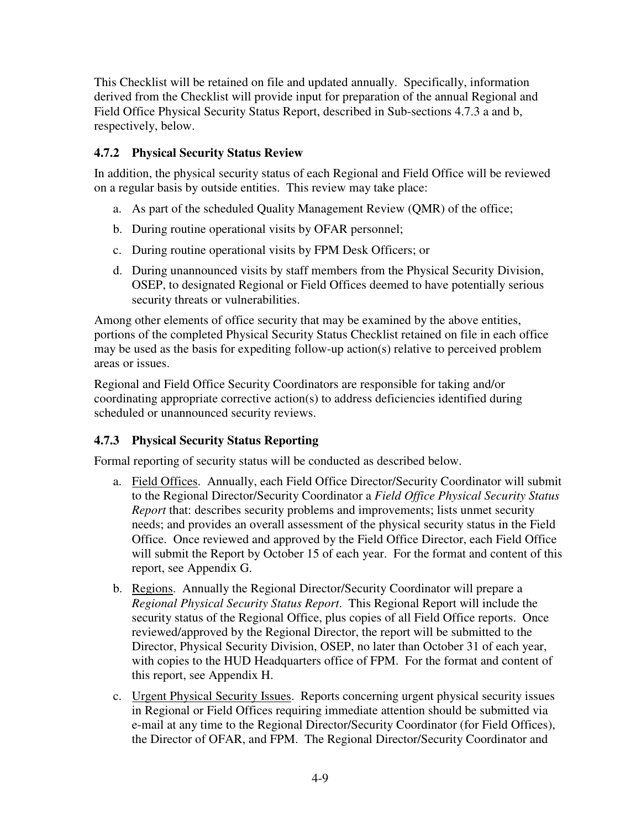This Checklist will be retained on file and updated annually. Specifically, information derived from the Checklist will provide input for preparation of the annual Regional and Field Office Physical Security Status Report, described in Sub-sections 4.7.3 a and b, respectively, below.

#### **4.7.2 Physical Security Status Review**

In addition, the physical security status of each Regional and Field Office will be reviewed on a regular basis by outside entities. This review may take place:

- a. As part of the scheduled Quality Management Review (QMR) of the office;
- b. During routine operational visits by OFAR personnel;
- c. During routine operational visits by FPM Desk Officers; or
- d. During unannounced visits by staff members from the Physical Security Division, OSEP, to designated Regional or Field Offices deemed to have potentially serious security threats or vulnerabilities.

Among other elements of office security that may be examined by the above entities, portions of the completed Physical Security Status Checklist retained on file in each office may be used as the basis for expediting follow-up action(s) relative to perceived problem areas or issues.

Regional and Field Office Security Coordinators are responsible for taking and/or coordinating appropriate corrective action(s) to address deficiencies identified during scheduled or unannounced security reviews.

#### **4.7.3 Physical Security Status Reporting**

Formal reporting of security status will be conducted as described below.

- a. Field Offices. Annually, each Field Office Director/Security Coordinator will submit to the Regional Director/Security Coordinator a *Field Office Physical Security Status Report* that: describes security problems and improvements; lists unmet security needs; and provides an overall assessment of the physical security status in the Field Office. Once reviewed and approved by the Field Office Director, each Field Office will submit the Report by October 15 of each year. For the format and content of this report, see Appendix G.
- b. Regions. Annually the Regional Director/Security Coordinator will prepare a *Regional Physical Security Status Report*. This Regional Report will include the security status of the Regional Office, plus copies of all Field Office reports. Once reviewed/approved by the Regional Director, the report will be submitted to the Director, Physical Security Division, OSEP, no later than October 31 of each year, with copies to the HUD Headquarters office of FPM. For the format and content of this report, see Appendix H.
- c. Urgent Physical Security Issues. Reports concerning urgent physical security issues in Regional or Field Offices requiring immediate attention should be submitted via e-mail at any time to the Regional Director/Security Coordinator (for Field Offices), the Director of OFAR, and FPM. The Regional Director/Security Coordinator and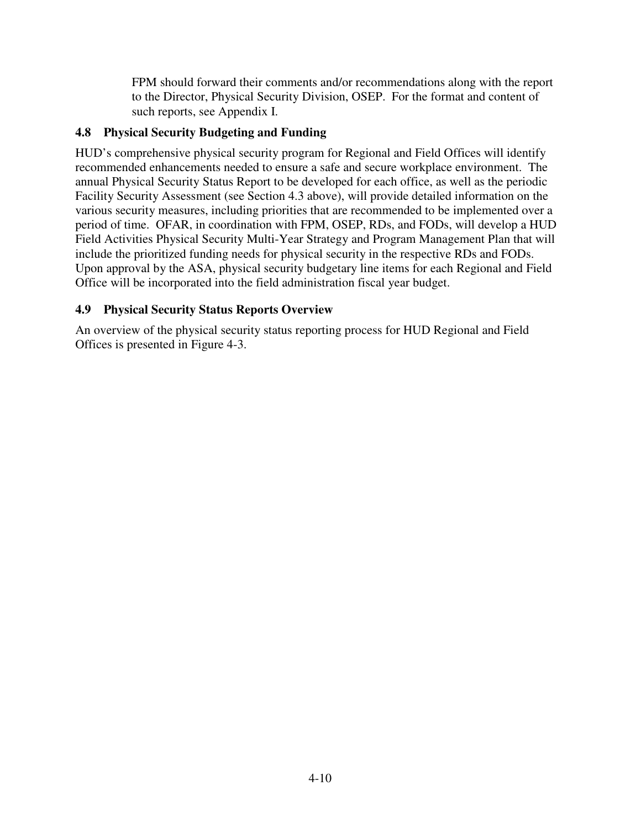FPM should forward their comments and/or recommendations along with the report to the Director, Physical Security Division, OSEP. For the format and content of such reports, see Appendix I.

## **4.8 Physical Security Budgeting and Funding**

HUD's comprehensive physical security program for Regional and Field Offices will identify recommended enhancements needed to ensure a safe and secure workplace environment. The annual Physical Security Status Report to be developed for each office, as well as the periodic Facility Security Assessment (see Section 4.3 above), will provide detailed information on the various security measures, including priorities that are recommended to be implemented over a period of time. OFAR, in coordination with FPM, OSEP, RDs, and FODs, will develop a HUD Field Activities Physical Security Multi-Year Strategy and Program Management Plan that will include the prioritized funding needs for physical security in the respective RDs and FODs. Upon approval by the ASA, physical security budgetary line items for each Regional and Field Office will be incorporated into the field administration fiscal year budget.

## **4.9 Physical Security Status Reports Overview**

An overview of the physical security status reporting process for HUD Regional and Field Offices is presented in Figure 4-3.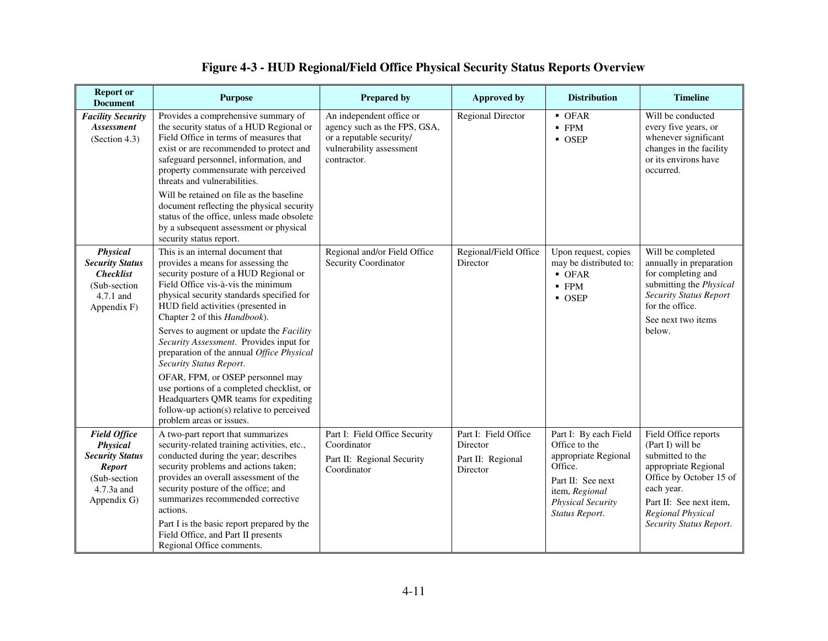## **Figure 4-3 - HUD Regional/Field Office Physical Security Status Reports Overview**

| <b>Report or</b><br><b>Document</b>                                                                                      | <b>Purpose</b>                                                                                                                                                                                                                                                                                                                                                                                                                                                                                                                                                                                                                              | <b>Prepared by</b>                                                                                                              | <b>Approved by</b>                                                | <b>Distribution</b>                                                                                                                                            | <b>Timeline</b>                                                                                                                                                                                                 |
|--------------------------------------------------------------------------------------------------------------------------|---------------------------------------------------------------------------------------------------------------------------------------------------------------------------------------------------------------------------------------------------------------------------------------------------------------------------------------------------------------------------------------------------------------------------------------------------------------------------------------------------------------------------------------------------------------------------------------------------------------------------------------------|---------------------------------------------------------------------------------------------------------------------------------|-------------------------------------------------------------------|----------------------------------------------------------------------------------------------------------------------------------------------------------------|-----------------------------------------------------------------------------------------------------------------------------------------------------------------------------------------------------------------|
| <b>Facility Security</b><br>Assessment<br>(Section 4.3)                                                                  | Provides a comprehensive summary of<br>the security status of a HUD Regional or<br>Field Office in terms of measures that<br>exist or are recommended to protect and<br>safeguard personnel, information, and<br>property commensurate with perceived<br>threats and vulnerabilities.<br>Will be retained on file as the baseline<br>document reflecting the physical security<br>status of the office, unless made obsolete<br>by a subsequent assessment or physical<br>security status report.                                                                                                                                           | An independent office or<br>agency such as the FPS, GSA,<br>or a reputable security/<br>vulnerability assessment<br>contractor. | <b>Regional Director</b>                                          | $\blacksquare$ OFAR<br>$-$ FPM<br>$\overline{\phantom{a}}$ OSEP                                                                                                | Will be conducted<br>every five years, or<br>whenever significant<br>changes in the facility<br>or its environs have<br>occurred.                                                                               |
| Physical<br><b>Security Status</b><br><b>Checklist</b><br>(Sub-section<br>$4.7.1$ and<br>Appendix F)                     | This is an internal document that<br>provides a means for assessing the<br>security posture of a HUD Regional or<br>Field Office vis-à-vis the minimum<br>physical security standards specified for<br>HUD field activities (presented in<br>Chapter 2 of this Handbook).<br>Serves to augment or update the Facility<br>Security Assessment. Provides input for<br>preparation of the annual Office Physical<br>Security Status Report.<br>OFAR, FPM, or OSEP personnel may<br>use portions of a completed checklist, or<br>Headquarters QMR teams for expediting<br>follow-up action(s) relative to perceived<br>problem areas or issues. | Regional and/or Field Office<br>Security Coordinator                                                                            | Regional/Field Office<br>Director                                 | Upon request, copies<br>may be distributed to:<br>$-$ OFAR<br>$-$ FPM<br>• OSEP                                                                                | Will be completed<br>annually in preparation<br>for completing and<br>submitting the Physical<br><b>Security Status Report</b><br>for the office.<br>See next two items<br>below.                               |
| <b>Field Office</b><br>Physical<br><b>Security Status</b><br><b>Report</b><br>(Sub-section)<br>4.7.3a and<br>Appendix G) | A two-part report that summarizes<br>security-related training activities, etc.,<br>conducted during the year; describes<br>security problems and actions taken;<br>provides an overall assessment of the<br>security posture of the office; and<br>summarizes recommended corrective<br>actions.<br>Part I is the basic report prepared by the<br>Field Office, and Part II presents<br>Regional Office comments.                                                                                                                                                                                                                          | Part I: Field Office Security<br>Coordinator<br>Part II: Regional Security<br>Coordinator                                       | Part I: Field Office<br>Director<br>Part II: Regional<br>Director | Part I: By each Field<br>Office to the<br>appropriate Regional<br>Office.<br>Part II: See next<br>item, Regional<br><b>Physical Security</b><br>Status Report. | Field Office reports<br>(Part I) will be<br>submitted to the<br>appropriate Regional<br>Office by October 15 of<br>each year.<br>Part II: See next item,<br><b>Regional Physical</b><br>Security Status Report. |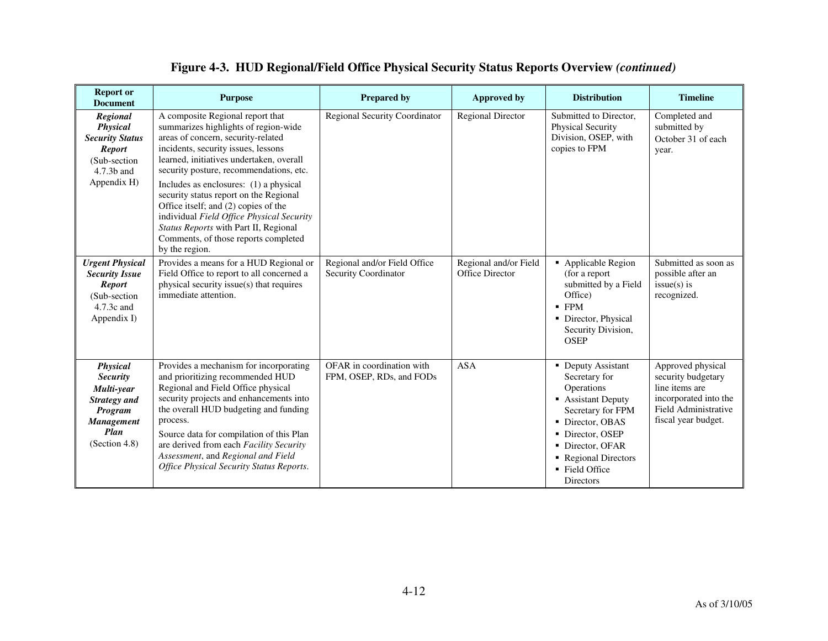| <b>Report or</b><br><b>Document</b>                                                                                              | <b>Purpose</b>                                                                                                                                                                                                                                                                                                                                                                                                                                                                                                           | <b>Prepared by</b>                                    | <b>Approved by</b>                       | <b>Distribution</b>                                                                                                                                                                                           | <b>Timeline</b>                                                                                                                   |
|----------------------------------------------------------------------------------------------------------------------------------|--------------------------------------------------------------------------------------------------------------------------------------------------------------------------------------------------------------------------------------------------------------------------------------------------------------------------------------------------------------------------------------------------------------------------------------------------------------------------------------------------------------------------|-------------------------------------------------------|------------------------------------------|---------------------------------------------------------------------------------------------------------------------------------------------------------------------------------------------------------------|-----------------------------------------------------------------------------------------------------------------------------------|
| Regional<br>Physical<br><b>Security Status</b><br><b>Report</b><br>(Sub-section<br>4.7.3b and<br>Appendix H)                     | A composite Regional report that<br>summarizes highlights of region-wide<br>areas of concern, security-related<br>incidents, security issues, lessons<br>learned, initiatives undertaken, overall<br>security posture, recommendations, etc.<br>Includes as enclosures: (1) a physical<br>security status report on the Regional<br>Office itself; and (2) copies of the<br>individual Field Office Physical Security<br>Status Reports with Part II, Regional<br>Comments, of those reports completed<br>by the region. | <b>Regional Security Coordinator</b>                  | <b>Regional Director</b>                 | Submitted to Director.<br><b>Physical Security</b><br>Division, OSEP, with<br>copies to FPM                                                                                                                   | Completed and<br>submitted by<br>October 31 of each<br>year.                                                                      |
| <b>Urgent Physical</b><br><b>Security Issue</b><br><b>Report</b><br>(Sub-section<br>4.7.3c and<br>Appendix I)                    | Provides a means for a HUD Regional or<br>Field Office to report to all concerned a<br>physical security issue(s) that requires<br>immediate attention.                                                                                                                                                                                                                                                                                                                                                                  | Regional and/or Field Office<br>Security Coordinator  | Regional and/or Field<br>Office Director | • Applicable Region<br>(for a report<br>submitted by a Field<br>Office)<br>$-$ FPM<br>• Director, Physical<br>Security Division,<br><b>OSEP</b>                                                               | Submitted as soon as<br>possible after an<br>$issue(s)$ is<br>recognized.                                                         |
| <b>Physical</b><br><b>Security</b><br>Multi-year<br><b>Strategy and</b><br>Program<br><b>Management</b><br>Plan<br>(Section 4.8) | Provides a mechanism for incorporating<br>and prioritizing recommended HUD<br>Regional and Field Office physical<br>security projects and enhancements into<br>the overall HUD budgeting and funding<br>process.<br>Source data for compilation of this Plan<br>are derived from each Facility Security<br>Assessment, and Regional and Field<br><b>Office Physical Security Status Reports.</b>                                                                                                                         | OFAR in coordination with<br>FPM, OSEP, RDs, and FODs | <b>ASA</b>                               | • Deputy Assistant<br>Secretary for<br>Operations<br>• Assistant Deputy<br>Secretary for FPM<br>• Director, OBAS<br>• Director, OSEP<br>• Director, OFAR<br>Regional Directors<br>■ Field Office<br>Directors | Approved physical<br>security budgetary<br>line items are<br>incorporated into the<br>Field Administrative<br>fiscal year budget. |

## **Figure 4-3. HUD Regional/Field Office Physical Security Status Reports Overview** *(continued)*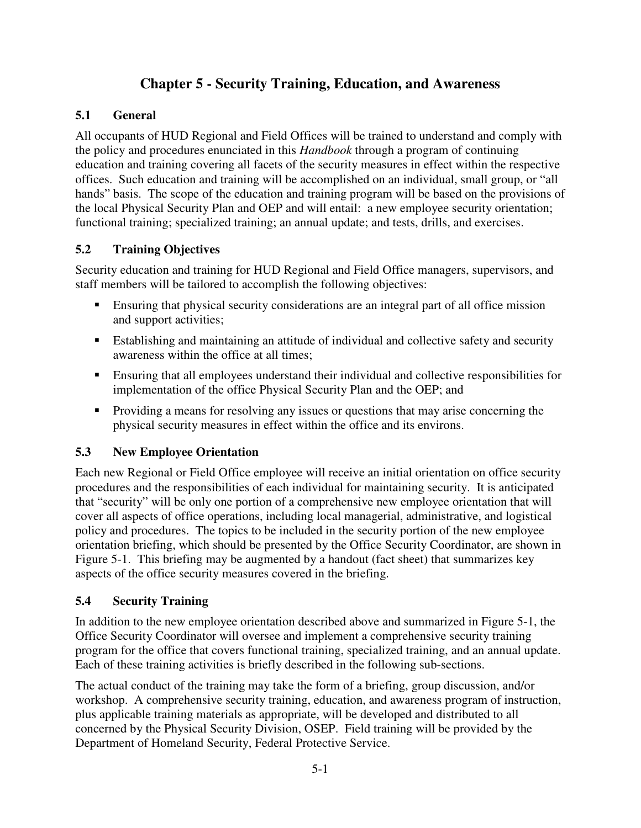## **Chapter 5 - Security Training, Education, and Awareness**

## **5.1 General**

All occupants of HUD Regional and Field Offices will be trained to understand and comply with the policy and procedures enunciated in this *Handbook* through a program of continuing education and training covering all facets of the security measures in effect within the respective offices. Such education and training will be accomplished on an individual, small group, or "all hands" basis. The scope of the education and training program will be based on the provisions of the local Physical Security Plan and OEP and will entail: a new employee security orientation; functional training; specialized training; an annual update; and tests, drills, and exercises.

## **5.2 Training Objectives**

Security education and training for HUD Regional and Field Office managers, supervisors, and staff members will be tailored to accomplish the following objectives:

- Ensuring that physical security considerations are an integral part of all office mission and support activities;
- Establishing and maintaining an attitude of individual and collective safety and security awareness within the office at all times;
- Ensuring that all employees understand their individual and collective responsibilities for implementation of the office Physical Security Plan and the OEP; and
- Providing a means for resolving any issues or questions that may arise concerning the physical security measures in effect within the office and its environs.

## **5.3 New Employee Orientation**

Each new Regional or Field Office employee will receive an initial orientation on office security procedures and the responsibilities of each individual for maintaining security. It is anticipated that "security" will be only one portion of a comprehensive new employee orientation that will cover all aspects of office operations, including local managerial, administrative, and logistical policy and procedures. The topics to be included in the security portion of the new employee orientation briefing, which should be presented by the Office Security Coordinator, are shown in Figure 5-1. This briefing may be augmented by a handout (fact sheet) that summarizes key aspects of the office security measures covered in the briefing.

## **5.4 Security Training**

In addition to the new employee orientation described above and summarized in Figure 5-1, the Office Security Coordinator will oversee and implement a comprehensive security training program for the office that covers functional training, specialized training, and an annual update. Each of these training activities is briefly described in the following sub-sections.

The actual conduct of the training may take the form of a briefing, group discussion, and/or workshop. A comprehensive security training, education, and awareness program of instruction, plus applicable training materials as appropriate, will be developed and distributed to all concerned by the Physical Security Division, OSEP. Field training will be provided by the Department of Homeland Security, Federal Protective Service.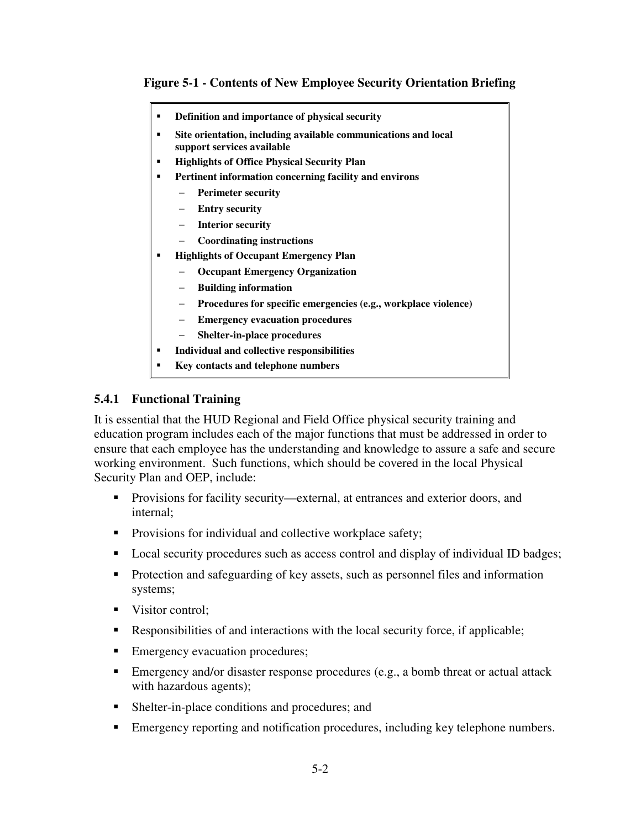### **Figure 5-1 - Contents of New Employee Security Orientation Briefing**

- **Definition and importance of physical security**
- **Site orientation, including available communications and local support services available**
- **Highlights of Office Physical Security Plan**
- **Pertinent information concerning facility and environs** 
	- − **Perimeter security**
	- − **Entry security**
	- − **Interior security**
	- − **Coordinating instructions**
- **Highlights of Occupant Emergency Plan** 
	- − **Occupant Emergency Organization**
	- − **Building information**
	- − **Procedures for specific emergencies (e.g., workplace violence)**
	- − **Emergency evacuation procedures**
	- − **Shelter-in-place procedures**
- **Individual and collective responsibilities**
- **Key contacts and telephone numbers**

#### **5.4.1 Functional Training**

It is essential that the HUD Regional and Field Office physical security training and education program includes each of the major functions that must be addressed in order to ensure that each employee has the understanding and knowledge to assure a safe and secure working environment. Such functions, which should be covered in the local Physical Security Plan and OEP, include:

- Provisions for facility security—external, at entrances and exterior doors, and internal;
- **Provisions for individual and collective workplace safety;**
- **Local security procedures such as access control and display of individual ID badges;**
- **Protection and safeguarding of key assets, such as personnel files and information** systems;
- Visitor control;
- Responsibilities of and interactions with the local security force, if applicable;
- **Emergency evacuation procedures;**
- **Emergency and/or disaster response procedures (e.g., a bomb threat or actual attack** with hazardous agents);
- Shelter-in-place conditions and procedures; and
- Emergency reporting and notification procedures, including key telephone numbers.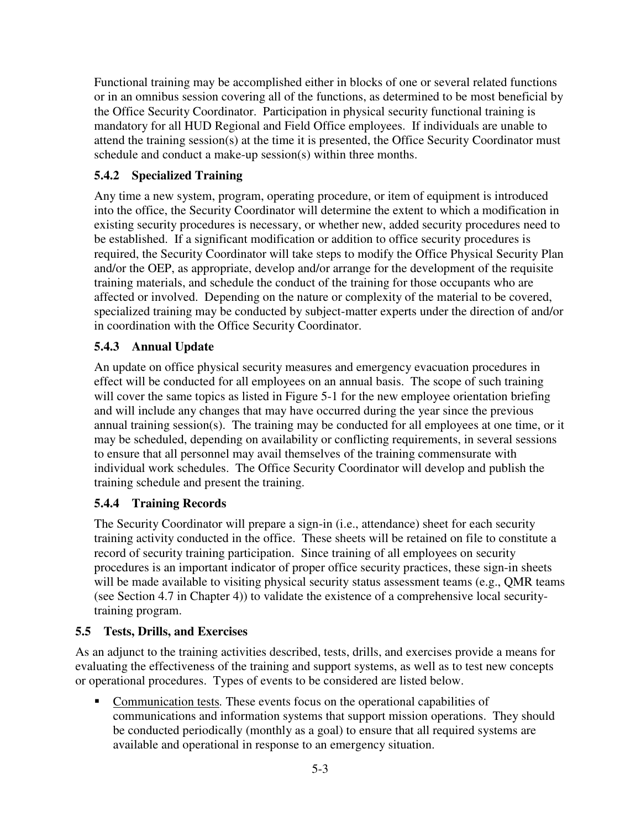Functional training may be accomplished either in blocks of one or several related functions or in an omnibus session covering all of the functions, as determined to be most beneficial by the Office Security Coordinator. Participation in physical security functional training is mandatory for all HUD Regional and Field Office employees. If individuals are unable to attend the training session(s) at the time it is presented, the Office Security Coordinator must schedule and conduct a make-up session(s) within three months.

## **5.4.2 Specialized Training**

Any time a new system, program, operating procedure, or item of equipment is introduced into the office, the Security Coordinator will determine the extent to which a modification in existing security procedures is necessary, or whether new, added security procedures need to be established. If a significant modification or addition to office security procedures is required, the Security Coordinator will take steps to modify the Office Physical Security Plan and/or the OEP, as appropriate, develop and/or arrange for the development of the requisite training materials, and schedule the conduct of the training for those occupants who are affected or involved. Depending on the nature or complexity of the material to be covered, specialized training may be conducted by subject-matter experts under the direction of and/or in coordination with the Office Security Coordinator.

## **5.4.3 Annual Update**

An update on office physical security measures and emergency evacuation procedures in effect will be conducted for all employees on an annual basis. The scope of such training will cover the same topics as listed in Figure 5-1 for the new employee orientation briefing and will include any changes that may have occurred during the year since the previous annual training session(s). The training may be conducted for all employees at one time, or it may be scheduled, depending on availability or conflicting requirements, in several sessions to ensure that all personnel may avail themselves of the training commensurate with individual work schedules. The Office Security Coordinator will develop and publish the training schedule and present the training.

## **5.4.4 Training Records**

The Security Coordinator will prepare a sign-in (i.e., attendance) sheet for each security training activity conducted in the office. These sheets will be retained on file to constitute a record of security training participation. Since training of all employees on security procedures is an important indicator of proper office security practices, these sign-in sheets will be made available to visiting physical security status assessment teams (e.g., QMR teams (see Section 4.7 in Chapter 4)) to validate the existence of a comprehensive local securitytraining program.

## **5.5 Tests, Drills, and Exercises**

As an adjunct to the training activities described, tests, drills, and exercises provide a means for evaluating the effectiveness of the training and support systems, as well as to test new concepts or operational procedures. Types of events to be considered are listed below.

 Communication tests*.* These events focus on the operational capabilities of communications and information systems that support mission operations. They should be conducted periodically (monthly as a goal) to ensure that all required systems are available and operational in response to an emergency situation.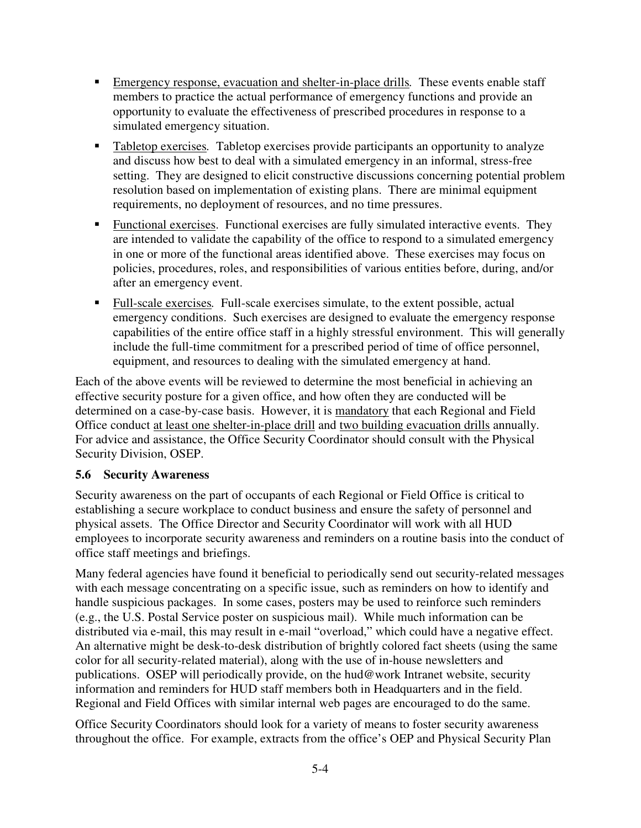- Emergency response, evacuation and shelter-in-place drills*.* These events enable staff members to practice the actual performance of emergency functions and provide an opportunity to evaluate the effectiveness of prescribed procedures in response to a simulated emergency situation.
- Tabletop exercises*.* Tabletop exercises provide participants an opportunity to analyze and discuss how best to deal with a simulated emergency in an informal, stress-free setting. They are designed to elicit constructive discussions concerning potential problem resolution based on implementation of existing plans. There are minimal equipment requirements, no deployment of resources, and no time pressures.
- Functional exercises. Functional exercises are fully simulated interactive events. They are intended to validate the capability of the office to respond to a simulated emergency in one or more of the functional areas identified above. These exercises may focus on policies, procedures, roles, and responsibilities of various entities before, during, and/or after an emergency event.
- Full-scale exercises*.* Full-scale exercises simulate, to the extent possible, actual emergency conditions. Such exercises are designed to evaluate the emergency response capabilities of the entire office staff in a highly stressful environment. This will generally include the full-time commitment for a prescribed period of time of office personnel, equipment, and resources to dealing with the simulated emergency at hand.

Each of the above events will be reviewed to determine the most beneficial in achieving an effective security posture for a given office, and how often they are conducted will be determined on a case-by-case basis. However, it is mandatory that each Regional and Field Office conduct at least one shelter-in-place drill and two building evacuation drills annually. For advice and assistance, the Office Security Coordinator should consult with the Physical Security Division, OSEP.

## **5.6 Security Awareness**

Security awareness on the part of occupants of each Regional or Field Office is critical to establishing a secure workplace to conduct business and ensure the safety of personnel and physical assets. The Office Director and Security Coordinator will work with all HUD employees to incorporate security awareness and reminders on a routine basis into the conduct of office staff meetings and briefings.

Many federal agencies have found it beneficial to periodically send out security-related messages with each message concentrating on a specific issue, such as reminders on how to identify and handle suspicious packages. In some cases, posters may be used to reinforce such reminders (e.g., the U.S. Postal Service poster on suspicious mail). While much information can be distributed via e-mail, this may result in e-mail "overload," which could have a negative effect. An alternative might be desk-to-desk distribution of brightly colored fact sheets (using the same color for all security-related material), along with the use of in-house newsletters and publications. OSEP will periodically provide, on the hud@work Intranet website, security information and reminders for HUD staff members both in Headquarters and in the field. Regional and Field Offices with similar internal web pages are encouraged to do the same.

Office Security Coordinators should look for a variety of means to foster security awareness throughout the office. For example, extracts from the office's OEP and Physical Security Plan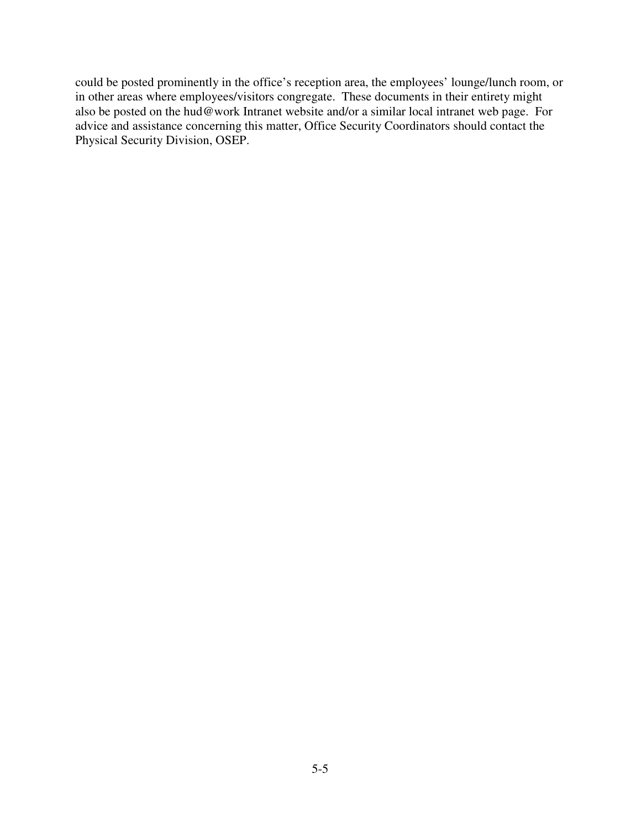could be posted prominently in the office's reception area, the employees' lounge/lunch room, or in other areas where employees/visitors congregate. These documents in their entirety might also be posted on the hud@work Intranet website and/or a similar local intranet web page. For advice and assistance concerning this matter, Office Security Coordinators should contact the Physical Security Division, OSEP.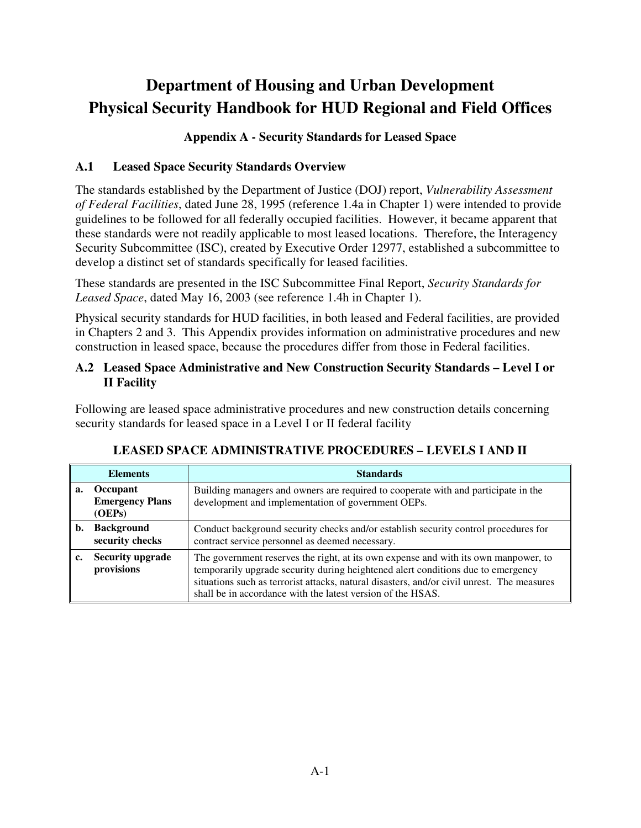# **Department of Housing and Urban Development Physical Security Handbook for HUD Regional and Field Offices**

## **Appendix A - Security Standards for Leased Space**

## **A.1 Leased Space Security Standards Overview**

The standards established by the Department of Justice (DOJ) report, *Vulnerability Assessment of Federal Facilities*, dated June 28, 1995 (reference 1.4a in Chapter 1) were intended to provide guidelines to be followed for all federally occupied facilities. However, it became apparent that these standards were not readily applicable to most leased locations. Therefore, the Interagency Security Subcommittee (ISC), created by Executive Order 12977, established a subcommittee to develop a distinct set of standards specifically for leased facilities.

These standards are presented in the ISC Subcommittee Final Report, *Security Standards for Leased Space*, dated May 16, 2003 (see reference 1.4h in Chapter 1).

Physical security standards for HUD facilities, in both leased and Federal facilities, are provided in Chapters 2 and 3. This Appendix provides information on administrative procedures and new construction in leased space, because the procedures differ from those in Federal facilities.

## **A.2 Leased Space Administrative and New Construction Security Standards – Level I or II Facility**

Following are leased space administrative procedures and new construction details concerning security standards for leased space in a Level I or II federal facility

| <b>Elements</b> |                                              | <b>Standards</b>                                                                                                                                                                                                                                                                                                                     |  |  |
|-----------------|----------------------------------------------|--------------------------------------------------------------------------------------------------------------------------------------------------------------------------------------------------------------------------------------------------------------------------------------------------------------------------------------|--|--|
| a.              | Occupant<br><b>Emergency Plans</b><br>(OEPs) | Building managers and owners are required to cooperate with and participate in the<br>development and implementation of government OEPs.                                                                                                                                                                                             |  |  |
| b.              | <b>Background</b><br>security checks         | Conduct background security checks and/or establish security control procedures for<br>contract service personnel as deemed necessary.                                                                                                                                                                                               |  |  |
|                 | <b>Security upgrade</b><br>provisions        | The government reserves the right, at its own expense and with its own manpower, to<br>temporarily upgrade security during heightened alert conditions due to emergency<br>situations such as terrorist attacks, natural disasters, and/or civil unrest. The measures<br>shall be in accordance with the latest version of the HSAS. |  |  |

## **LEASED SPACE ADMINISTRATIVE PROCEDURES – LEVELS I AND II**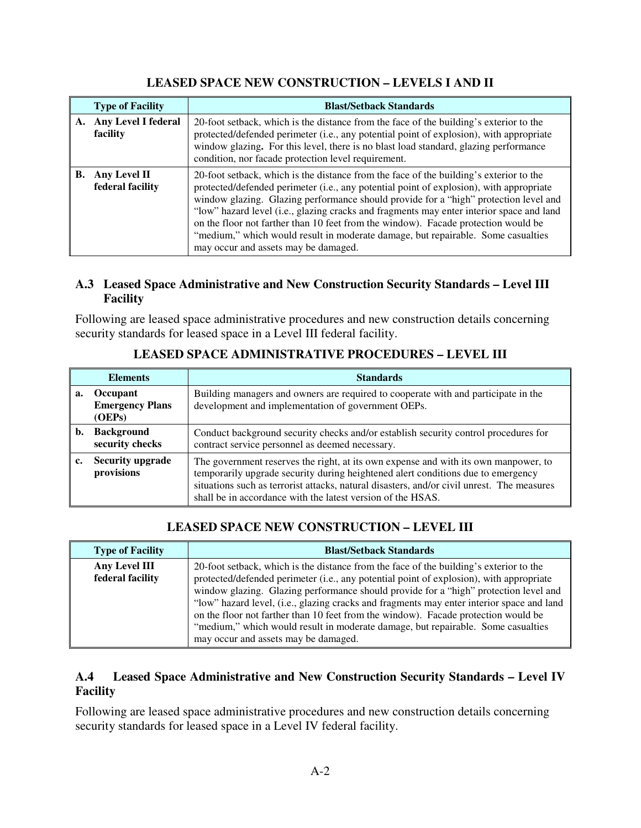## **LEASED SPACE NEW CONSTRUCTION – LEVELS I AND II**

| <b>Type of Facility</b> |                                    | <b>Blast/Setback Standards</b>                                                                                                                                                                                                                                                                                                                                                                                                                                                                                                                                                          |
|-------------------------|------------------------------------|-----------------------------------------------------------------------------------------------------------------------------------------------------------------------------------------------------------------------------------------------------------------------------------------------------------------------------------------------------------------------------------------------------------------------------------------------------------------------------------------------------------------------------------------------------------------------------------------|
|                         | A. Any Level I federal<br>facility | 20-foot setback, which is the distance from the face of the building's exterior to the<br>protected/defended perimeter (i.e., any potential point of explosion), with appropriate<br>window glazing. For this level, there is no blast load standard, glazing performance<br>condition, nor facade protection level requirement.                                                                                                                                                                                                                                                        |
| <b>B.</b>               | Any Level II<br>federal facility   | 20-foot setback, which is the distance from the face of the building's exterior to the<br>protected/defended perimeter (i.e., any potential point of explosion), with appropriate<br>window glazing. Glazing performance should provide for a "high" protection level and<br>"low" hazard level (i.e., glazing cracks and fragments may enter interior space and land<br>on the floor not farther than 10 feet from the window). Facade protection would be<br>"medium," which would result in moderate damage, but repairable. Some casualties<br>may occur and assets may be damaged. |

## **A.3 Leased Space Administrative and New Construction Security Standards – Level III Facility**

Following are leased space administrative procedures and new construction details concerning security standards for leased space in a Level III federal facility.

| <b>Elements</b> |                                              | <b>Standards</b>                                                                                                                                                                                                                                                                                                                     |  |  |
|-----------------|----------------------------------------------|--------------------------------------------------------------------------------------------------------------------------------------------------------------------------------------------------------------------------------------------------------------------------------------------------------------------------------------|--|--|
| а.              | Occupant<br><b>Emergency Plans</b><br>(OEPs) | Building managers and owners are required to cooperate with and participate in the<br>development and implementation of government OEPs.                                                                                                                                                                                             |  |  |
|                 | <b>Background</b><br>security checks         | Conduct background security checks and/or establish security control procedures for<br>contract service personnel as deemed necessary.                                                                                                                                                                                               |  |  |
| l c.            | <b>Security upgrade</b><br>provisions        | The government reserves the right, at its own expense and with its own manpower, to<br>temporarily upgrade security during heightened alert conditions due to emergency<br>situations such as terrorist attacks, natural disasters, and/or civil unrest. The measures<br>shall be in accordance with the latest version of the HSAS. |  |  |

**LEASED SPACE ADMINISTRATIVE PROCEDURES – LEVEL III** 

## **LEASED SPACE NEW CONSTRUCTION – LEVEL III**

| <b>Type of Facility</b>           | <b>Blast/Setback Standards</b>                                                                                                                                                                                                                                                                                                                                                                                                                                                                                                                                                           |  |  |
|-----------------------------------|------------------------------------------------------------------------------------------------------------------------------------------------------------------------------------------------------------------------------------------------------------------------------------------------------------------------------------------------------------------------------------------------------------------------------------------------------------------------------------------------------------------------------------------------------------------------------------------|--|--|
| Any Level III<br>federal facility | 20-foot setback, which is the distance from the face of the building's exterior to the<br>protected/defended perimeter (i.e., any potential point of explosion), with appropriate<br>window glazing. Glazing performance should provide for a "high" protection level and<br>"low" hazard level, (i.e., glazing cracks and fragments may enter interior space and land<br>on the floor not farther than 10 feet from the window). Facade protection would be<br>"medium," which would result in moderate damage, but repairable. Some casualties<br>may occur and assets may be damaged. |  |  |

## **A.4 Leased Space Administrative and New Construction Security Standards – Level IV Facility**

Following are leased space administrative procedures and new construction details concerning security standards for leased space in a Level IV federal facility.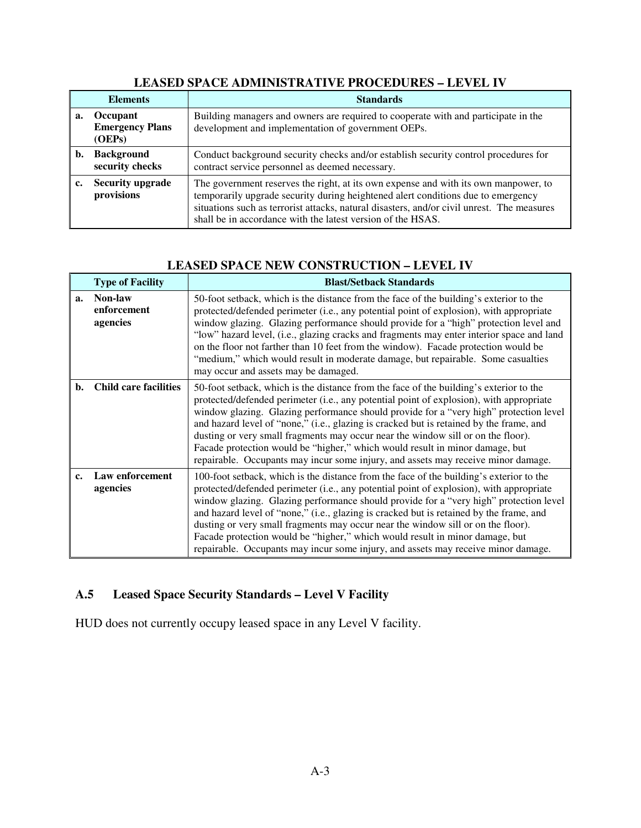| <b>Elements</b> |                                              | <b>Standards</b>                                                                                                                                                                                                                                                                                                                     |  |  |
|-----------------|----------------------------------------------|--------------------------------------------------------------------------------------------------------------------------------------------------------------------------------------------------------------------------------------------------------------------------------------------------------------------------------------|--|--|
| a.              | Occupant<br><b>Emergency Plans</b><br>(OEPs) | Building managers and owners are required to cooperate with and participate in the<br>development and implementation of government OEPs.                                                                                                                                                                                             |  |  |
| b.              | <b>Background</b><br>security checks         | Conduct background security checks and/or establish security control procedures for<br>contract service personnel as deemed necessary.                                                                                                                                                                                               |  |  |
|                 | <b>Security upgrade</b><br>provisions        | The government reserves the right, at its own expense and with its own manpower, to<br>temporarily upgrade security during heightened alert conditions due to emergency<br>situations such as terrorist attacks, natural disasters, and/or civil unrest. The measures<br>shall be in accordance with the latest version of the HSAS. |  |  |

## **LEASED SPACE ADMINISTRATIVE PROCEDURES – LEVEL IV**

## **LEASED SPACE NEW CONSTRUCTION – LEVEL IV**

|               | <b>Type of Facility</b>            | <b>Blast/Setback Standards</b>                                                                                                                                                                                                                                                                                                                                                                                                                                                                                                                                                                                                  |
|---------------|------------------------------------|---------------------------------------------------------------------------------------------------------------------------------------------------------------------------------------------------------------------------------------------------------------------------------------------------------------------------------------------------------------------------------------------------------------------------------------------------------------------------------------------------------------------------------------------------------------------------------------------------------------------------------|
| a.            | Non-law<br>enforcement<br>agencies | 50-foot setback, which is the distance from the face of the building's exterior to the<br>protected/defended perimeter (i.e., any potential point of explosion), with appropriate<br>window glazing. Glazing performance should provide for a "high" protection level and<br>"low" hazard level, (i.e., glazing cracks and fragments may enter interior space and land<br>on the floor not farther than 10 feet from the window). Facade protection would be<br>"medium," which would result in moderate damage, but repairable. Some casualties<br>may occur and assets may be damaged.                                        |
| b.            | <b>Child care facilities</b>       | 50-foot setback, which is the distance from the face of the building's exterior to the<br>protected/defended perimeter (i.e., any potential point of explosion), with appropriate<br>window glazing. Glazing performance should provide for a "very high" protection level<br>and hazard level of "none," (i.e., glazing is cracked but is retained by the frame, and<br>dusting or very small fragments may occur near the window sill or on the floor).<br>Facade protection would be "higher," which would result in minor damage, but<br>repairable. Occupants may incur some injury, and assets may receive minor damage.  |
| $c_{\bullet}$ | Law enforcement<br>agencies        | 100-foot setback, which is the distance from the face of the building's exterior to the<br>protected/defended perimeter (i.e., any potential point of explosion), with appropriate<br>window glazing. Glazing performance should provide for a "very high" protection level<br>and hazard level of "none," (i.e., glazing is cracked but is retained by the frame, and<br>dusting or very small fragments may occur near the window sill or on the floor).<br>Facade protection would be "higher," which would result in minor damage, but<br>repairable. Occupants may incur some injury, and assets may receive minor damage. |

## **A.5 Leased Space Security Standards – Level V Facility**

HUD does not currently occupy leased space in any Level V facility.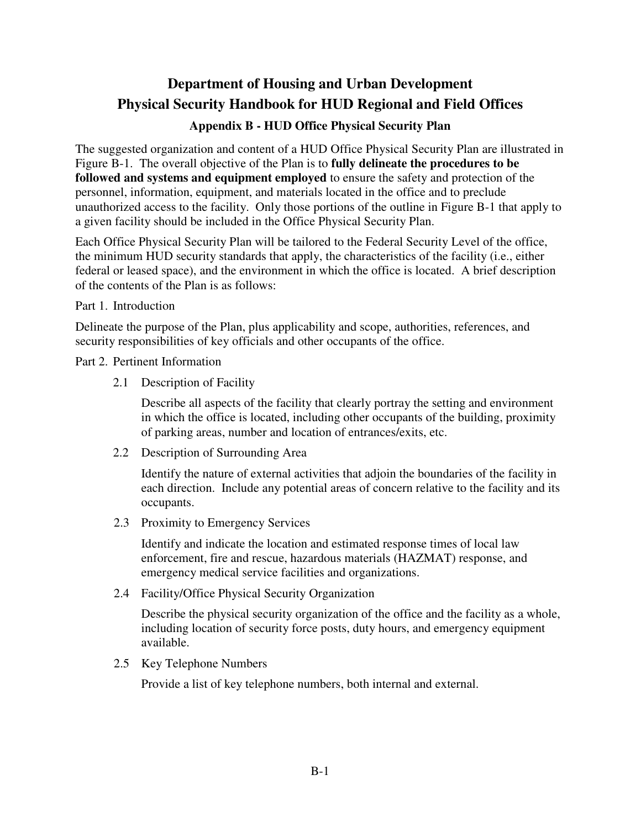# **Department of Housing and Urban Development Physical Security Handbook for HUD Regional and Field Offices**

## **Appendix B - HUD Office Physical Security Plan**

The suggested organization and content of a HUD Office Physical Security Plan are illustrated in Figure B-1. The overall objective of the Plan is to **fully delineate the procedures to be followed and systems and equipment employed** to ensure the safety and protection of the personnel, information, equipment, and materials located in the office and to preclude unauthorized access to the facility. Only those portions of the outline in Figure B-1 that apply to a given facility should be included in the Office Physical Security Plan.

Each Office Physical Security Plan will be tailored to the Federal Security Level of the office, the minimum HUD security standards that apply, the characteristics of the facility (i.e., either federal or leased space), and the environment in which the office is located. A brief description of the contents of the Plan is as follows:

Part 1. Introduction

Delineate the purpose of the Plan, plus applicability and scope, authorities, references, and security responsibilities of key officials and other occupants of the office.

Part 2. Pertinent Information

2.1 Description of Facility

Describe all aspects of the facility that clearly portray the setting and environment in which the office is located, including other occupants of the building, proximity of parking areas, number and location of entrances/exits, etc.

2.2 Description of Surrounding Area

Identify the nature of external activities that adjoin the boundaries of the facility in each direction. Include any potential areas of concern relative to the facility and its occupants.

2.3 Proximity to Emergency Services

Identify and indicate the location and estimated response times of local law enforcement, fire and rescue, hazardous materials (HAZMAT) response, and emergency medical service facilities and organizations.

2.4 Facility/Office Physical Security Organization

Describe the physical security organization of the office and the facility as a whole, including location of security force posts, duty hours, and emergency equipment available.

2.5 Key Telephone Numbers

Provide a list of key telephone numbers, both internal and external.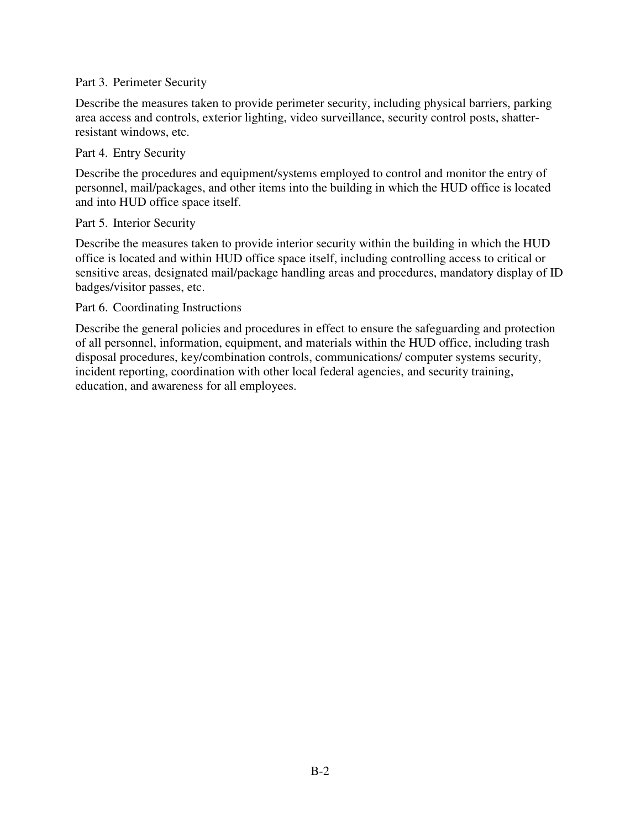#### Part 3. Perimeter Security

Describe the measures taken to provide perimeter security, including physical barriers, parking area access and controls, exterior lighting, video surveillance, security control posts, shatterresistant windows, etc.

#### Part 4. Entry Security

Describe the procedures and equipment/systems employed to control and monitor the entry of personnel, mail/packages, and other items into the building in which the HUD office is located and into HUD office space itself.

#### Part 5. Interior Security

Describe the measures taken to provide interior security within the building in which the HUD office is located and within HUD office space itself, including controlling access to critical or sensitive areas, designated mail/package handling areas and procedures, mandatory display of ID badges/visitor passes, etc.

#### Part 6. Coordinating Instructions

Describe the general policies and procedures in effect to ensure the safeguarding and protection of all personnel, information, equipment, and materials within the HUD office, including trash disposal procedures, key/combination controls, communications/ computer systems security, incident reporting, coordination with other local federal agencies, and security training, education, and awareness for all employees.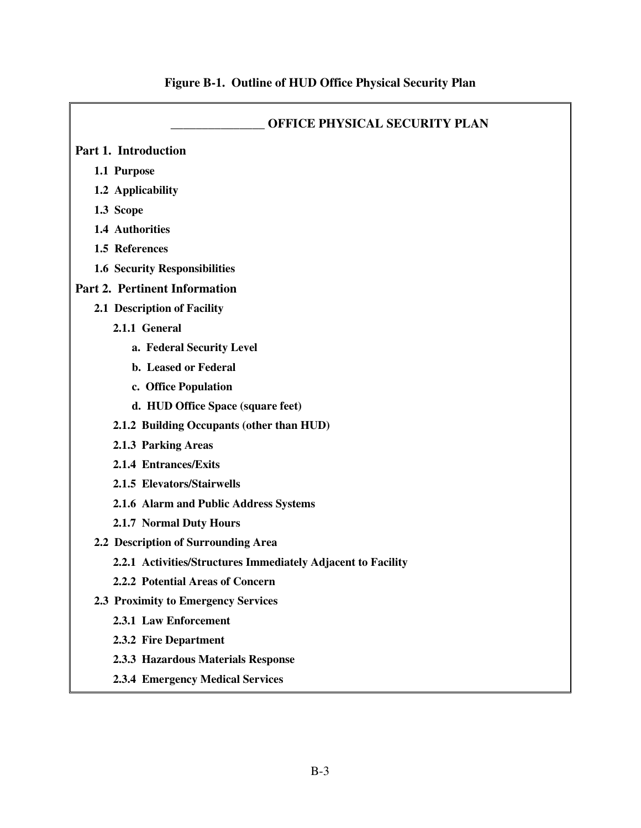| <b>OFFICE PHYSICAL SECURITY PLAN</b>                         |
|--------------------------------------------------------------|
| Part 1. Introduction                                         |
| 1.1 Purpose                                                  |
| 1.2 Applicability                                            |
| 1.3 Scope                                                    |
| 1.4 Authorities                                              |
| 1.5 References                                               |
| <b>1.6 Security Responsibilities</b>                         |
| <b>Part 2. Pertinent Information</b>                         |
| 2.1 Description of Facility                                  |
| 2.1.1 General                                                |
| a. Federal Security Level                                    |
| b. Leased or Federal                                         |
| c. Office Population                                         |
| d. HUD Office Space (square feet)                            |
| 2.1.2 Building Occupants (other than HUD)                    |
| 2.1.3 Parking Areas                                          |
| 2.1.4 Entrances/Exits                                        |
| 2.1.5 Elevators/Stairwells                                   |
| 2.1.6 Alarm and Public Address Systems                       |
| 2.1.7 Normal Duty Hours                                      |
| 2.2 Description of Surrounding Area                          |
| 2.2.1 Activities/Structures Immediately Adjacent to Facility |
| 2.2.2 Potential Areas of Concern                             |
| 2.3 Proximity to Emergency Services                          |
| 2.3.1 Law Enforcement                                        |
| 2.3.2 Fire Department                                        |
| 2.3.3 Hazardous Materials Response                           |
| <b>2.3.4 Emergency Medical Services</b>                      |

# **Figure B-1. Outline of HUD Office Physical Security Plan**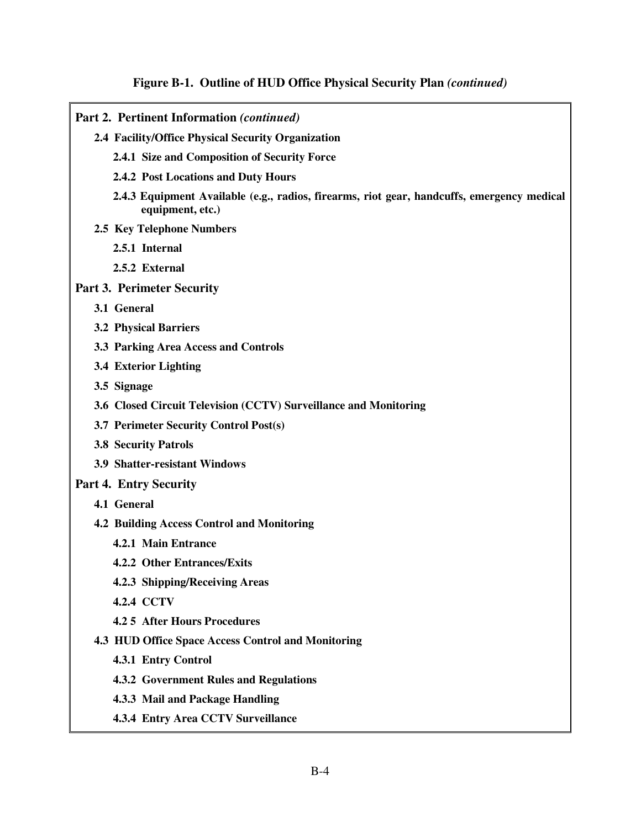#### **Figure B-1. Outline of HUD Office Physical Security Plan** *(continued)*

- **Part 2. Pertinent Information** *(continued)* **2.4 Facility/Office Physical Security Organization 2.4.1 Size and Composition of Security Force 2.4.2 Post Locations and Duty Hours 2.4.3 Equipment Available (e.g., radios, firearms, riot gear, handcuffs, emergency medical equipment, etc.) 2.5 Key Telephone Numbers 2.5.1 Internal 2.5.2 External Part 3. Perimeter Security 3.1 General 3.2 Physical Barriers 3.3 Parking Area Access and Controls 3.4 Exterior Lighting 3.5 Signage 3.6 Closed Circuit Television (CCTV) Surveillance and Monitoring 3.7 Perimeter Security Control Post(s) 3.8 Security Patrols 3.9 Shatter-resistant Windows Part 4. Entry Security 4.1 General 4.2 Building Access Control and Monitoring 4.2.1 Main Entrance 4.2.2 Other Entrances/Exits** 
	- **4.2.3 Shipping/Receiving Areas**
	- **4.2.4 CCTV**
	- **4.2 5 After Hours Procedures**
	- **4.3 HUD Office Space Access Control and Monitoring**
		- **4.3.1 Entry Control**
		- **4.3.2 Government Rules and Regulations**
		- **4.3.3 Mail and Package Handling**
		- **4.3.4 Entry Area CCTV Surveillance**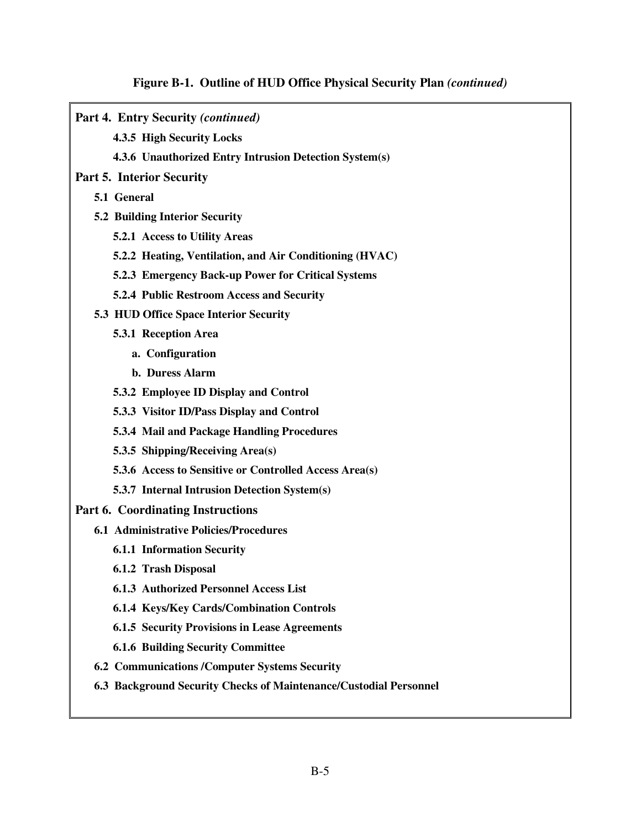# **Figure B-1. Outline of HUD Office Physical Security Plan** *(continued)*

| Part 4. Entry Security (continued)                                |
|-------------------------------------------------------------------|
| 4.3.5 High Security Locks                                         |
| 4.3.6 Unauthorized Entry Intrusion Detection System(s)            |
| <b>Part 5. Interior Security</b>                                  |
| 5.1 General                                                       |
| <b>5.2 Building Interior Security</b>                             |
| 5.2.1 Access to Utility Areas                                     |
| 5.2.2 Heating, Ventilation, and Air Conditioning (HVAC)           |
| 5.2.3 Emergency Back-up Power for Critical Systems                |
| 5.2.4 Public Restroom Access and Security                         |
| 5.3 HUD Office Space Interior Security                            |
| 5.3.1 Reception Area                                              |
| a. Configuration                                                  |
| b. Duress Alarm                                                   |
| 5.3.2 Employee ID Display and Control                             |
| 5.3.3 Visitor ID/Pass Display and Control                         |
| 5.3.4 Mail and Package Handling Procedures                        |
| 5.3.5 Shipping/Receiving Area(s)                                  |
| 5.3.6 Access to Sensitive or Controlled Access Area(s)            |
| 5.3.7 Internal Intrusion Detection System(s)                      |
| <b>Part 6. Coordinating Instructions</b>                          |
| <b>6.1 Administrative Policies/Procedures</b>                     |
| <b>6.1.1 Information Security</b>                                 |
| 6.1.2 Trash Disposal                                              |
| <b>6.1.3 Authorized Personnel Access List</b>                     |
| <b>6.1.4 Keys/Key Cards/Combination Controls</b>                  |
| <b>6.1.5 Security Provisions in Lease Agreements</b>              |
| <b>6.1.6 Building Security Committee</b>                          |
| <b>6.2 Communications /Computer Systems Security</b>              |
| 6.3 Background Security Checks of Maintenance/Custodial Personnel |
|                                                                   |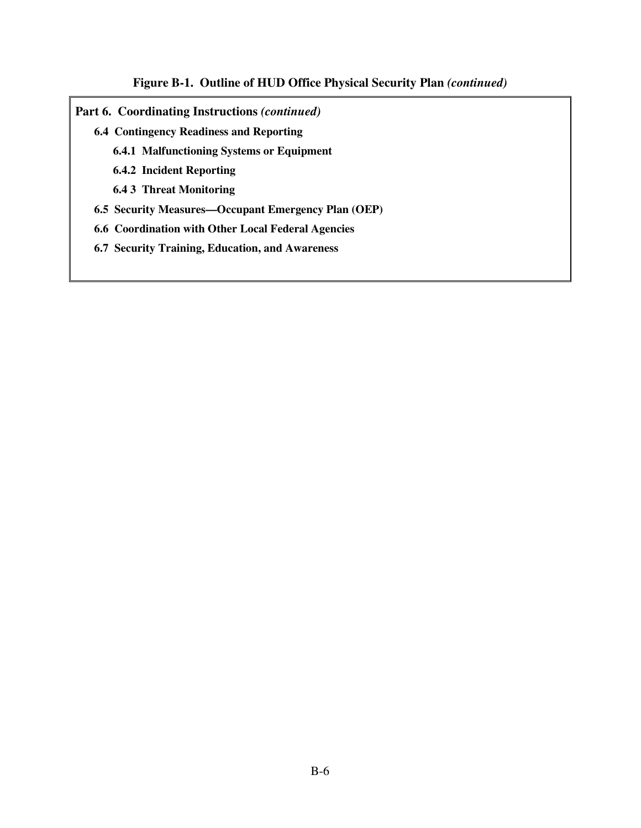### **Figure B-1. Outline of HUD Office Physical Security Plan** *(continued)*

- **Part 6. Coordinating Instructions** *(continued)*
	- **6.4 Contingency Readiness and Reporting** 
		- **6.4.1 Malfunctioning Systems or Equipment**
		- **6.4.2 Incident Reporting**
		- **6.4 3 Threat Monitoring**
	- **6.5 Security Measures—Occupant Emergency Plan (OEP)**
	- **6.6 Coordination with Other Local Federal Agencies**
	- **6.7 Security Training, Education, and Awareness**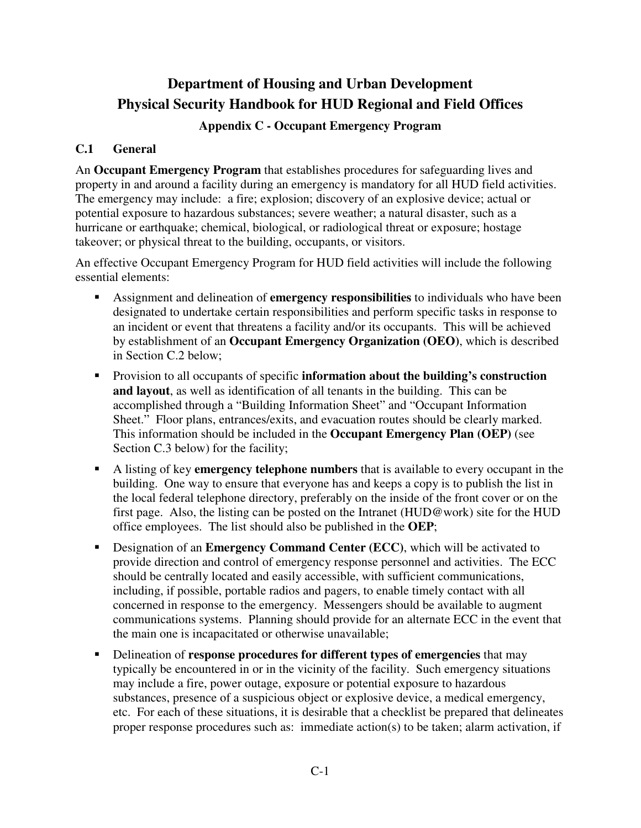## **Department of Housing and Urban Development Physical Security Handbook for HUD Regional and Field Offices**

## **Appendix C - Occupant Emergency Program**

## **C.1 General**

An **Occupant Emergency Program** that establishes procedures for safeguarding lives and property in and around a facility during an emergency is mandatory for all HUD field activities. The emergency may include: a fire; explosion; discovery of an explosive device; actual or potential exposure to hazardous substances; severe weather; a natural disaster, such as a hurricane or earthquake; chemical, biological, or radiological threat or exposure; hostage takeover; or physical threat to the building, occupants, or visitors.

An effective Occupant Emergency Program for HUD field activities will include the following essential elements:

- Assignment and delineation of **emergency responsibilities** to individuals who have been designated to undertake certain responsibilities and perform specific tasks in response to an incident or event that threatens a facility and/or its occupants. This will be achieved by establishment of an **Occupant Emergency Organization (OEO)**, which is described in Section C.2 below;
- Provision to all occupants of specific **information about the building's construction and layout**, as well as identification of all tenants in the building. This can be accomplished through a "Building Information Sheet" and "Occupant Information Sheet." Floor plans, entrances/exits, and evacuation routes should be clearly marked. This information should be included in the **Occupant Emergency Plan (OEP)** (see Section C.3 below) for the facility;
- A listing of key **emergency telephone numbers** that is available to every occupant in the building. One way to ensure that everyone has and keeps a copy is to publish the list in the local federal telephone directory, preferably on the inside of the front cover or on the first page. Also, the listing can be posted on the Intranet (HUD@work) site for the HUD office employees. The list should also be published in the **OEP**;
- Designation of an **Emergency Command Center (ECC)**, which will be activated to provide direction and control of emergency response personnel and activities. The ECC should be centrally located and easily accessible, with sufficient communications, including, if possible, portable radios and pagers, to enable timely contact with all concerned in response to the emergency. Messengers should be available to augment communications systems. Planning should provide for an alternate ECC in the event that the main one is incapacitated or otherwise unavailable;
- Delineation of **response procedures for different types of emergencies** that may typically be encountered in or in the vicinity of the facility. Such emergency situations may include a fire, power outage, exposure or potential exposure to hazardous substances, presence of a suspicious object or explosive device, a medical emergency, etc. For each of these situations, it is desirable that a checklist be prepared that delineates proper response procedures such as: immediate action(s) to be taken; alarm activation, if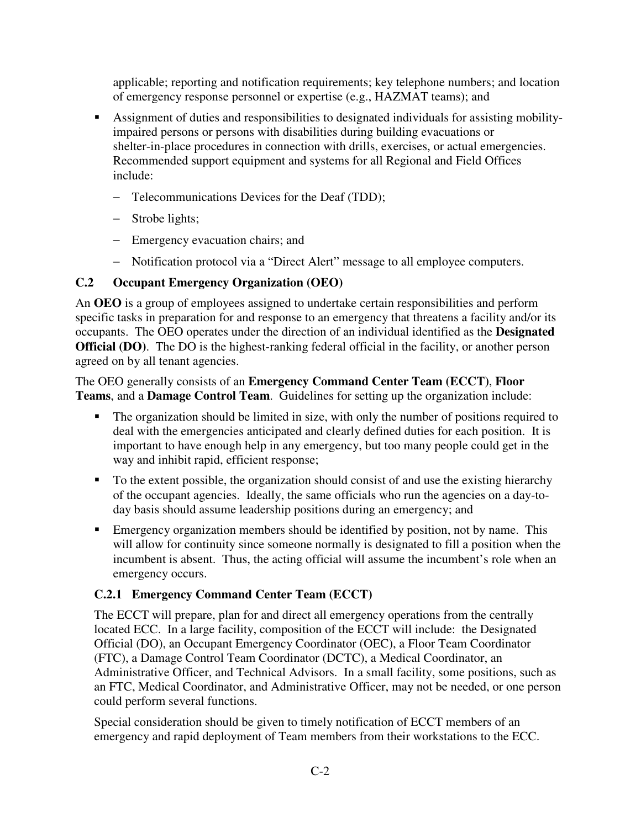applicable; reporting and notification requirements; key telephone numbers; and location of emergency response personnel or expertise (e.g., HAZMAT teams); and

- Assignment of duties and responsibilities to designated individuals for assisting mobilityimpaired persons or persons with disabilities during building evacuations or shelter-in-place procedures in connection with drills, exercises, or actual emergencies. Recommended support equipment and systems for all Regional and Field Offices include:
	- − Telecommunications Devices for the Deaf (TDD);
	- − Strobe lights;
	- − Emergency evacuation chairs; and
	- − Notification protocol via a "Direct Alert" message to all employee computers.

## **C.2 Occupant Emergency Organization (OEO)**

An **OEO** is a group of employees assigned to undertake certain responsibilities and perform specific tasks in preparation for and response to an emergency that threatens a facility and/or its occupants. The OEO operates under the direction of an individual identified as the **Designated Official (DO)**. The DO is the highest-ranking federal official in the facility, or another person agreed on by all tenant agencies.

The OEO generally consists of an **Emergency Command Center Team (ECCT)**, **Floor Teams**, and a **Damage Control Team**. Guidelines for setting up the organization include:

- The organization should be limited in size, with only the number of positions required to deal with the emergencies anticipated and clearly defined duties for each position. It is important to have enough help in any emergency, but too many people could get in the way and inhibit rapid, efficient response;
- To the extent possible, the organization should consist of and use the existing hierarchy of the occupant agencies. Ideally, the same officials who run the agencies on a day-today basis should assume leadership positions during an emergency; and
- Emergency organization members should be identified by position, not by name. This will allow for continuity since someone normally is designated to fill a position when the incumbent is absent. Thus, the acting official will assume the incumbent's role when an emergency occurs.

## **C.2.1 Emergency Command Center Team (ECCT)**

The ECCT will prepare, plan for and direct all emergency operations from the centrally located ECC. In a large facility, composition of the ECCT will include: the Designated Official (DO), an Occupant Emergency Coordinator (OEC), a Floor Team Coordinator (FTC), a Damage Control Team Coordinator (DCTC), a Medical Coordinator, an Administrative Officer, and Technical Advisors. In a small facility, some positions, such as an FTC, Medical Coordinator, and Administrative Officer, may not be needed, or one person could perform several functions.

Special consideration should be given to timely notification of ECCT members of an emergency and rapid deployment of Team members from their workstations to the ECC.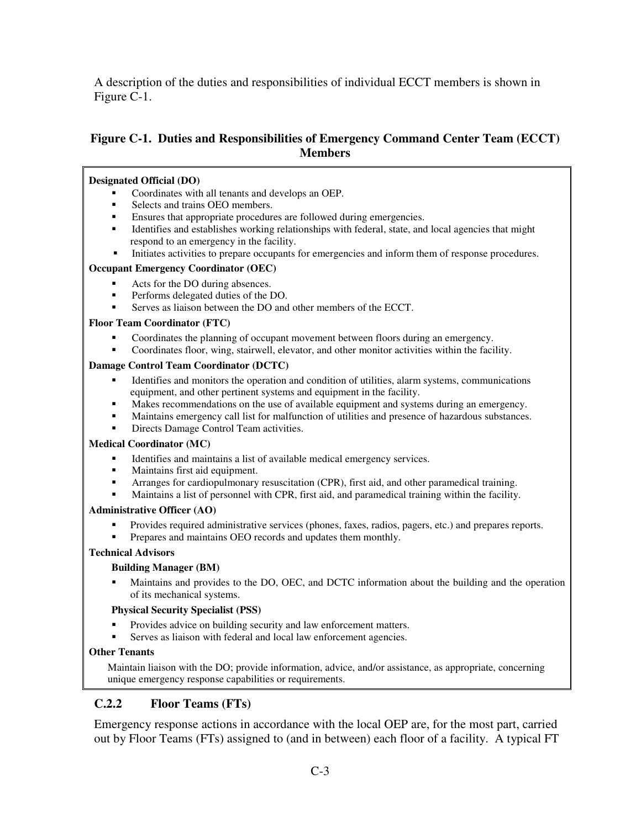A description of the duties and responsibilities of individual ECCT members is shown in Figure C-1.

## **Figure C-1. Duties and Responsibilities of Emergency Command Center Team (ECCT) Members**

#### **Designated Official (DO)**

- Coordinates with all tenants and develops an OEP.
- Selects and trains OEO members.
- Ensures that appropriate procedures are followed during emergencies.
- Identifies and establishes working relationships with federal, state, and local agencies that might respond to an emergency in the facility.
- Initiates activities to prepare occupants for emergencies and inform them of response procedures.

#### **Occupant Emergency Coordinator (OEC)**

- Acts for the DO during absences.
- **Performs delegated duties of the DO.**
- Serves as liaison between the DO and other members of the ECCT.

#### **Floor Team Coordinator (FTC)**

- Coordinates the planning of occupant movement between floors during an emergency.
- Coordinates floor, wing, stairwell, elevator, and other monitor activities within the facility.

#### **Damage Control Team Coordinator (DCTC)**

- Identifies and monitors the operation and condition of utilities, alarm systems, communications equipment, and other pertinent systems and equipment in the facility.
- Makes recommendations on the use of available equipment and systems during an emergency.
- Maintains emergency call list for malfunction of utilities and presence of hazardous substances.
- Directs Damage Control Team activities.

#### **Medical Coordinator (MC)**

- Identifies and maintains a list of available medical emergency services.
- Maintains first aid equipment.
- Arranges for cardiopulmonary resuscitation (CPR), first aid, and other paramedical training.
- Maintains a list of personnel with CPR, first aid, and paramedical training within the facility.

#### **Administrative Officer (AO)**

- Provides required administrative services (phones, faxes, radios, pagers, etc.) and prepares reports.
- Prepares and maintains OEO records and updates them monthly.

#### **Technical Advisors**

#### **Building Manager (BM)**

 Maintains and provides to the DO, OEC, and DCTC information about the building and the operation of its mechanical systems.

#### **Physical Security Specialist (PSS)**

- Provides advice on building security and law enforcement matters.
- Serves as liaison with federal and local law enforcement agencies.

#### **Other Tenants**

Maintain liaison with the DO; provide information, advice, and/or assistance, as appropriate, concerning unique emergency response capabilities or requirements.

## **C.2.2 Floor Teams (FTs)**

Emergency response actions in accordance with the local OEP are, for the most part, carried out by Floor Teams (FTs) assigned to (and in between) each floor of a facility. A typical FT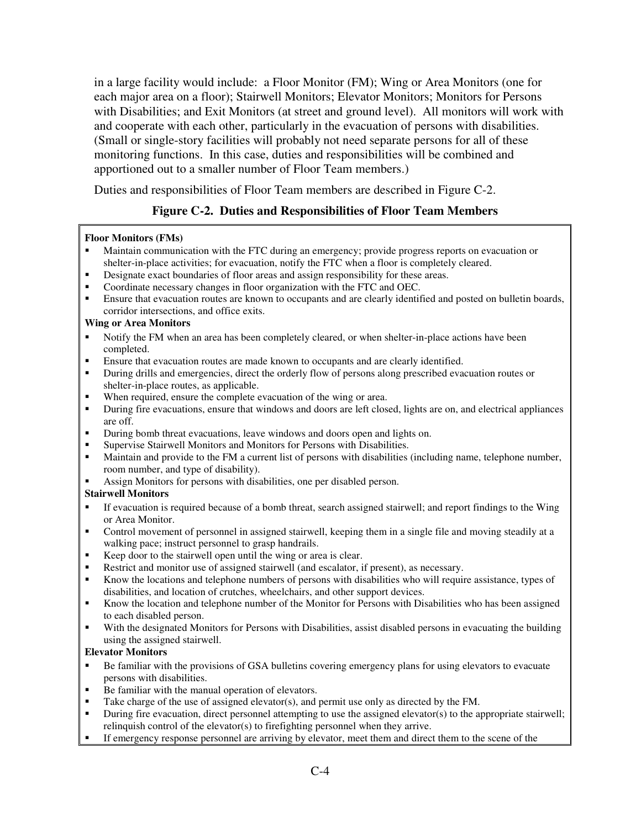in a large facility would include: a Floor Monitor (FM); Wing or Area Monitors (one for each major area on a floor); Stairwell Monitors; Elevator Monitors; Monitors for Persons with Disabilities; and Exit Monitors (at street and ground level). All monitors will work with and cooperate with each other, particularly in the evacuation of persons with disabilities. (Small or single-story facilities will probably not need separate persons for all of these monitoring functions. In this case, duties and responsibilities will be combined and apportioned out to a smaller number of Floor Team members.)

Duties and responsibilities of Floor Team members are described in Figure C-2.

## **Figure C-2. Duties and Responsibilities of Floor Team Members**

#### **Floor Monitors (FMs)**

- Maintain communication with the FTC during an emergency; provide progress reports on evacuation or shelter-in-place activities; for evacuation, notify the FTC when a floor is completely cleared.
- Designate exact boundaries of floor areas and assign responsibility for these areas.
- Coordinate necessary changes in floor organization with the FTC and OEC.
- Ensure that evacuation routes are known to occupants and are clearly identified and posted on bulletin boards, corridor intersections, and office exits.

#### **Wing or Area Monitors**

- Notify the FM when an area has been completely cleared, or when shelter-in-place actions have been completed.
- Ensure that evacuation routes are made known to occupants and are clearly identified.
- During drills and emergencies, direct the orderly flow of persons along prescribed evacuation routes or shelter-in-place routes, as applicable.
- When required, ensure the complete evacuation of the wing or area.
- During fire evacuations, ensure that windows and doors are left closed, lights are on, and electrical appliances are off.
- During bomb threat evacuations, leave windows and doors open and lights on.
- Supervise Stairwell Monitors and Monitors for Persons with Disabilities.
- Maintain and provide to the FM a current list of persons with disabilities (including name, telephone number, room number, and type of disability).
- Assign Monitors for persons with disabilities, one per disabled person.

#### **Stairwell Monitors**

- If evacuation is required because of a bomb threat, search assigned stairwell; and report findings to the Wing or Area Monitor.
- Control movement of personnel in assigned stairwell, keeping them in a single file and moving steadily at a walking pace; instruct personnel to grasp handrails.
- Keep door to the stairwell open until the wing or area is clear.
- Restrict and monitor use of assigned stairwell (and escalator, if present), as necessary.
- Know the locations and telephone numbers of persons with disabilities who will require assistance, types of disabilities, and location of crutches, wheelchairs, and other support devices.
- Know the location and telephone number of the Monitor for Persons with Disabilities who has been assigned to each disabled person.
- With the designated Monitors for Persons with Disabilities, assist disabled persons in evacuating the building using the assigned stairwell.

#### **Elevator Monitors**

- Be familiar with the provisions of GSA bulletins covering emergency plans for using elevators to evacuate persons with disabilities.
- Be familiar with the manual operation of elevators.
- Take charge of the use of assigned elevator(s), and permit use only as directed by the FM.
- During fire evacuation, direct personnel attempting to use the assigned elevator(s) to the appropriate stairwell; relinquish control of the elevator(s) to firefighting personnel when they arrive.
- If emergency response personnel are arriving by elevator, meet them and direct them to the scene of the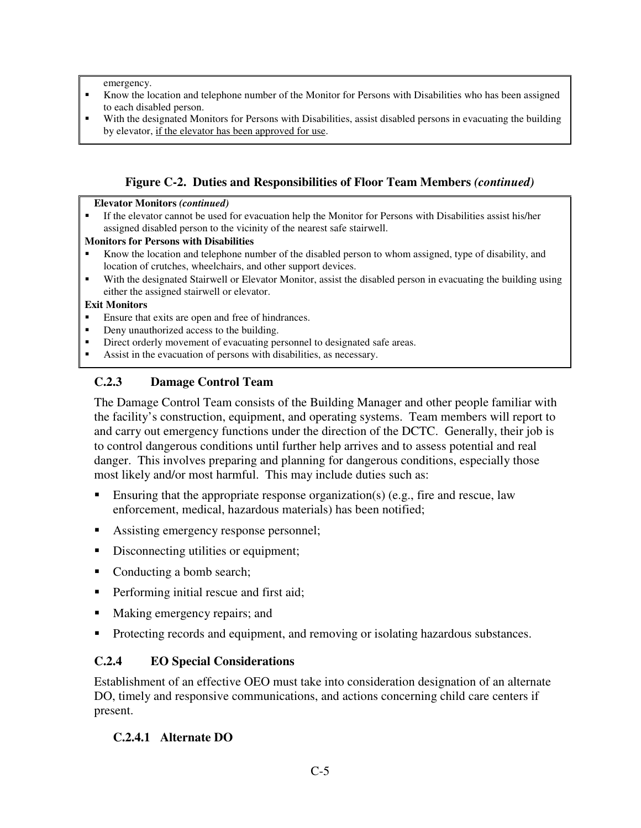emergency.

- Know the location and telephone number of the Monitor for Persons with Disabilities who has been assigned to each disabled person.
- With the designated Monitors for Persons with Disabilities, assist disabled persons in evacuating the building by elevator, if the elevator has been approved for use.

## **Figure C-2. Duties and Responsibilities of Floor Team Members** *(continued)*

#### **Elevator Monitors** *(continued)*

 If the elevator cannot be used for evacuation help the Monitor for Persons with Disabilities assist his/her assigned disabled person to the vicinity of the nearest safe stairwell.

#### **Monitors for Persons with Disabilities**

- Know the location and telephone number of the disabled person to whom assigned, type of disability, and location of crutches, wheelchairs, and other support devices.
- With the designated Stairwell or Elevator Monitor, assist the disabled person in evacuating the building using either the assigned stairwell or elevator.

#### **Exit Monitors**

- Ensure that exits are open and free of hindrances.
- Deny unauthorized access to the building.
- Direct orderly movement of evacuating personnel to designated safe areas.
- Assist in the evacuation of persons with disabilities, as necessary.

### **C.2.3 Damage Control Team**

The Damage Control Team consists of the Building Manager and other people familiar with the facility's construction, equipment, and operating systems. Team members will report to and carry out emergency functions under the direction of the DCTC. Generally, their job is to control dangerous conditions until further help arrives and to assess potential and real danger. This involves preparing and planning for dangerous conditions, especially those most likely and/or most harmful. This may include duties such as:

- **Ensuring that the appropriate response organization(s) (e.g., fire and rescue, law** enforcement, medical, hazardous materials) has been notified;
- Assisting emergency response personnel;
- Disconnecting utilities or equipment;
- Conducting a bomb search;
- **Performing initial rescue and first aid;**
- Making emergency repairs; and
- Protecting records and equipment, and removing or isolating hazardous substances.

## **C.2.4 EO Special Considerations**

Establishment of an effective OEO must take into consideration designation of an alternate DO, timely and responsive communications, and actions concerning child care centers if present.

## **C.2.4.1 Alternate DO**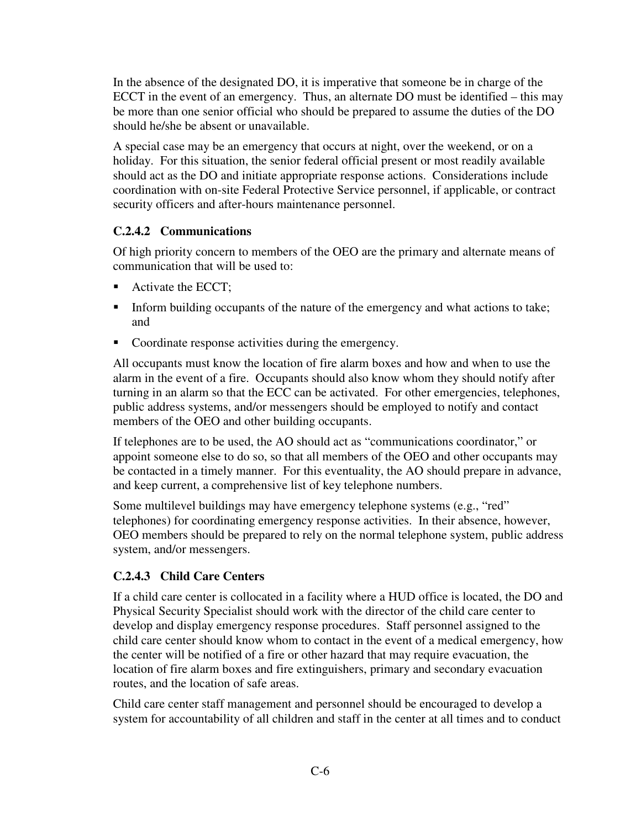In the absence of the designated DO, it is imperative that someone be in charge of the ECCT in the event of an emergency. Thus, an alternate DO must be identified – this may be more than one senior official who should be prepared to assume the duties of the DO should he/she be absent or unavailable.

A special case may be an emergency that occurs at night, over the weekend, or on a holiday. For this situation, the senior federal official present or most readily available should act as the DO and initiate appropriate response actions. Considerations include coordination with on-site Federal Protective Service personnel, if applicable, or contract security officers and after-hours maintenance personnel.

## **C.2.4.2 Communications**

Of high priority concern to members of the OEO are the primary and alternate means of communication that will be used to:

- Activate the ECCT;
- Inform building occupants of the nature of the emergency and what actions to take; and
- Coordinate response activities during the emergency.

All occupants must know the location of fire alarm boxes and how and when to use the alarm in the event of a fire. Occupants should also know whom they should notify after turning in an alarm so that the ECC can be activated. For other emergencies, telephones, public address systems, and/or messengers should be employed to notify and contact members of the OEO and other building occupants.

If telephones are to be used, the AO should act as "communications coordinator," or appoint someone else to do so, so that all members of the OEO and other occupants may be contacted in a timely manner. For this eventuality, the AO should prepare in advance, and keep current, a comprehensive list of key telephone numbers.

Some multilevel buildings may have emergency telephone systems (e.g., "red" telephones) for coordinating emergency response activities. In their absence, however, OEO members should be prepared to rely on the normal telephone system, public address system, and/or messengers.

## **C.2.4.3 Child Care Centers**

If a child care center is collocated in a facility where a HUD office is located, the DO and Physical Security Specialist should work with the director of the child care center to develop and display emergency response procedures. Staff personnel assigned to the child care center should know whom to contact in the event of a medical emergency, how the center will be notified of a fire or other hazard that may require evacuation, the location of fire alarm boxes and fire extinguishers, primary and secondary evacuation routes, and the location of safe areas.

Child care center staff management and personnel should be encouraged to develop a system for accountability of all children and staff in the center at all times and to conduct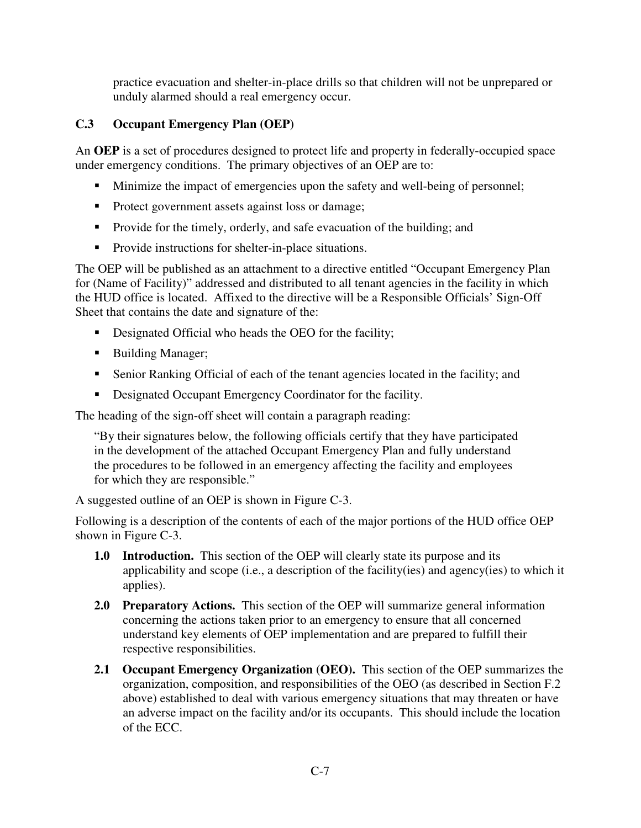practice evacuation and shelter-in-place drills so that children will not be unprepared or unduly alarmed should a real emergency occur.

## **C.3 Occupant Emergency Plan (OEP)**

An **OEP** is a set of procedures designed to protect life and property in federally-occupied space under emergency conditions. The primary objectives of an OEP are to:

- Minimize the impact of emergencies upon the safety and well-being of personnel;
- **Protect government assets against loss or damage;**
- Provide for the timely, orderly, and safe evacuation of the building; and
- **Provide instructions for shelter-in-place situations.**

The OEP will be published as an attachment to a directive entitled "Occupant Emergency Plan for (Name of Facility)" addressed and distributed to all tenant agencies in the facility in which the HUD office is located. Affixed to the directive will be a Responsible Officials' Sign-Off Sheet that contains the date and signature of the:

- Designated Official who heads the OEO for the facility;
- **Building Manager;**
- Senior Ranking Official of each of the tenant agencies located in the facility; and
- Designated Occupant Emergency Coordinator for the facility.

The heading of the sign-off sheet will contain a paragraph reading:

"By their signatures below, the following officials certify that they have participated in the development of the attached Occupant Emergency Plan and fully understand the procedures to be followed in an emergency affecting the facility and employees for which they are responsible."

A suggested outline of an OEP is shown in Figure C-3.

Following is a description of the contents of each of the major portions of the HUD office OEP shown in Figure C-3.

- **1.0 Introduction.** This section of the OEP will clearly state its purpose and its applicability and scope (i.e., a description of the facility(ies) and agency(ies) to which it applies).
- **2.0 Preparatory Actions.** This section of the OEP will summarize general information concerning the actions taken prior to an emergency to ensure that all concerned understand key elements of OEP implementation and are prepared to fulfill their respective responsibilities.
- **2.1 Occupant Emergency Organization (OEO).** This section of the OEP summarizes the organization, composition, and responsibilities of the OEO (as described in Section F.2 above) established to deal with various emergency situations that may threaten or have an adverse impact on the facility and/or its occupants. This should include the location of the ECC.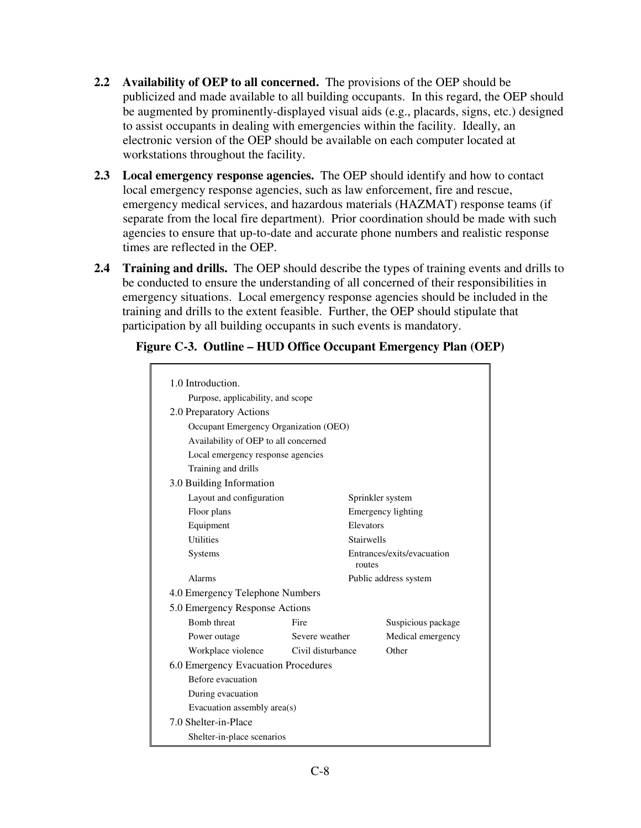- **2.2 Availability of OEP to all concerned.** The provisions of the OEP should be publicized and made available to all building occupants. In this regard, the OEP should be augmented by prominently-displayed visual aids (e.g., placards, signs, etc.) designed to assist occupants in dealing with emergencies within the facility. Ideally, an electronic version of the OEP should be available on each computer located at workstations throughout the facility.
- **2.3 Local emergency response agencies.** The OEP should identify and how to contact local emergency response agencies, such as law enforcement, fire and rescue, emergency medical services, and hazardous materials (HAZMAT) response teams (if separate from the local fire department). Prior coordination should be made with such agencies to ensure that up-to-date and accurate phone numbers and realistic response times are reflected in the OEP.
- **2.4 Training and drills.** The OEP should describe the types of training events and drills to be conducted to ensure the understanding of all concerned of their responsibilities in emergency situations. Local emergency response agencies should be included in the training and drills to the extent feasible. Further, the OEP should stipulate that participation by all building occupants in such events is mandatory.

| 1.0 Introduction.                     |                                   |                                      |                           |  |  |
|---------------------------------------|-----------------------------------|--------------------------------------|---------------------------|--|--|
|                                       | Purpose, applicability, and scope |                                      |                           |  |  |
| 2.0 Preparatory Actions               |                                   |                                      |                           |  |  |
| Occupant Emergency Organization (OEO) |                                   |                                      |                           |  |  |
| Availability of OEP to all concerned  |                                   |                                      |                           |  |  |
| Local emergency response agencies     |                                   |                                      |                           |  |  |
| Training and drills                   |                                   |                                      |                           |  |  |
| 3.0 Building Information              |                                   |                                      |                           |  |  |
| Layout and configuration              |                                   | Sprinkler system                     |                           |  |  |
| Floor plans                           |                                   |                                      | <b>Emergency lighting</b> |  |  |
| Equipment                             |                                   | Elevators                            |                           |  |  |
| <b>Utilities</b>                      |                                   | <b>Stairwells</b>                    |                           |  |  |
| Systems                               |                                   | Entrances/exits/evacuation<br>routes |                           |  |  |
| Alarms                                |                                   |                                      | Public address system     |  |  |
| 4.0 Emergency Telephone Numbers       |                                   |                                      |                           |  |  |
| 5.0 Emergency Response Actions        |                                   |                                      |                           |  |  |
| <b>Bomb</b> threat                    | Fire                              |                                      | Suspicious package        |  |  |
| Power outage                          | Severe weather                    |                                      | Medical emergency         |  |  |
| Workplace violence                    | Civil disturbance                 |                                      | Other                     |  |  |
| 6.0 Emergency Evacuation Procedures   |                                   |                                      |                           |  |  |
| Before evacuation                     |                                   |                                      |                           |  |  |
| During evacuation                     |                                   |                                      |                           |  |  |
| Evacuation assembly area(s)           |                                   |                                      |                           |  |  |
| 7.0 Shelter-in-Place                  |                                   |                                      |                           |  |  |
| Shelter-in-place scenarios            |                                   |                                      |                           |  |  |

## **Figure C-3. Outline – HUD Office Occupant Emergency Plan (OEP)**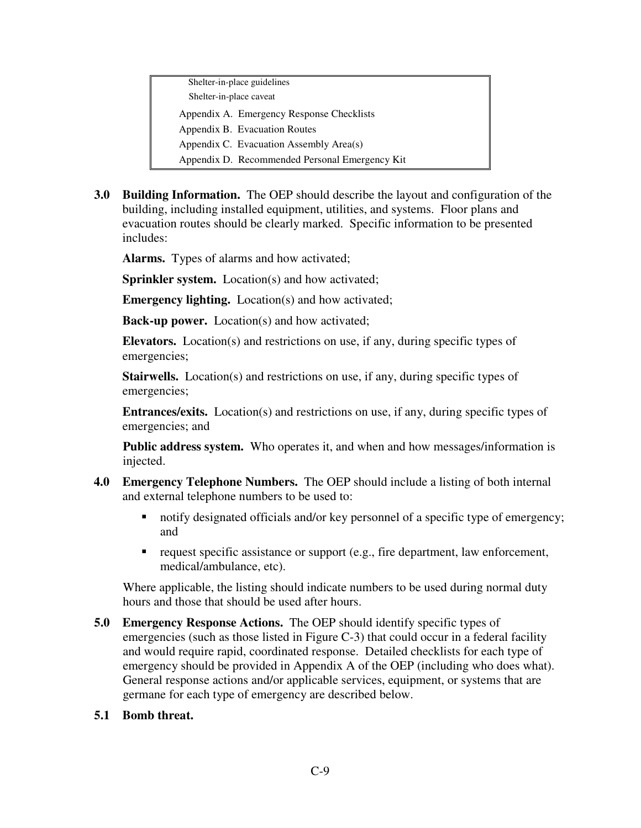Shelter-in-place guidelines Shelter-in-place caveat Appendix A. Emergency Response Checklists Appendix B. Evacuation Routes Appendix C. Evacuation Assembly Area(s) Appendix D. Recommended Personal Emergency Kit

**3.0 Building Information.** The OEP should describe the layout and configuration of the building, including installed equipment, utilities, and systems. Floor plans and evacuation routes should be clearly marked. Specific information to be presented includes:

**Alarms.** Types of alarms and how activated;

**Sprinkler system.** Location(s) and how activated;

**Emergency lighting.** Location(s) and how activated;

**Back-up power.** Location(s) and how activated;

**Elevators.** Location(s) and restrictions on use, if any, during specific types of emergencies;

**Stairwells.** Location(s) and restrictions on use, if any, during specific types of emergencies;

**Entrances/exits.** Location(s) and restrictions on use, if any, during specific types of emergencies; and

**Public address system.** Who operates it, and when and how messages/information is injected.

- **4.0 Emergency Telephone Numbers.** The OEP should include a listing of both internal and external telephone numbers to be used to:
	- notify designated officials and/or key personnel of a specific type of emergency; and
	- request specific assistance or support (e.g., fire department, law enforcement, medical/ambulance, etc).

Where applicable, the listing should indicate numbers to be used during normal duty hours and those that should be used after hours.

- **5.0 Emergency Response Actions.** The OEP should identify specific types of emergencies (such as those listed in Figure C-3) that could occur in a federal facility and would require rapid, coordinated response. Detailed checklists for each type of emergency should be provided in Appendix A of the OEP (including who does what). General response actions and/or applicable services, equipment, or systems that are germane for each type of emergency are described below.
- **5.1 Bomb threat.**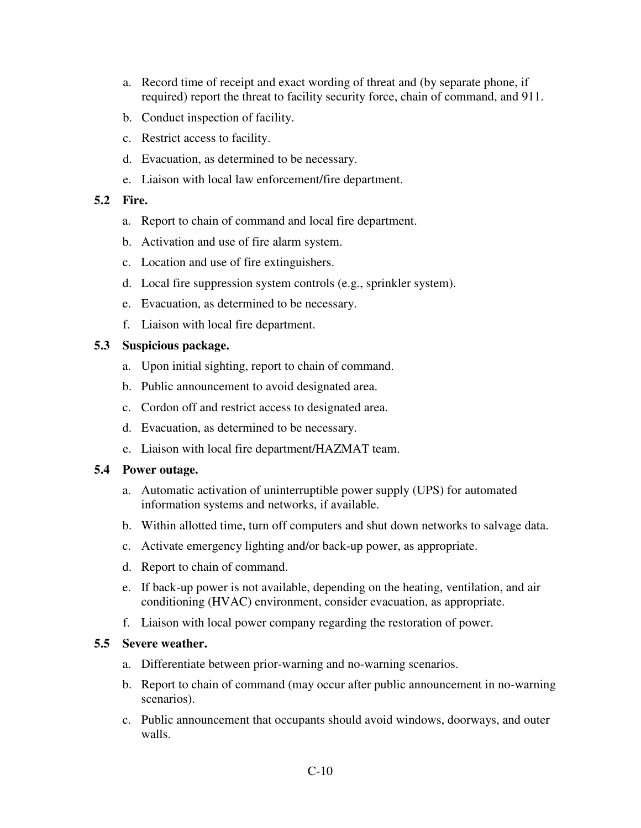- a. Record time of receipt and exact wording of threat and (by separate phone, if required) report the threat to facility security force, chain of command, and 911.
- b. Conduct inspection of facility.
- c. Restrict access to facility.
- d. Evacuation, as determined to be necessary.
- e. Liaison with local law enforcement/fire department.

#### **5.2 Fire.**

- a. Report to chain of command and local fire department.
- b. Activation and use of fire alarm system.
- c. Location and use of fire extinguishers.
- d. Local fire suppression system controls (e.g., sprinkler system).
- e. Evacuation, as determined to be necessary.
- f. Liaison with local fire department.

### **5.3 Suspicious package.**

- a. Upon initial sighting, report to chain of command.
- b. Public announcement to avoid designated area.
- c. Cordon off and restrict access to designated area.
- d. Evacuation, as determined to be necessary.
- e. Liaison with local fire department/HAZMAT team.

#### **5.4 Power outage.**

- a. Automatic activation of uninterruptible power supply (UPS) for automated information systems and networks, if available.
- b. Within allotted time, turn off computers and shut down networks to salvage data.
- c. Activate emergency lighting and/or back-up power, as appropriate.
- d. Report to chain of command.
- e. If back-up power is not available, depending on the heating, ventilation, and air conditioning (HVAC) environment, consider evacuation, as appropriate.
- f. Liaison with local power company regarding the restoration of power.

#### **5.5 Severe weather.**

- a. Differentiate between prior-warning and no-warning scenarios.
- b. Report to chain of command (may occur after public announcement in no-warning scenarios).
- c. Public announcement that occupants should avoid windows, doorways, and outer walls.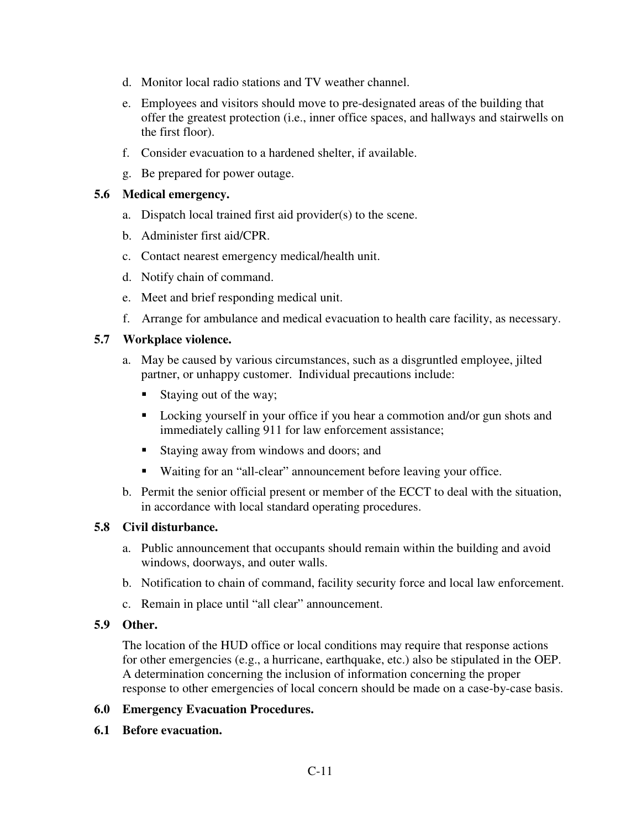- d. Monitor local radio stations and TV weather channel.
- e. Employees and visitors should move to pre-designated areas of the building that offer the greatest protection (i.e., inner office spaces, and hallways and stairwells on the first floor).
- f. Consider evacuation to a hardened shelter, if available.
- g. Be prepared for power outage.

### **5.6 Medical emergency.**

- a. Dispatch local trained first aid provider(s) to the scene.
- b. Administer first aid/CPR.
- c. Contact nearest emergency medical/health unit.
- d. Notify chain of command.
- e. Meet and brief responding medical unit.
- f. Arrange for ambulance and medical evacuation to health care facility, as necessary.

### **5.7 Workplace violence.**

- a. May be caused by various circumstances, such as a disgruntled employee, jilted partner, or unhappy customer. Individual precautions include:
	- Staying out of the way;
	- Locking yourself in your office if you hear a commotion and/or gun shots and immediately calling 911 for law enforcement assistance;
	- Staying away from windows and doors; and
	- Waiting for an "all-clear" announcement before leaving your office.
- b. Permit the senior official present or member of the ECCT to deal with the situation, in accordance with local standard operating procedures.

## **5.8 Civil disturbance.**

- a. Public announcement that occupants should remain within the building and avoid windows, doorways, and outer walls.
- b. Notification to chain of command, facility security force and local law enforcement.
- c. Remain in place until "all clear" announcement.

#### **5.9 Other.**

The location of the HUD office or local conditions may require that response actions for other emergencies (e.g., a hurricane, earthquake, etc.) also be stipulated in the OEP. A determination concerning the inclusion of information concerning the proper response to other emergencies of local concern should be made on a case-by-case basis.

#### **6.0 Emergency Evacuation Procedures.**

**6.1 Before evacuation.**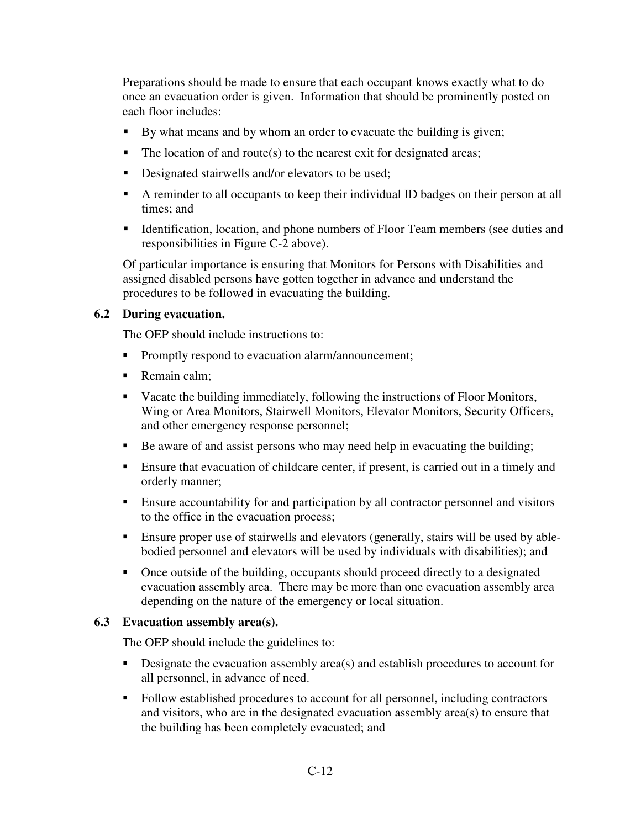Preparations should be made to ensure that each occupant knows exactly what to do once an evacuation order is given. Information that should be prominently posted on each floor includes:

- By what means and by whom an order to evacuate the building is given;
- $\blacksquare$  The location of and route(s) to the nearest exit for designated areas;
- Designated stairwells and/or elevators to be used;
- A reminder to all occupants to keep their individual ID badges on their person at all times; and
- Identification, location, and phone numbers of Floor Team members (see duties and responsibilities in Figure C-2 above).

Of particular importance is ensuring that Monitors for Persons with Disabilities and assigned disabled persons have gotten together in advance and understand the procedures to be followed in evacuating the building.

## **6.2 During evacuation.**

The OEP should include instructions to:

- Promptly respond to evacuation alarm/announcement;
- Remain calm:
- Vacate the building immediately, following the instructions of Floor Monitors, Wing or Area Monitors, Stairwell Monitors, Elevator Monitors, Security Officers, and other emergency response personnel;
- Be aware of and assist persons who may need help in evacuating the building;
- Ensure that evacuation of childcare center, if present, is carried out in a timely and orderly manner;
- Ensure accountability for and participation by all contractor personnel and visitors to the office in the evacuation process;
- Ensure proper use of stairwells and elevators (generally, stairs will be used by ablebodied personnel and elevators will be used by individuals with disabilities); and
- Once outside of the building, occupants should proceed directly to a designated evacuation assembly area. There may be more than one evacuation assembly area depending on the nature of the emergency or local situation.

## **6.3 Evacuation assembly area(s).**

The OEP should include the guidelines to:

- $\blacksquare$  Designate the evacuation assembly area(s) and establish procedures to account for all personnel, in advance of need.
- Follow established procedures to account for all personnel, including contractors and visitors, who are in the designated evacuation assembly area(s) to ensure that the building has been completely evacuated; and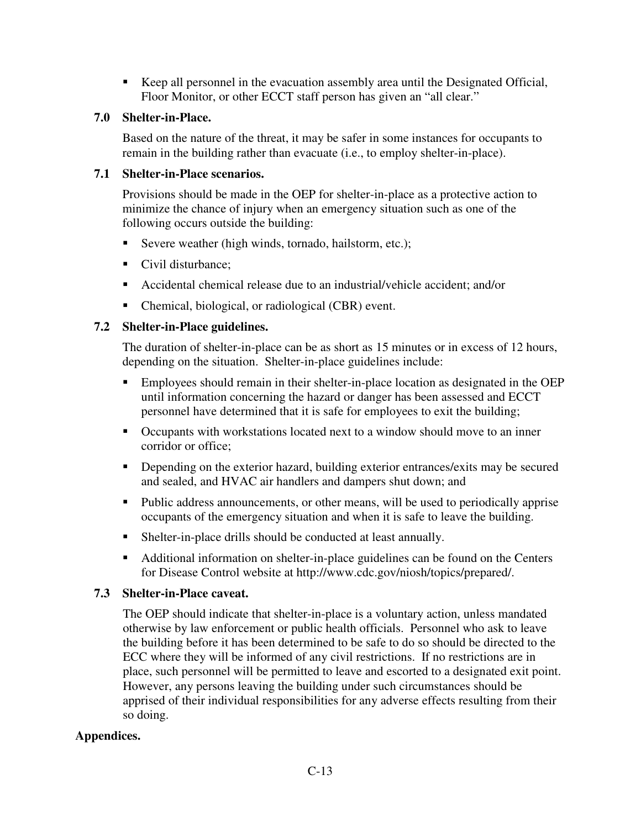Keep all personnel in the evacuation assembly area until the Designated Official, Floor Monitor, or other ECCT staff person has given an "all clear."

## **7.0 Shelter-in-Place.**

Based on the nature of the threat, it may be safer in some instances for occupants to remain in the building rather than evacuate (i.e., to employ shelter-in-place).

## **7.1 Shelter-in-Place scenarios.**

Provisions should be made in the OEP for shelter-in-place as a protective action to minimize the chance of injury when an emergency situation such as one of the following occurs outside the building:

- Severe weather (high winds, tornado, hailstorm, etc.);
- Civil disturbance;
- Accidental chemical release due to an industrial/vehicle accident; and/or
- Chemical, biological, or radiological (CBR) event.

## **7.2 Shelter-in-Place guidelines.**

The duration of shelter-in-place can be as short as 15 minutes or in excess of 12 hours, depending on the situation. Shelter-in-place guidelines include:

- Employees should remain in their shelter-in-place location as designated in the OEP until information concerning the hazard or danger has been assessed and ECCT personnel have determined that it is safe for employees to exit the building;
- Occupants with workstations located next to a window should move to an inner corridor or office;
- Depending on the exterior hazard, building exterior entrances/exits may be secured and sealed, and HVAC air handlers and dampers shut down; and
- Public address announcements, or other means, will be used to periodically apprise occupants of the emergency situation and when it is safe to leave the building.
- Shelter-in-place drills should be conducted at least annually.
- Additional information on shelter-in-place guidelines can be found on the Centers for Disease Control website at http://www.cdc.gov/niosh/topics/prepared/.

## **7.3 Shelter-in-Place caveat.**

The OEP should indicate that shelter-in-place is a voluntary action, unless mandated otherwise by law enforcement or public health officials. Personnel who ask to leave the building before it has been determined to be safe to do so should be directed to the ECC where they will be informed of any civil restrictions. If no restrictions are in place, such personnel will be permitted to leave and escorted to a designated exit point. However, any persons leaving the building under such circumstances should be apprised of their individual responsibilities for any adverse effects resulting from their so doing.

## **Appendices.**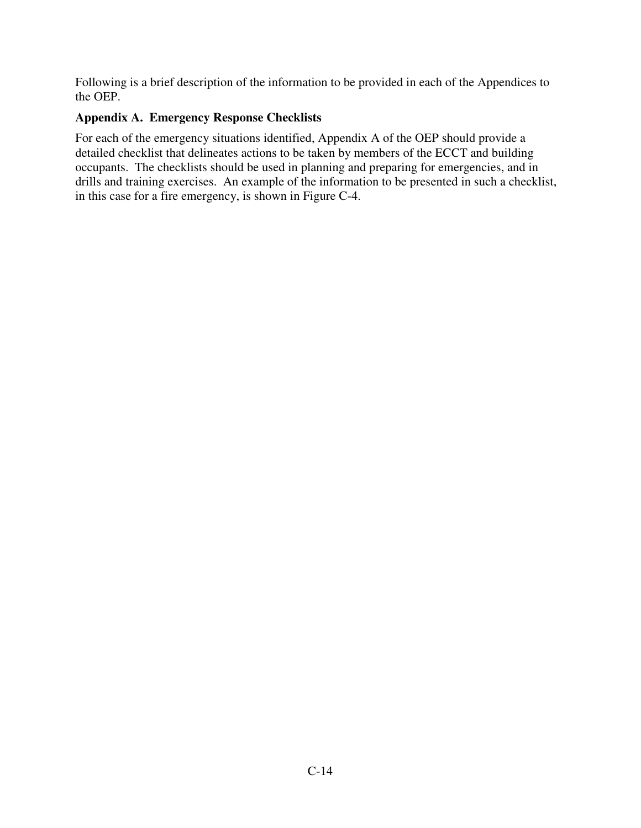Following is a brief description of the information to be provided in each of the Appendices to the OEP.

## **Appendix A. Emergency Response Checklists**

For each of the emergency situations identified, Appendix A of the OEP should provide a detailed checklist that delineates actions to be taken by members of the ECCT and building occupants. The checklists should be used in planning and preparing for emergencies, and in drills and training exercises. An example of the information to be presented in such a checklist, in this case for a fire emergency, is shown in Figure C-4.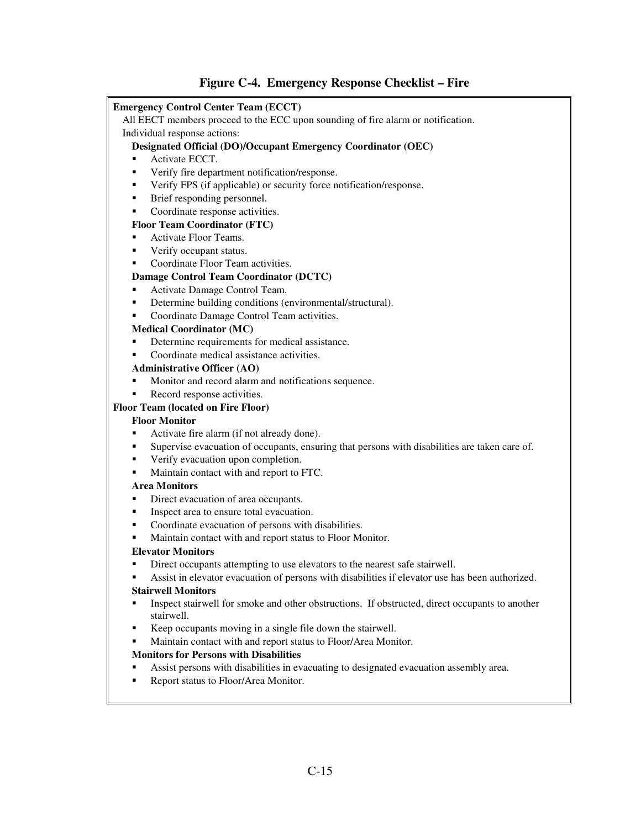#### **Figure C-4. Emergency Response Checklist – Fire**

#### **Emergency Control Center Team (ECCT)**

All EECT members proceed to the ECC upon sounding of fire alarm or notification.

#### Individual response actions:

#### **Designated Official (DO)/Occupant Emergency Coordinator (OEC)**

- **Activate ECCT.**
- Verify fire department notification/response.
- Verify FPS (if applicable) or security force notification/response.
- Brief responding personnel.
- Coordinate response activities.

#### **Floor Team Coordinator (FTC)**

- Activate Floor Teams.
- **verify occupant status.**
- **Coordinate Floor Team activities.**

#### **Damage Control Team Coordinator (DCTC)**

- Activate Damage Control Team.
- Determine building conditions (environmental/structural).
- Coordinate Damage Control Team activities.

#### **Medical Coordinator (MC)**

- Determine requirements for medical assistance.
- Coordinate medical assistance activities.

#### **Administrative Officer (AO)**

- Monitor and record alarm and notifications sequence.
- Record response activities.

#### **Floor Team (located on Fire Floor)**

#### **Floor Monitor**

- Activate fire alarm (if not already done).
- Supervise evacuation of occupants, ensuring that persons with disabilities are taken care of.
- Verify evacuation upon completion.
- Maintain contact with and report to FTC.

#### **Area Monitors**

- Direct evacuation of area occupants.
- Inspect area to ensure total evacuation.
- Coordinate evacuation of persons with disabilities.
- Maintain contact with and report status to Floor Monitor.

#### **Elevator Monitors**

- Direct occupants attempting to use elevators to the nearest safe stairwell.
- Assist in elevator evacuation of persons with disabilities if elevator use has been authorized.

#### **Stairwell Monitors**

- Inspect stairwell for smoke and other obstructions. If obstructed, direct occupants to another stairwell.
- Keep occupants moving in a single file down the stairwell.
- **Maintain contact with and report status to Floor/Area Monitor.**

#### **Monitors for Persons with Disabilities**

- Assist persons with disabilities in evacuating to designated evacuation assembly area.
- **Report status to Floor/Area Monitor.**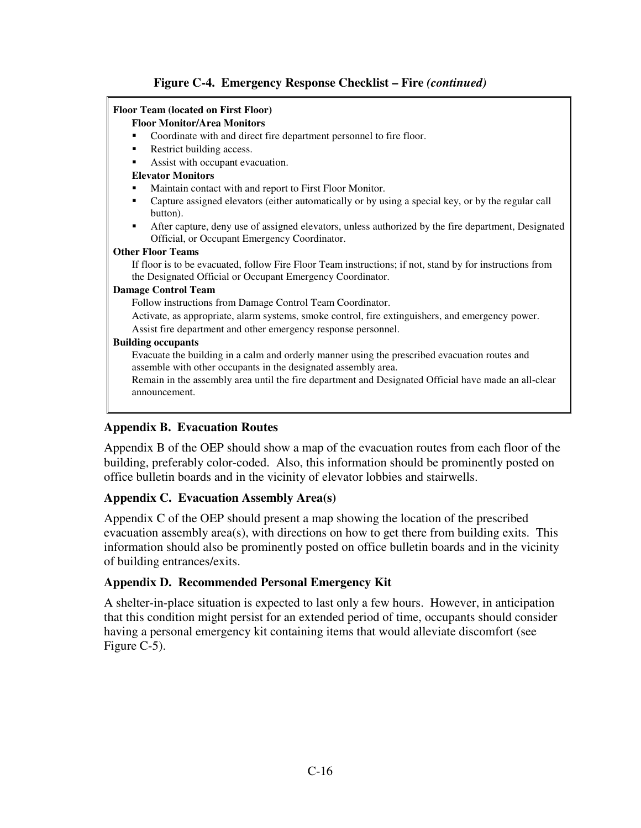## **Figure C-4. Emergency Response Checklist – Fire** *(continued)*

#### **Floor Team (located on First Floor)**

#### **Floor Monitor/Area Monitors**

- Coordinate with and direct fire department personnel to fire floor.
- Restrict building access.
- Assist with occupant evacuation.

#### **Elevator Monitors**

- Maintain contact with and report to First Floor Monitor.
- Capture assigned elevators (either automatically or by using a special key, or by the regular call button).
- After capture, deny use of assigned elevators, unless authorized by the fire department, Designated Official, or Occupant Emergency Coordinator.

#### **Other Floor Teams**

If floor is to be evacuated, follow Fire Floor Team instructions; if not, stand by for instructions from the Designated Official or Occupant Emergency Coordinator.

#### **Damage Control Team**

Follow instructions from Damage Control Team Coordinator.

Activate, as appropriate, alarm systems, smoke control, fire extinguishers, and emergency power. Assist fire department and other emergency response personnel.

#### **Building occupants**

Evacuate the building in a calm and orderly manner using the prescribed evacuation routes and assemble with other occupants in the designated assembly area.

Remain in the assembly area until the fire department and Designated Official have made an all-clear announcement.

#### **Appendix B. Evacuation Routes**

Appendix B of the OEP should show a map of the evacuation routes from each floor of the building, preferably color-coded. Also, this information should be prominently posted on office bulletin boards and in the vicinity of elevator lobbies and stairwells.

#### **Appendix C. Evacuation Assembly Area(s)**

Appendix C of the OEP should present a map showing the location of the prescribed evacuation assembly area(s), with directions on how to get there from building exits. This information should also be prominently posted on office bulletin boards and in the vicinity of building entrances/exits.

#### **Appendix D. Recommended Personal Emergency Kit**

A shelter-in-place situation is expected to last only a few hours. However, in anticipation that this condition might persist for an extended period of time, occupants should consider having a personal emergency kit containing items that would alleviate discomfort (see Figure C-5).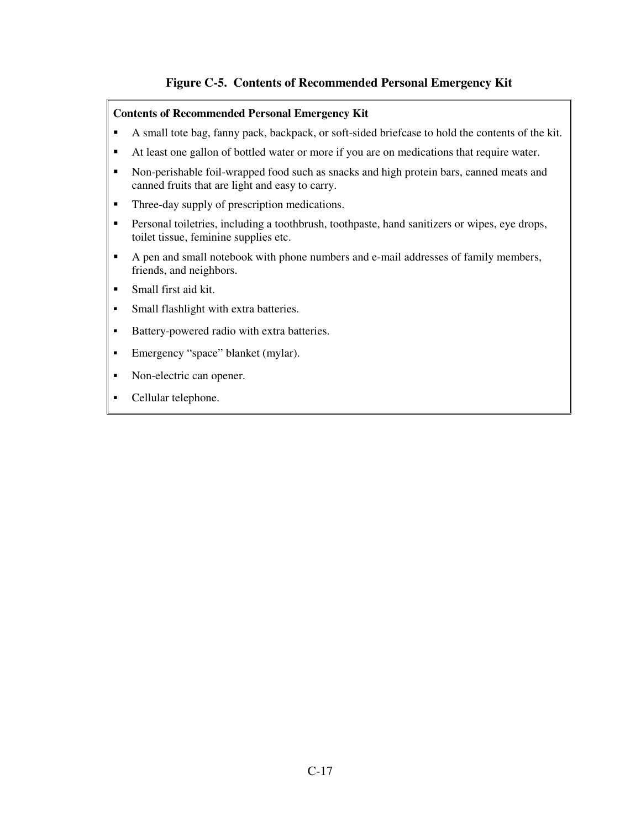## **Figure C-5. Contents of Recommended Personal Emergency Kit**

#### **Contents of Recommended Personal Emergency Kit**

- A small tote bag, fanny pack, backpack, or soft-sided briefcase to hold the contents of the kit.
- At least one gallon of bottled water or more if you are on medications that require water.
- Non-perishable foil-wrapped food such as snacks and high protein bars, canned meats and canned fruits that are light and easy to carry.
- **Three-day supply of prescription medications.**
- **Personal toiletries, including a toothbrush, toothpaste, hand sanitizers or wipes, eye drops,** toilet tissue, feminine supplies etc.
- A pen and small notebook with phone numbers and e-mail addresses of family members, friends, and neighbors.
- Small first aid kit.
- Small flashlight with extra batteries.
- Battery-powered radio with extra batteries.
- Emergency "space" blanket (mylar).
- Non-electric can opener.
- Cellular telephone.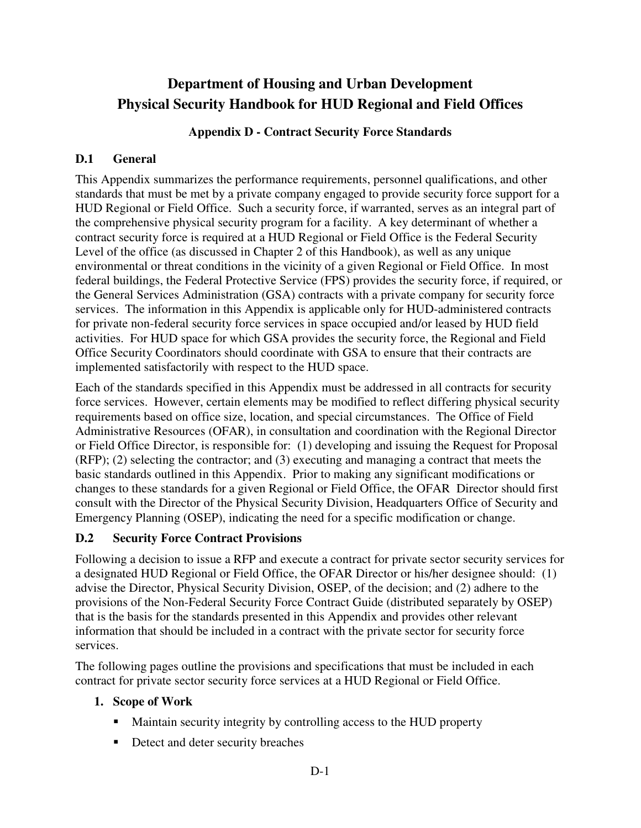## **Department of Housing and Urban Development Physical Security Handbook for HUD Regional and Field Offices**

## **Appendix D - Contract Security Force Standards**

## **D.1 General**

This Appendix summarizes the performance requirements, personnel qualifications, and other standards that must be met by a private company engaged to provide security force support for a HUD Regional or Field Office. Such a security force, if warranted, serves as an integral part of the comprehensive physical security program for a facility. A key determinant of whether a contract security force is required at a HUD Regional or Field Office is the Federal Security Level of the office (as discussed in Chapter 2 of this Handbook), as well as any unique environmental or threat conditions in the vicinity of a given Regional or Field Office. In most federal buildings, the Federal Protective Service (FPS) provides the security force, if required, or the General Services Administration (GSA) contracts with a private company for security force services. The information in this Appendix is applicable only for HUD-administered contracts for private non-federal security force services in space occupied and/or leased by HUD field activities. For HUD space for which GSA provides the security force, the Regional and Field Office Security Coordinators should coordinate with GSA to ensure that their contracts are implemented satisfactorily with respect to the HUD space.

Each of the standards specified in this Appendix must be addressed in all contracts for security force services. However, certain elements may be modified to reflect differing physical security requirements based on office size, location, and special circumstances. The Office of Field Administrative Resources (OFAR), in consultation and coordination with the Regional Director or Field Office Director, is responsible for: (1) developing and issuing the Request for Proposal (RFP); (2) selecting the contractor; and (3) executing and managing a contract that meets the basic standards outlined in this Appendix. Prior to making any significant modifications or changes to these standards for a given Regional or Field Office, the OFAR Director should first consult with the Director of the Physical Security Division, Headquarters Office of Security and Emergency Planning (OSEP), indicating the need for a specific modification or change.

## **D.2 Security Force Contract Provisions**

Following a decision to issue a RFP and execute a contract for private sector security services for a designated HUD Regional or Field Office, the OFAR Director or his/her designee should: (1) advise the Director, Physical Security Division, OSEP, of the decision; and (2) adhere to the provisions of the Non-Federal Security Force Contract Guide (distributed separately by OSEP) that is the basis for the standards presented in this Appendix and provides other relevant information that should be included in a contract with the private sector for security force services.

The following pages outline the provisions and specifications that must be included in each contract for private sector security force services at a HUD Regional or Field Office.

## **1. Scope of Work**

- Maintain security integrity by controlling access to the HUD property
- Detect and deter security breaches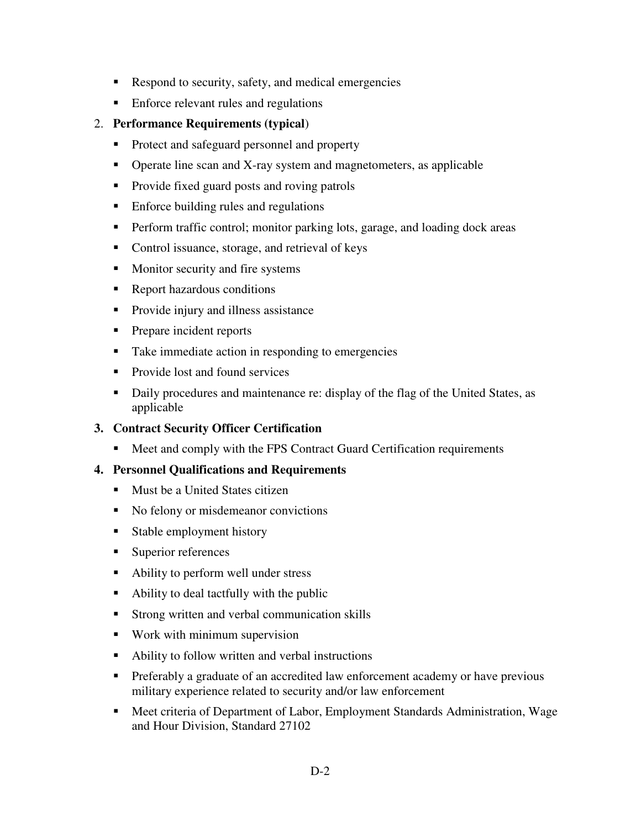- Respond to security, safety, and medical emergencies
- **Enforce relevant rules and regulations**

## 2. **Performance Requirements (typical**)

- Protect and safeguard personnel and property
- Operate line scan and X-ray system and magnetometers, as applicable
- Provide fixed guard posts and roving patrols
- **Enforce building rules and regulations**
- **Perform traffic control; monitor parking lots, garage, and loading dock areas**
- Control issuance, storage, and retrieval of keys
- Monitor security and fire systems
- Report hazardous conditions
- **Provide injury and illness assistance**
- **Prepare incident reports**
- Take immediate action in responding to emergencies
- Provide lost and found services
- Daily procedures and maintenance re: display of the flag of the United States, as applicable

## **3. Contract Security Officer Certification**

■ Meet and comply with the FPS Contract Guard Certification requirements

## **4. Personnel Qualifications and Requirements**

- **Must be a United States citizen**
- No felony or misdemeanor convictions
- **Stable employment history**
- **Superior references**
- Ability to perform well under stress
- Ability to deal tactfully with the public
- **Strong written and verbal communication skills**
- **Work with minimum supervision**
- Ability to follow written and verbal instructions
- **Preferably a graduate of an accredited law enforcement academy or have previous** military experience related to security and/or law enforcement
- Meet criteria of Department of Labor, Employment Standards Administration, Wage and Hour Division, Standard 27102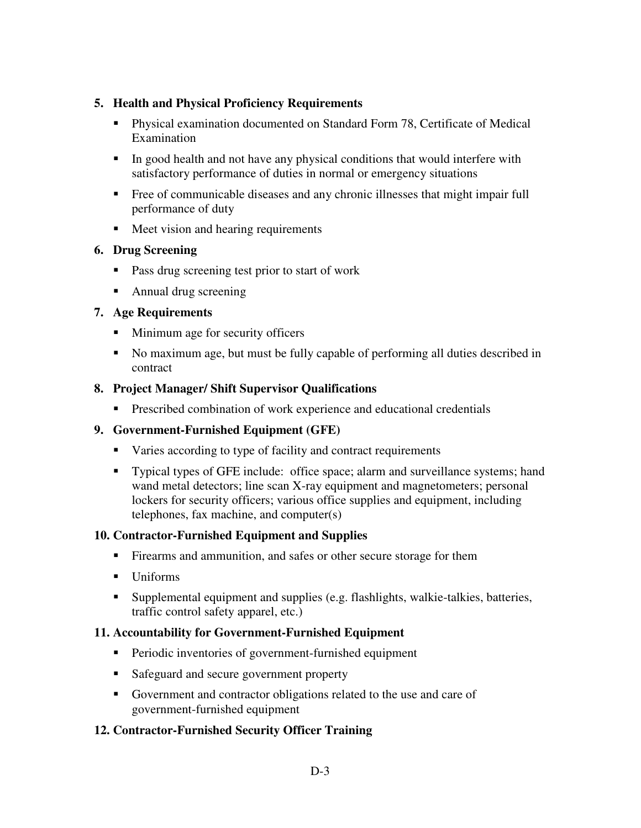## **5. Health and Physical Proficiency Requirements**

- Physical examination documented on Standard Form 78, Certificate of Medical Examination
- In good health and not have any physical conditions that would interfere with satisfactory performance of duties in normal or emergency situations
- Free of communicable diseases and any chronic illnesses that might impair full performance of duty
- **Meet vision and hearing requirements**

## **6. Drug Screening**

- **Pass drug screening test prior to start of work**
- Annual drug screening

## **7. Age Requirements**

- Minimum age for security officers
- No maximum age, but must be fully capable of performing all duties described in contract

## **8. Project Manager/ Shift Supervisor Qualifications**

**Prescribed combination of work experience and educational credentials** 

## **9. Government-Furnished Equipment (GFE)**

- Varies according to type of facility and contract requirements
- Typical types of GFE include: office space; alarm and surveillance systems; hand wand metal detectors; line scan X-ray equipment and magnetometers; personal lockers for security officers; various office supplies and equipment, including telephones, fax machine, and computer(s)

### **10. Contractor-Furnished Equipment and Supplies**

- Firearms and ammunition, and safes or other secure storage for them
- Uniforms
- Supplemental equipment and supplies (e.g. flashlights, walkie-talkies, batteries, traffic control safety apparel, etc.)

### **11. Accountability for Government-Furnished Equipment**

- **Periodic inventories of government-furnished equipment**
- Safeguard and secure government property
- Government and contractor obligations related to the use and care of government-furnished equipment

## **12. Contractor-Furnished Security Officer Training**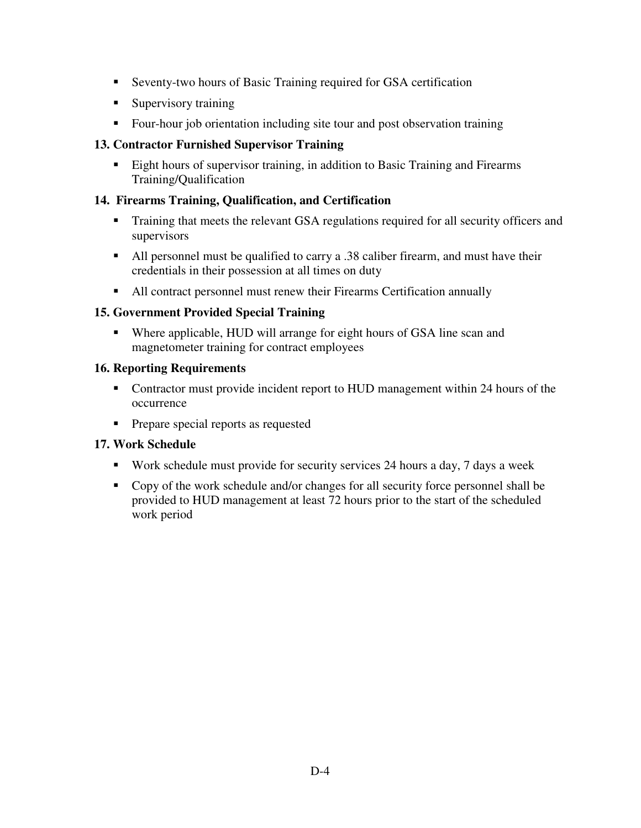- Seventy-two hours of Basic Training required for GSA certification
- **Supervisory training**
- Four-hour job orientation including site tour and post observation training

### **13. Contractor Furnished Supervisor Training**

**Eight hours of supervisor training, in addition to Basic Training and Firearms** Training/Qualification

## **14. Firearms Training, Qualification, and Certification**

- Training that meets the relevant GSA regulations required for all security officers and supervisors
- All personnel must be qualified to carry a .38 caliber firearm, and must have their credentials in their possession at all times on duty
- All contract personnel must renew their Firearms Certification annually

## **15. Government Provided Special Training**

 Where applicable, HUD will arrange for eight hours of GSA line scan and magnetometer training for contract employees

## **16. Reporting Requirements**

- Contractor must provide incident report to HUD management within 24 hours of the occurrence
- **Prepare special reports as requested**

### **17. Work Schedule**

- Work schedule must provide for security services 24 hours a day, 7 days a week
- Copy of the work schedule and/or changes for all security force personnel shall be provided to HUD management at least 72 hours prior to the start of the scheduled work period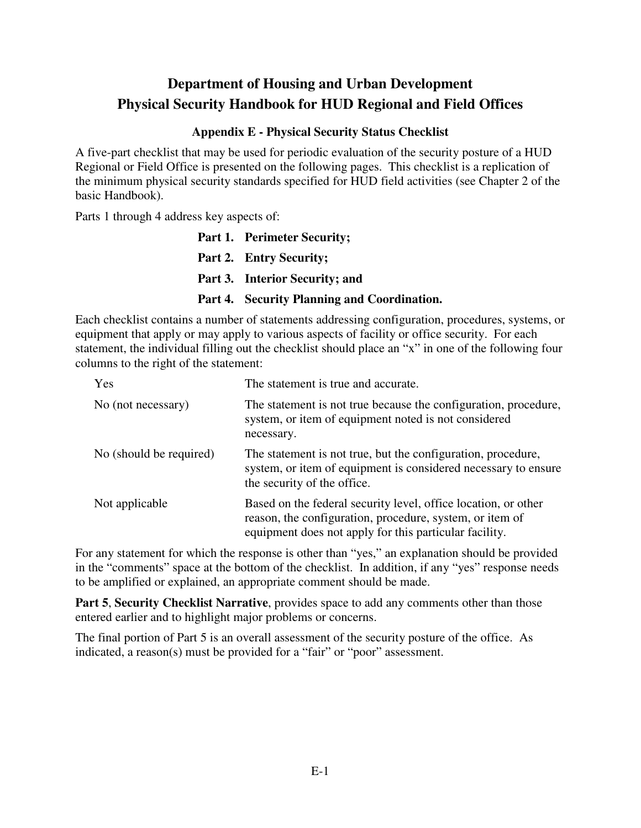## **Appendix E - Physical Security Status Checklist**

A five-part checklist that may be used for periodic evaluation of the security posture of a HUD Regional or Field Office is presented on the following pages. This checklist is a replication of the minimum physical security standards specified for HUD field activities (see Chapter 2 of the basic Handbook).

Parts 1 through 4 address key aspects of:

| Part 1. Perimeter Security;                 |
|---------------------------------------------|
| Part 2. Entry Security;                     |
| <b>Part 3. Interior Security; and</b>       |
| Part 4. Security Planning and Coordination. |

Each checklist contains a number of statements addressing configuration, procedures, systems, or equipment that apply or may apply to various aspects of facility or office security. For each statement, the individual filling out the checklist should place an "x" in one of the following four columns to the right of the statement:

| Yes                     | The statement is true and accurate.                                                                                                                                                  |
|-------------------------|--------------------------------------------------------------------------------------------------------------------------------------------------------------------------------------|
| No (not necessary)      | The statement is not true because the configuration, procedure,<br>system, or item of equipment noted is not considered<br>necessary.                                                |
| No (should be required) | The statement is not true, but the configuration, procedure,<br>system, or item of equipment is considered necessary to ensure<br>the security of the office.                        |
| Not applicable          | Based on the federal security level, office location, or other<br>reason, the configuration, procedure, system, or item of<br>equipment does not apply for this particular facility. |

For any statement for which the response is other than "yes," an explanation should be provided in the "comments" space at the bottom of the checklist. In addition, if any "yes" response needs to be amplified or explained, an appropriate comment should be made.

**Part 5**, **Security Checklist Narrative**, provides space to add any comments other than those entered earlier and to highlight major problems or concerns.

The final portion of Part 5 is an overall assessment of the security posture of the office. As indicated, a reason(s) must be provided for a "fair" or "poor" assessment.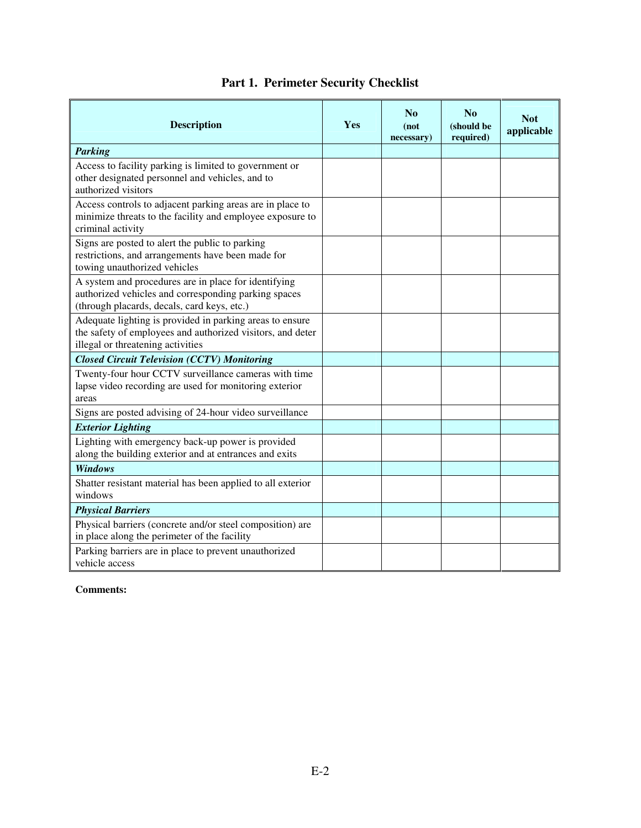| <b>Description</b>                                                                                                                                          | Yes | N <sub>0</sub><br>(not<br>necessary) | No<br>(should be<br>required) | <b>Not</b><br>applicable |
|-------------------------------------------------------------------------------------------------------------------------------------------------------------|-----|--------------------------------------|-------------------------------|--------------------------|
| <b>Parking</b>                                                                                                                                              |     |                                      |                               |                          |
| Access to facility parking is limited to government or<br>other designated personnel and vehicles, and to<br>authorized visitors                            |     |                                      |                               |                          |
| Access controls to adjacent parking areas are in place to<br>minimize threats to the facility and employee exposure to<br>criminal activity                 |     |                                      |                               |                          |
| Signs are posted to alert the public to parking<br>restrictions, and arrangements have been made for<br>towing unauthorized vehicles                        |     |                                      |                               |                          |
| A system and procedures are in place for identifying<br>authorized vehicles and corresponding parking spaces<br>(through placards, decals, card keys, etc.) |     |                                      |                               |                          |
| Adequate lighting is provided in parking areas to ensure<br>the safety of employees and authorized visitors, and deter<br>illegal or threatening activities |     |                                      |                               |                          |
| <b>Closed Circuit Television (CCTV) Monitoring</b>                                                                                                          |     |                                      |                               |                          |
| Twenty-four hour CCTV surveillance cameras with time<br>lapse video recording are used for monitoring exterior<br>areas                                     |     |                                      |                               |                          |
| Signs are posted advising of 24-hour video surveillance                                                                                                     |     |                                      |                               |                          |
| <b>Exterior Lighting</b>                                                                                                                                    |     |                                      |                               |                          |
| Lighting with emergency back-up power is provided<br>along the building exterior and at entrances and exits                                                 |     |                                      |                               |                          |
| <b>Windows</b>                                                                                                                                              |     |                                      |                               |                          |
| Shatter resistant material has been applied to all exterior<br>windows                                                                                      |     |                                      |                               |                          |
| <b>Physical Barriers</b>                                                                                                                                    |     |                                      |                               |                          |
| Physical barriers (concrete and/or steel composition) are<br>in place along the perimeter of the facility                                                   |     |                                      |                               |                          |
| Parking barriers are in place to prevent unauthorized<br>vehicle access                                                                                     |     |                                      |                               |                          |

## **Part 1. Perimeter Security Checklist**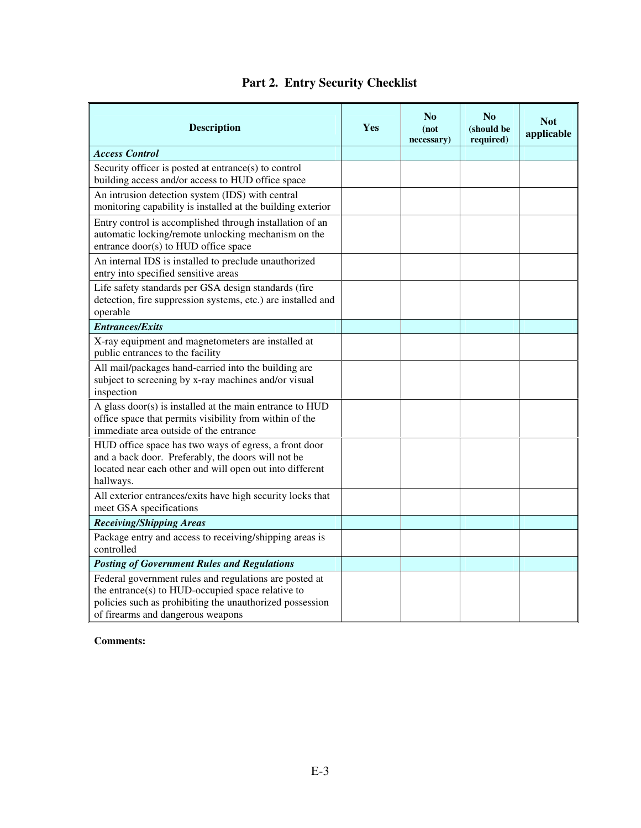| <b>Description</b>                                                                                                                                                                                           | Yes | No<br>(not<br>necessary) | No<br>(should be<br>required) | <b>Not</b><br>applicable |
|--------------------------------------------------------------------------------------------------------------------------------------------------------------------------------------------------------------|-----|--------------------------|-------------------------------|--------------------------|
| <b>Access Control</b>                                                                                                                                                                                        |     |                          |                               |                          |
| Security officer is posted at entrance(s) to control<br>building access and/or access to HUD office space                                                                                                    |     |                          |                               |                          |
| An intrusion detection system (IDS) with central<br>monitoring capability is installed at the building exterior                                                                                              |     |                          |                               |                          |
| Entry control is accomplished through installation of an<br>automatic locking/remote unlocking mechanism on the<br>entrance door(s) to HUD office space                                                      |     |                          |                               |                          |
| An internal IDS is installed to preclude unauthorized<br>entry into specified sensitive areas                                                                                                                |     |                          |                               |                          |
| Life safety standards per GSA design standards (fire<br>detection, fire suppression systems, etc.) are installed and<br>operable                                                                             |     |                          |                               |                          |
| <b>Entrances/Exits</b>                                                                                                                                                                                       |     |                          |                               |                          |
| X-ray equipment and magnetometers are installed at<br>public entrances to the facility                                                                                                                       |     |                          |                               |                          |
| All mail/packages hand-carried into the building are<br>subject to screening by x-ray machines and/or visual<br>inspection                                                                                   |     |                          |                               |                          |
| A glass door(s) is installed at the main entrance to HUD<br>office space that permits visibility from within of the<br>immediate area outside of the entrance                                                |     |                          |                               |                          |
| HUD office space has two ways of egress, a front door<br>and a back door. Preferably, the doors will not be<br>located near each other and will open out into different<br>hallways.                         |     |                          |                               |                          |
| All exterior entrances/exits have high security locks that<br>meet GSA specifications                                                                                                                        |     |                          |                               |                          |
| <b>Receiving/Shipping Areas</b>                                                                                                                                                                              |     |                          |                               |                          |
| Package entry and access to receiving/shipping areas is<br>controlled                                                                                                                                        |     |                          |                               |                          |
| <b>Posting of Government Rules and Regulations</b>                                                                                                                                                           |     |                          |                               |                          |
| Federal government rules and regulations are posted at<br>the entrance(s) to HUD-occupied space relative to<br>policies such as prohibiting the unauthorized possession<br>of firearms and dangerous weapons |     |                          |                               |                          |

## **Part 2. Entry Security Checklist**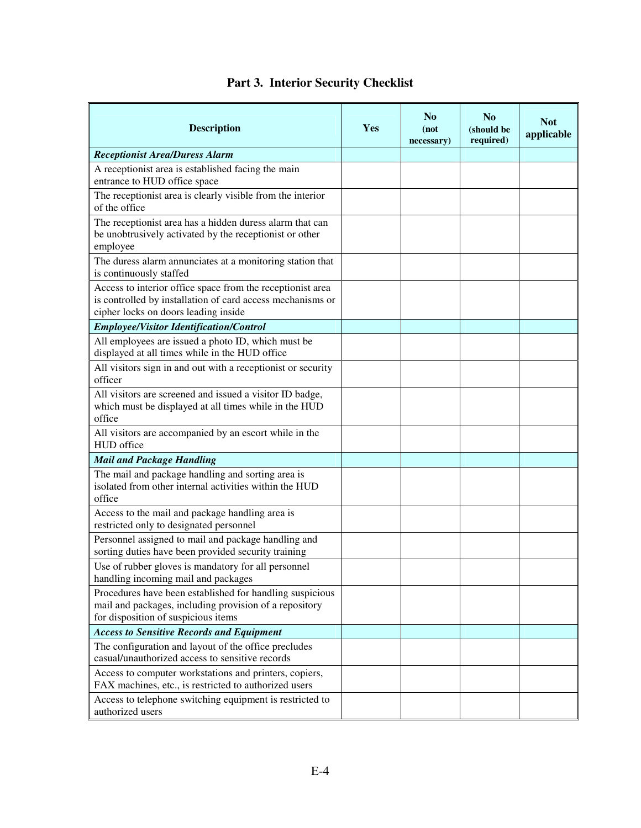| <b>Description</b>                                                                                                                                               | Yes | No<br>(not<br>necessary) | No<br>(should be<br>required) | <b>Not</b><br>applicable |
|------------------------------------------------------------------------------------------------------------------------------------------------------------------|-----|--------------------------|-------------------------------|--------------------------|
| <b>Receptionist Area/Duress Alarm</b>                                                                                                                            |     |                          |                               |                          |
| A receptionist area is established facing the main<br>entrance to HUD office space                                                                               |     |                          |                               |                          |
| The receptionist area is clearly visible from the interior<br>of the office                                                                                      |     |                          |                               |                          |
| The receptionist area has a hidden duress alarm that can<br>be unobtrusively activated by the receptionist or other<br>employee                                  |     |                          |                               |                          |
| The duress alarm annunciates at a monitoring station that<br>is continuously staffed                                                                             |     |                          |                               |                          |
| Access to interior office space from the receptionist area<br>is controlled by installation of card access mechanisms or<br>cipher locks on doors leading inside |     |                          |                               |                          |
| <b>Employee/Visitor Identification/Control</b>                                                                                                                   |     |                          |                               |                          |
| All employees are issued a photo ID, which must be<br>displayed at all times while in the HUD office                                                             |     |                          |                               |                          |
| All visitors sign in and out with a receptionist or security<br>officer                                                                                          |     |                          |                               |                          |
| All visitors are screened and issued a visitor ID badge,<br>which must be displayed at all times while in the HUD<br>office                                      |     |                          |                               |                          |
| All visitors are accompanied by an escort while in the<br>HUD office                                                                                             |     |                          |                               |                          |
| <b>Mail and Package Handling</b>                                                                                                                                 |     |                          |                               |                          |
| The mail and package handling and sorting area is<br>isolated from other internal activities within the HUD<br>office                                            |     |                          |                               |                          |
| Access to the mail and package handling area is<br>restricted only to designated personnel                                                                       |     |                          |                               |                          |
| Personnel assigned to mail and package handling and<br>sorting duties have been provided security training                                                       |     |                          |                               |                          |
| Use of rubber gloves is mandatory for all personnel<br>handling incoming mail and packages                                                                       |     |                          |                               |                          |
| Procedures have been established for handling suspicious<br>mail and packages, including provision of a repository<br>for disposition of suspicious items        |     |                          |                               |                          |
| <b>Access to Sensitive Records and Equipment</b>                                                                                                                 |     |                          |                               |                          |
| The configuration and layout of the office precludes<br>casual/unauthorized access to sensitive records                                                          |     |                          |                               |                          |
| Access to computer workstations and printers, copiers,<br>FAX machines, etc., is restricted to authorized users                                                  |     |                          |                               |                          |
| Access to telephone switching equipment is restricted to<br>authorized users                                                                                     |     |                          |                               |                          |

## **Part 3. Interior Security Checklist**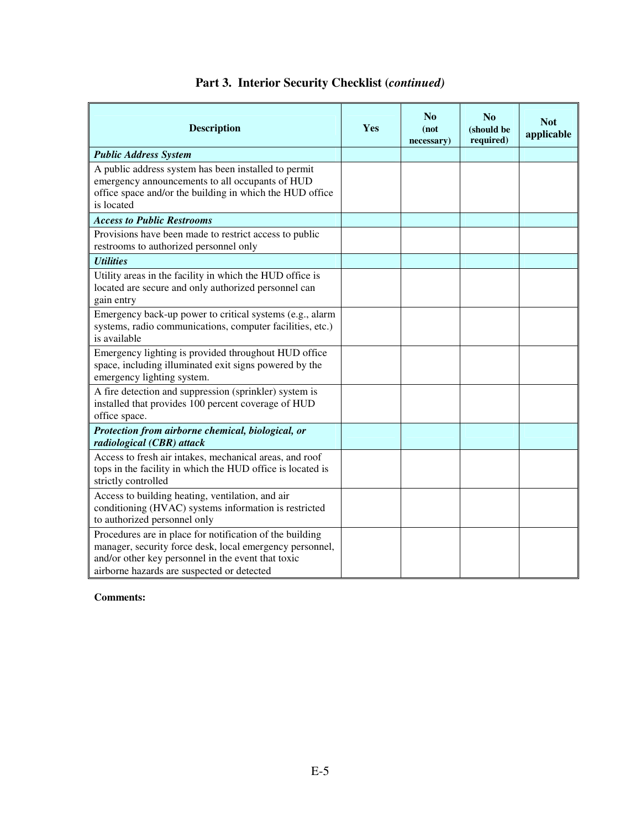| <b>Description</b>                                                                                                                                                                                                       | Yes | No<br>(not<br>necessary) | No<br>(should be<br>required) | <b>Not</b><br>applicable |
|--------------------------------------------------------------------------------------------------------------------------------------------------------------------------------------------------------------------------|-----|--------------------------|-------------------------------|--------------------------|
| <b>Public Address System</b>                                                                                                                                                                                             |     |                          |                               |                          |
| A public address system has been installed to permit<br>emergency announcements to all occupants of HUD<br>office space and/or the building in which the HUD office<br>is located                                        |     |                          |                               |                          |
| <b>Access to Public Restrooms</b>                                                                                                                                                                                        |     |                          |                               |                          |
| Provisions have been made to restrict access to public<br>restrooms to authorized personnel only                                                                                                                         |     |                          |                               |                          |
| <b>Utilities</b>                                                                                                                                                                                                         |     |                          |                               |                          |
| Utility areas in the facility in which the HUD office is<br>located are secure and only authorized personnel can<br>gain entry                                                                                           |     |                          |                               |                          |
| Emergency back-up power to critical systems (e.g., alarm<br>systems, radio communications, computer facilities, etc.)<br>is available                                                                                    |     |                          |                               |                          |
| Emergency lighting is provided throughout HUD office<br>space, including illuminated exit signs powered by the<br>emergency lighting system.                                                                             |     |                          |                               |                          |
| A fire detection and suppression (sprinkler) system is<br>installed that provides 100 percent coverage of HUD<br>office space.                                                                                           |     |                          |                               |                          |
| Protection from airborne chemical, biological, or<br>radiological (CBR) attack                                                                                                                                           |     |                          |                               |                          |
| Access to fresh air intakes, mechanical areas, and roof<br>tops in the facility in which the HUD office is located is<br>strictly controlled                                                                             |     |                          |                               |                          |
| Access to building heating, ventilation, and air<br>conditioning (HVAC) systems information is restricted<br>to authorized personnel only                                                                                |     |                          |                               |                          |
| Procedures are in place for notification of the building<br>manager, security force desk, local emergency personnel,<br>and/or other key personnel in the event that toxic<br>airborne hazards are suspected or detected |     |                          |                               |                          |

## **Part 3. Interior Security Checklist (***continued)*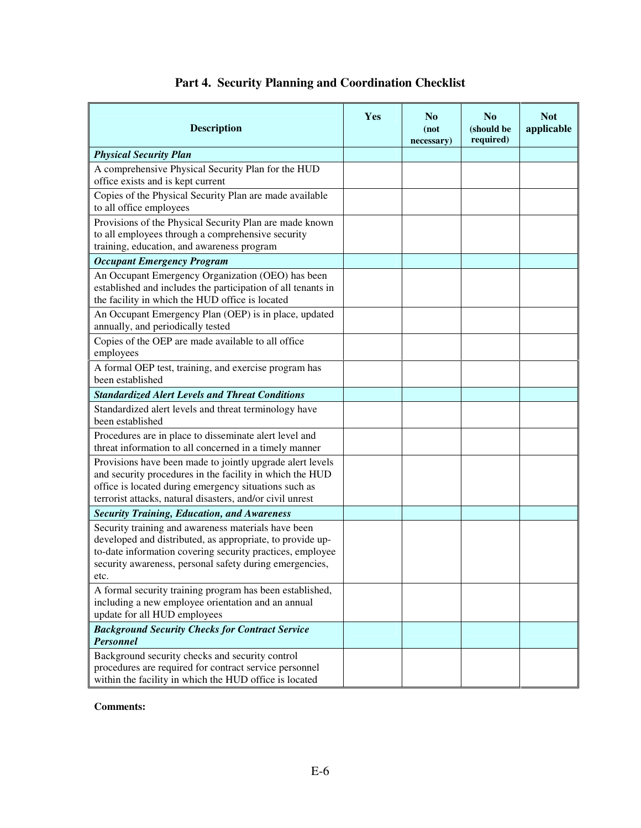| <b>Description</b>                                                                                                                                                                                                                               | <b>Yes</b> | No<br>(not<br>necessary) | No<br>(should be<br>required) | <b>Not</b><br>applicable |
|--------------------------------------------------------------------------------------------------------------------------------------------------------------------------------------------------------------------------------------------------|------------|--------------------------|-------------------------------|--------------------------|
| <b>Physical Security Plan</b>                                                                                                                                                                                                                    |            |                          |                               |                          |
| A comprehensive Physical Security Plan for the HUD<br>office exists and is kept current                                                                                                                                                          |            |                          |                               |                          |
| Copies of the Physical Security Plan are made available<br>to all office employees                                                                                                                                                               |            |                          |                               |                          |
| Provisions of the Physical Security Plan are made known<br>to all employees through a comprehensive security<br>training, education, and awareness program                                                                                       |            |                          |                               |                          |
| <b>Occupant Emergency Program</b>                                                                                                                                                                                                                |            |                          |                               |                          |
| An Occupant Emergency Organization (OEO) has been<br>established and includes the participation of all tenants in<br>the facility in which the HUD office is located                                                                             |            |                          |                               |                          |
| An Occupant Emergency Plan (OEP) is in place, updated<br>annually, and periodically tested                                                                                                                                                       |            |                          |                               |                          |
| Copies of the OEP are made available to all office<br>employees                                                                                                                                                                                  |            |                          |                               |                          |
| A formal OEP test, training, and exercise program has<br>been established                                                                                                                                                                        |            |                          |                               |                          |
| <b>Standardized Alert Levels and Threat Conditions</b>                                                                                                                                                                                           |            |                          |                               |                          |
| Standardized alert levels and threat terminology have<br>been established                                                                                                                                                                        |            |                          |                               |                          |
| Procedures are in place to disseminate alert level and<br>threat information to all concerned in a timely manner                                                                                                                                 |            |                          |                               |                          |
| Provisions have been made to jointly upgrade alert levels<br>and security procedures in the facility in which the HUD<br>office is located during emergency situations such as<br>terrorist attacks, natural disasters, and/or civil unrest      |            |                          |                               |                          |
| <b>Security Training, Education, and Awareness</b>                                                                                                                                                                                               |            |                          |                               |                          |
| Security training and awareness materials have been<br>developed and distributed, as appropriate, to provide up-<br>to-date information covering security practices, employee<br>security awareness, personal safety during emergencies,<br>etc. |            |                          |                               |                          |
| A formal security training program has been established,<br>including a new employee orientation and an annual<br>update for all HUD employees                                                                                                   |            |                          |                               |                          |
| <b>Background Security Checks for Contract Service</b><br><b>Personnel</b>                                                                                                                                                                       |            |                          |                               |                          |
| Background security checks and security control<br>procedures are required for contract service personnel<br>within the facility in which the HUD office is located                                                                              |            |                          |                               |                          |

## **Part 4. Security Planning and Coordination Checklist**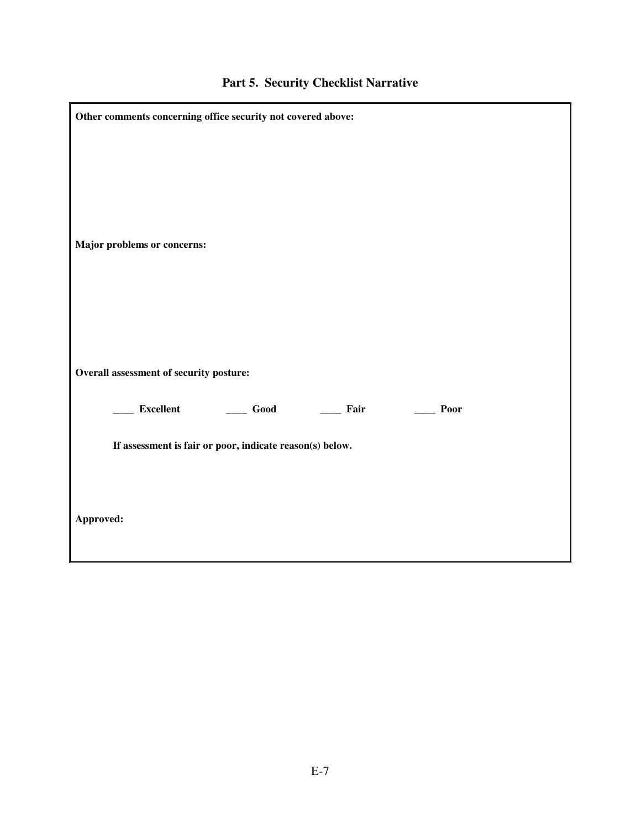| Other comments concerning office security not covered above:                                                                                                                                                                                                                                                                                                                                                                                                                                         |  |
|------------------------------------------------------------------------------------------------------------------------------------------------------------------------------------------------------------------------------------------------------------------------------------------------------------------------------------------------------------------------------------------------------------------------------------------------------------------------------------------------------|--|
| Major problems or concerns:                                                                                                                                                                                                                                                                                                                                                                                                                                                                          |  |
| Overall assessment of security posture:                                                                                                                                                                                                                                                                                                                                                                                                                                                              |  |
| ____ Excellent<br>$\qquad \qquad \textbf{Good}$<br>$\frac{1}{\sqrt{1-\frac{1}{2}}\sqrt{1-\frac{1}{2}}\sqrt{1-\frac{1}{2}}\sqrt{1-\frac{1}{2}}\sqrt{1-\frac{1}{2}}\sqrt{1-\frac{1}{2}}\sqrt{1-\frac{1}{2}}\sqrt{1-\frac{1}{2}}\sqrt{1-\frac{1}{2}}\sqrt{1-\frac{1}{2}}\sqrt{1-\frac{1}{2}}\sqrt{1-\frac{1}{2}}\sqrt{1-\frac{1}{2}}\sqrt{1-\frac{1}{2}}\sqrt{1-\frac{1}{2}}\sqrt{1-\frac{1}{2}}\sqrt{1-\frac{1}{2}}\sqrt{1-\frac{1}{2}}\sqrt{1-\frac{1}{2}}\sqrt{1-\frac$<br>$\rule{1em}{0.15mm}$ Poor |  |
| If assessment is fair or poor, indicate reason(s) below.                                                                                                                                                                                                                                                                                                                                                                                                                                             |  |
|                                                                                                                                                                                                                                                                                                                                                                                                                                                                                                      |  |
| Approved:                                                                                                                                                                                                                                                                                                                                                                                                                                                                                            |  |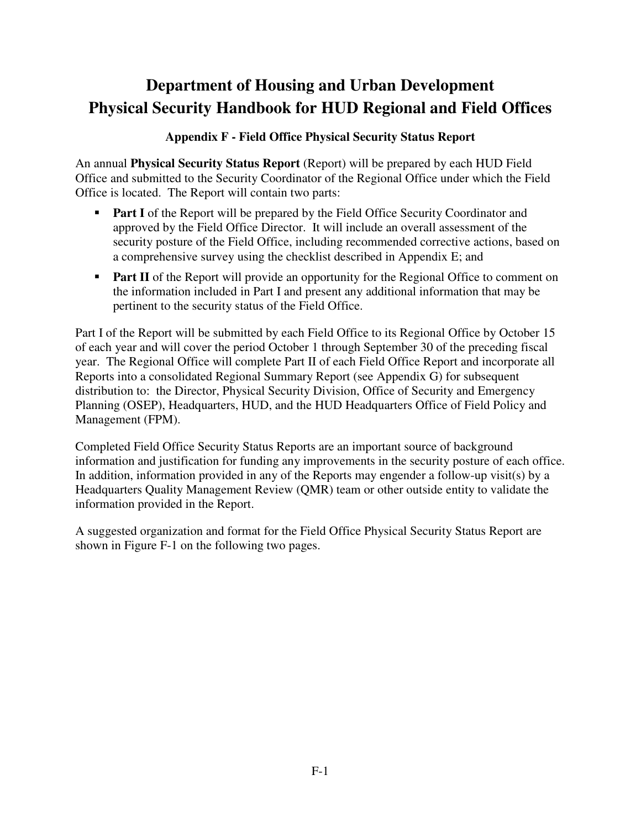## **Appendix F - Field Office Physical Security Status Report**

An annual **Physical Security Status Report** (Report) will be prepared by each HUD Field Office and submitted to the Security Coordinator of the Regional Office under which the Field Office is located. The Report will contain two parts:

- **Part I** of the Report will be prepared by the Field Office Security Coordinator and approved by the Field Office Director. It will include an overall assessment of the security posture of the Field Office, including recommended corrective actions, based on a comprehensive survey using the checklist described in Appendix E; and
- **Part II** of the Report will provide an opportunity for the Regional Office to comment on the information included in Part I and present any additional information that may be pertinent to the security status of the Field Office.

Part I of the Report will be submitted by each Field Office to its Regional Office by October 15 of each year and will cover the period October 1 through September 30 of the preceding fiscal year. The Regional Office will complete Part II of each Field Office Report and incorporate all Reports into a consolidated Regional Summary Report (see Appendix G) for subsequent distribution to: the Director, Physical Security Division, Office of Security and Emergency Planning (OSEP), Headquarters, HUD, and the HUD Headquarters Office of Field Policy and Management (FPM).

Completed Field Office Security Status Reports are an important source of background information and justification for funding any improvements in the security posture of each office. In addition, information provided in any of the Reports may engender a follow-up visit(s) by a Headquarters Quality Management Review (QMR) team or other outside entity to validate the information provided in the Report.

A suggested organization and format for the Field Office Physical Security Status Report are shown in Figure F-1 on the following two pages.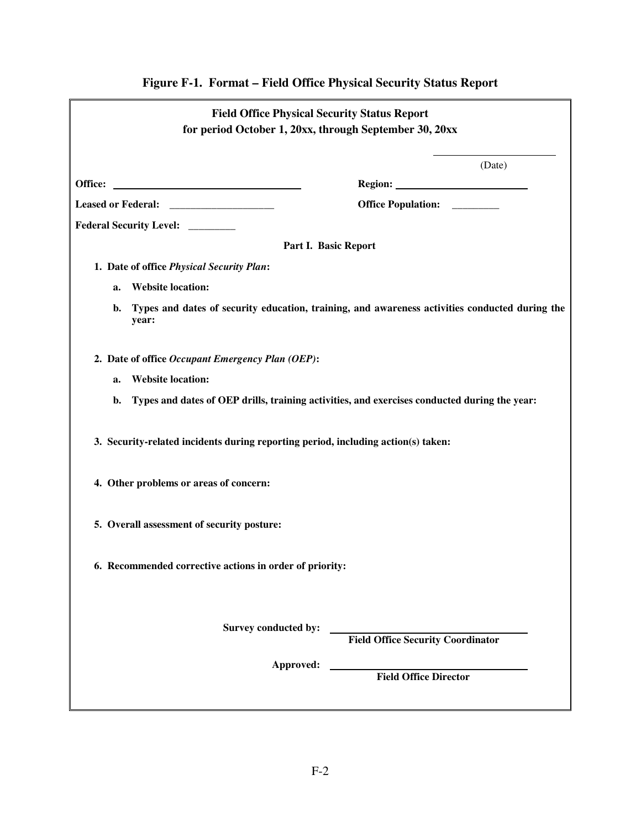|    | <b>Field Office Physical Security Status Report</b><br>for period October 1, 20xx, through September 30, 20xx |                                                                                                |  |  |  |
|----|---------------------------------------------------------------------------------------------------------------|------------------------------------------------------------------------------------------------|--|--|--|
|    |                                                                                                               | (Date)                                                                                         |  |  |  |
|    |                                                                                                               |                                                                                                |  |  |  |
|    |                                                                                                               | Office Population: ________                                                                    |  |  |  |
|    | Federal Security Level: _______                                                                               |                                                                                                |  |  |  |
|    | Part I. Basic Report                                                                                          |                                                                                                |  |  |  |
|    | 1. Date of office Physical Security Plan:                                                                     |                                                                                                |  |  |  |
| a. | <b>Website location:</b>                                                                                      |                                                                                                |  |  |  |
| b. | year:                                                                                                         | Types and dates of security education, training, and awareness activities conducted during the |  |  |  |
|    | 2. Date of office Occupant Emergency Plan (OEP):                                                              |                                                                                                |  |  |  |
| a. | <b>Website location:</b>                                                                                      |                                                                                                |  |  |  |
| b. | Types and dates of OEP drills, training activities, and exercises conducted during the year:                  |                                                                                                |  |  |  |
|    | 3. Security-related incidents during reporting period, including action(s) taken:                             |                                                                                                |  |  |  |
|    | 4. Other problems or areas of concern:                                                                        |                                                                                                |  |  |  |
|    | 5. Overall assessment of security posture:                                                                    |                                                                                                |  |  |  |
|    | 6. Recommended corrective actions in order of priority:                                                       |                                                                                                |  |  |  |
|    | Survey conducted by:                                                                                          | <b>Field Office Security Coordinator</b>                                                       |  |  |  |
|    | Approved:                                                                                                     | <b>Field Office Director</b>                                                                   |  |  |  |

# **Figure F-1. Format – Field Office Physical Security Status Report**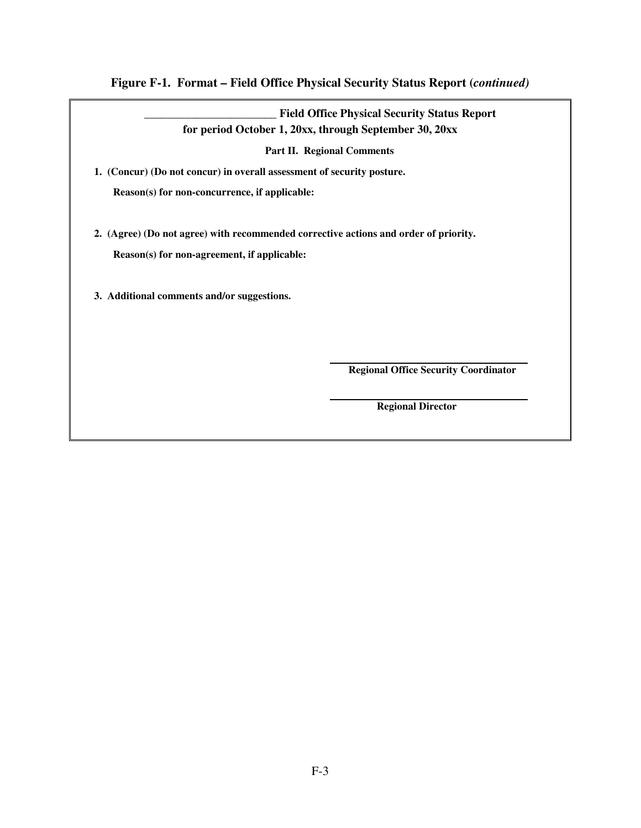### **Figure F-1. Format – Field Office Physical Security Status Report (***continued)*

**\_\_\_\_\_\_\_\_\_\_\_\_\_\_\_\_\_\_\_\_\_\_\_ Field Office Physical Security Status Report for period October 1, 20xx, through September 30, 20xx** 

**Part II. Regional Comments** 

**1. (Concur) (Do not concur) in overall assessment of security posture.** 

**Reason(s) for non-concurrence, if applicable:** 

**2. (Agree) (Do not agree) with recommended corrective actions and order of priority.** 

**Reason(s) for non-agreement, if applicable:** 

**3. Additional comments and/or suggestions.** 

 **Regional Office Security Coordinator** 

 **Regional Director**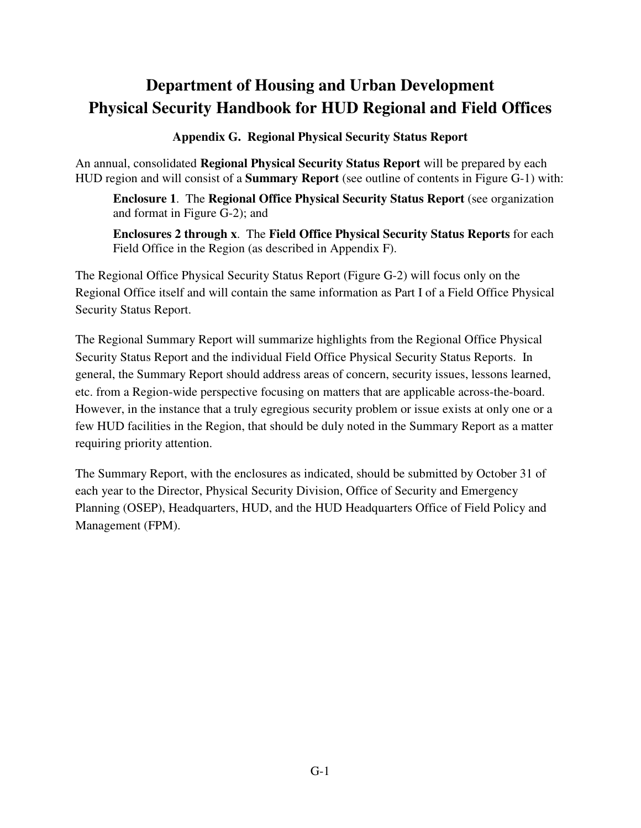**Appendix G. Regional Physical Security Status Report** 

An annual, consolidated **Regional Physical Security Status Report** will be prepared by each HUD region and will consist of a **Summary Report** (see outline of contents in Figure G-1) with:

**Enclosure 1**. The **Regional Office Physical Security Status Report** (see organization and format in Figure G-2); and

**Enclosures 2 through x**. The **Field Office Physical Security Status Reports** for each Field Office in the Region (as described in Appendix F).

The Regional Office Physical Security Status Report (Figure G-2) will focus only on the Regional Office itself and will contain the same information as Part I of a Field Office Physical Security Status Report.

The Regional Summary Report will summarize highlights from the Regional Office Physical Security Status Report and the individual Field Office Physical Security Status Reports. In general, the Summary Report should address areas of concern, security issues, lessons learned, etc. from a Region-wide perspective focusing on matters that are applicable across-the-board. However, in the instance that a truly egregious security problem or issue exists at only one or a few HUD facilities in the Region, that should be duly noted in the Summary Report as a matter requiring priority attention.

The Summary Report, with the enclosures as indicated, should be submitted by October 31 of each year to the Director, Physical Security Division, Office of Security and Emergency Planning (OSEP), Headquarters, HUD, and the HUD Headquarters Office of Field Policy and Management (FPM).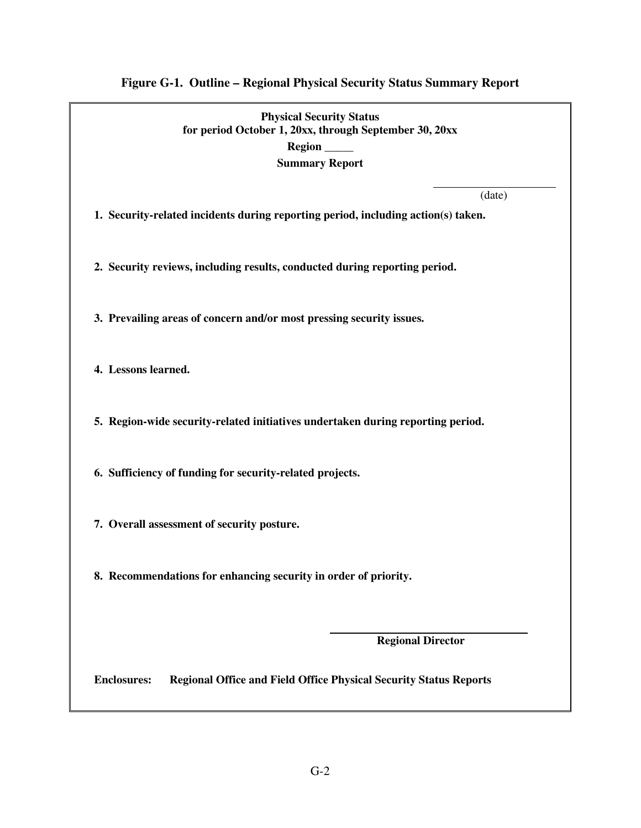# **Figure G-1. Outline – Regional Physical Security Status Summary Report**

| <b>Physical Security Status</b><br>for period October 1, 20xx, through September 30, 20xx<br>Region ____<br><b>Summary Report</b> |  |  |  |
|-----------------------------------------------------------------------------------------------------------------------------------|--|--|--|
| (date)<br>1. Security-related incidents during reporting period, including action(s) taken.                                       |  |  |  |
| 2. Security reviews, including results, conducted during reporting period.                                                        |  |  |  |
| 3. Prevailing areas of concern and/or most pressing security issues.                                                              |  |  |  |
| 4. Lessons learned.                                                                                                               |  |  |  |
| 5. Region-wide security-related initiatives undertaken during reporting period.                                                   |  |  |  |
| 6. Sufficiency of funding for security-related projects.                                                                          |  |  |  |
| 7. Overall assessment of security posture.                                                                                        |  |  |  |
| 8. Recommendations for enhancing security in order of priority.                                                                   |  |  |  |
| <b>Regional Director</b>                                                                                                          |  |  |  |
| <b>Enclosures:</b><br><b>Regional Office and Field Office Physical Security Status Reports</b>                                    |  |  |  |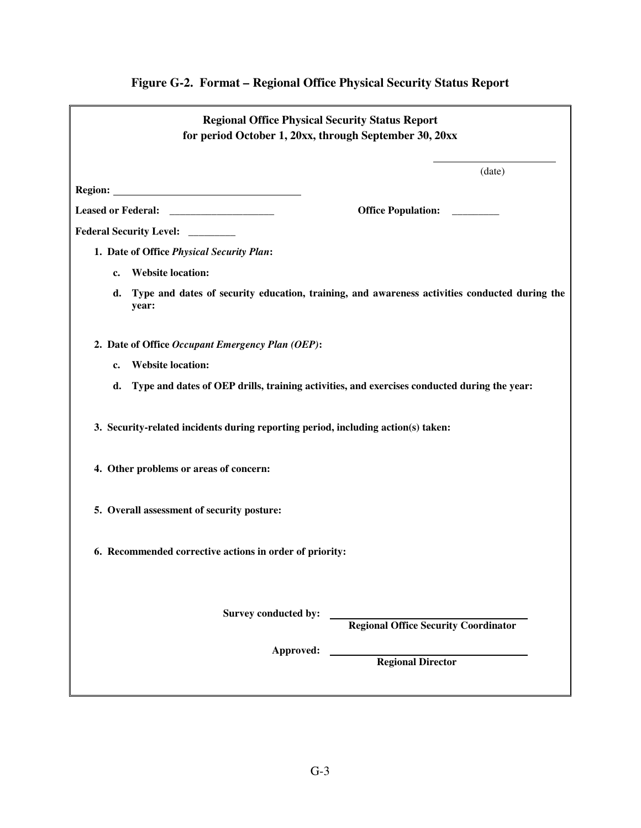| <b>Regional Office Physical Security Status Report</b><br>for period October 1, 20xx, through September 30, 20xx |                                                                                               |  |  |  |
|------------------------------------------------------------------------------------------------------------------|-----------------------------------------------------------------------------------------------|--|--|--|
|                                                                                                                  | (date)                                                                                        |  |  |  |
|                                                                                                                  |                                                                                               |  |  |  |
|                                                                                                                  | Office Population: __________                                                                 |  |  |  |
| Federal Security Level: ________                                                                                 |                                                                                               |  |  |  |
| 1. Date of Office Physical Security Plan:                                                                        |                                                                                               |  |  |  |
| <b>Website location:</b><br>c.                                                                                   |                                                                                               |  |  |  |
| d.<br>year:                                                                                                      | Type and dates of security education, training, and awareness activities conducted during the |  |  |  |
| 2. Date of Office Occupant Emergency Plan (OEP):                                                                 |                                                                                               |  |  |  |
| <b>Website location:</b><br>c.                                                                                   |                                                                                               |  |  |  |
| Type and dates of OEP drills, training activities, and exercises conducted during the year:<br>d.                |                                                                                               |  |  |  |
| 3. Security-related incidents during reporting period, including action(s) taken:                                |                                                                                               |  |  |  |
| 4. Other problems or areas of concern:                                                                           |                                                                                               |  |  |  |
| 5. Overall assessment of security posture:                                                                       |                                                                                               |  |  |  |
| 6. Recommended corrective actions in order of priority:                                                          |                                                                                               |  |  |  |
| <b>Survey conducted by:</b>                                                                                      |                                                                                               |  |  |  |
|                                                                                                                  | <b>Regional Office Security Coordinator</b>                                                   |  |  |  |
| Approved:                                                                                                        | <b>Example 3 Regional Director</b>                                                            |  |  |  |
|                                                                                                                  |                                                                                               |  |  |  |

# **Figure G-2. Format – Regional Office Physical Security Status Report**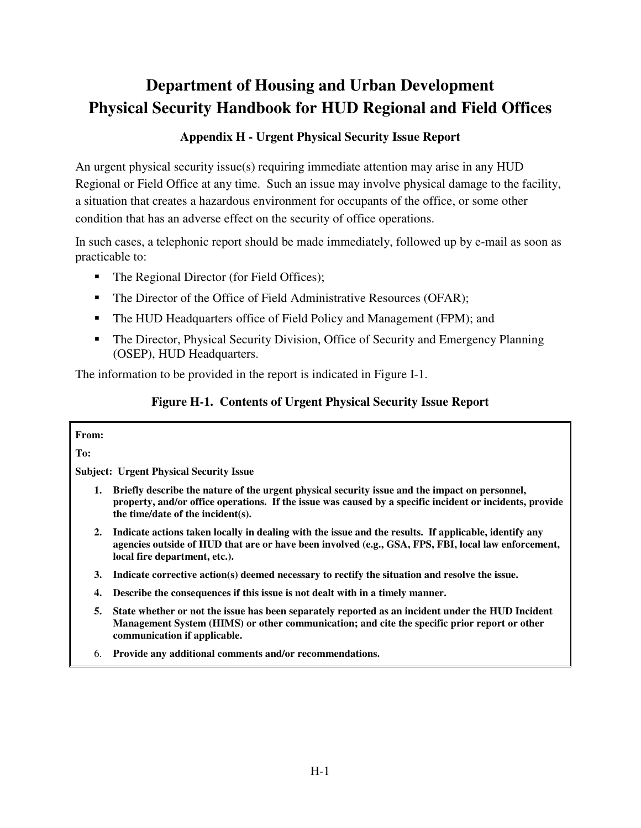## **Appendix H - Urgent Physical Security Issue Report**

An urgent physical security issue(s) requiring immediate attention may arise in any HUD Regional or Field Office at any time. Such an issue may involve physical damage to the facility, a situation that creates a hazardous environment for occupants of the office, or some other condition that has an adverse effect on the security of office operations.

In such cases, a telephonic report should be made immediately, followed up by e-mail as soon as practicable to:

- The Regional Director (for Field Offices);
- The Director of the Office of Field Administrative Resources (OFAR);
- The HUD Headquarters office of Field Policy and Management (FPM); and
- The Director, Physical Security Division, Office of Security and Emergency Planning (OSEP), HUD Headquarters.

The information to be provided in the report is indicated in Figure I-1.

### **Figure H-1. Contents of Urgent Physical Security Issue Report**

#### **From:**

**To:** 

**Subject: Urgent Physical Security Issue** 

- **1. Briefly describe the nature of the urgent physical security issue and the impact on personnel, property, and/or office operations. If the issue was caused by a specific incident or incidents, provide the time/date of the incident(s).**
- **2. Indicate actions taken locally in dealing with the issue and the results. If applicable, identify any agencies outside of HUD that are or have been involved (e.g., GSA, FPS, FBI, local law enforcement, local fire department, etc.).**
- **3. Indicate corrective action(s) deemed necessary to rectify the situation and resolve the issue.**
- **4. Describe the consequences if this issue is not dealt with in a timely manner.**
- **5. State whether or not the issue has been separately reported as an incident under the HUD Incident Management System (HIMS) or other communication; and cite the specific prior report or other communication if applicable.**
- 6. **Provide any additional comments and/or recommendations.**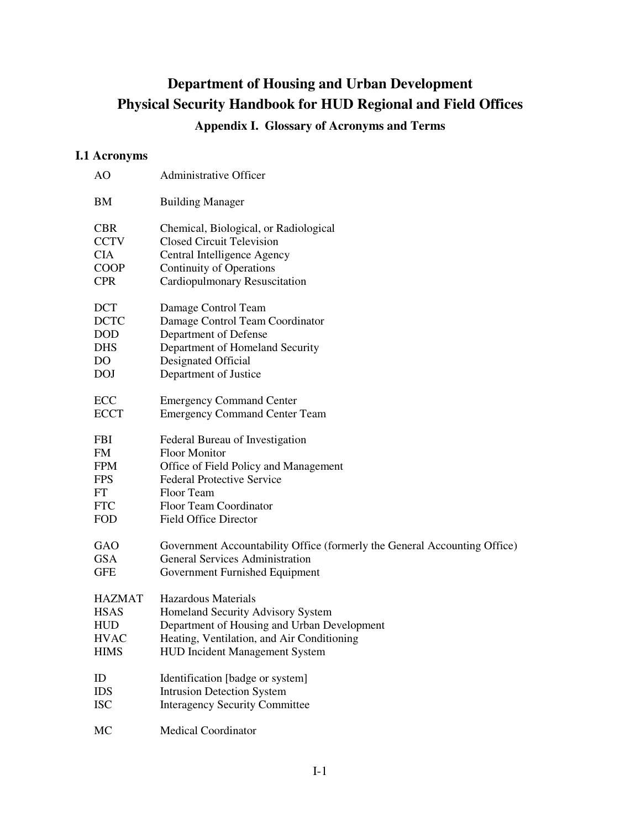## **Appendix I. Glossary of Acronyms and Terms**

## **I.1 Acronyms**

| AO            | Administrative Officer                                                    |
|---------------|---------------------------------------------------------------------------|
| BM            | <b>Building Manager</b>                                                   |
| <b>CBR</b>    | Chemical, Biological, or Radiological                                     |
| <b>CCTV</b>   | <b>Closed Circuit Television</b>                                          |
| <b>CIA</b>    | Central Intelligence Agency                                               |
| <b>COOP</b>   | <b>Continuity of Operations</b>                                           |
| <b>CPR</b>    | Cardiopulmonary Resuscitation                                             |
| <b>DCT</b>    | Damage Control Team                                                       |
| <b>DCTC</b>   | Damage Control Team Coordinator                                           |
| <b>DOD</b>    | Department of Defense                                                     |
| <b>DHS</b>    | Department of Homeland Security                                           |
| DO.           | Designated Official                                                       |
| <b>DOJ</b>    | Department of Justice                                                     |
| ECC           | <b>Emergency Command Center</b>                                           |
| <b>ECCT</b>   | <b>Emergency Command Center Team</b>                                      |
| <b>FBI</b>    | Federal Bureau of Investigation                                           |
| FM            | <b>Floor Monitor</b>                                                      |
| <b>FPM</b>    | Office of Field Policy and Management                                     |
| <b>FPS</b>    | <b>Federal Protective Service</b>                                         |
| FT            | Floor Team                                                                |
| <b>FTC</b>    | Floor Team Coordinator                                                    |
| <b>FOD</b>    | <b>Field Office Director</b>                                              |
| GAO           | Government Accountability Office (formerly the General Accounting Office) |
| <b>GSA</b>    | <b>General Services Administration</b>                                    |
| <b>GFE</b>    | Government Furnished Equipment                                            |
| <b>HAZMAT</b> | Hazardous Materials                                                       |
| <b>HSAS</b>   | Homeland Security Advisory System                                         |
| <b>HUD</b>    | Department of Housing and Urban Development                               |
| <b>HVAC</b>   | Heating, Ventilation, and Air Conditioning                                |
| <b>HIMS</b>   | <b>HUD Incident Management System</b>                                     |
| ID            | Identification [badge or system]                                          |
| <b>IDS</b>    | <b>Intrusion Detection System</b>                                         |
| <b>ISC</b>    | <b>Interagency Security Committee</b>                                     |
| MC            | <b>Medical Coordinator</b>                                                |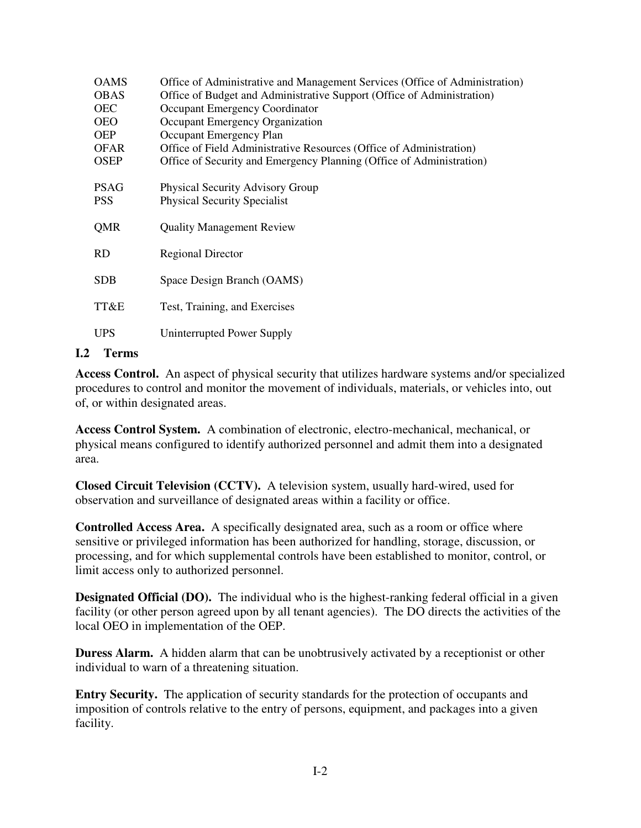| <b>OAMS</b> | Office of Administrative and Management Services (Office of Administration) |
|-------------|-----------------------------------------------------------------------------|
| <b>OBAS</b> | Office of Budget and Administrative Support (Office of Administration)      |
| <b>OEC</b>  | Occupant Emergency Coordinator                                              |
| <b>OEO</b>  | Occupant Emergency Organization                                             |
| <b>OEP</b>  | Occupant Emergency Plan                                                     |
| <b>OFAR</b> | Office of Field Administrative Resources (Office of Administration)         |
| <b>OSEP</b> | Office of Security and Emergency Planning (Office of Administration)        |
| <b>PSAG</b> | <b>Physical Security Advisory Group</b>                                     |
| <b>PSS</b>  | <b>Physical Security Specialist</b>                                         |
| QMR         | <b>Quality Management Review</b>                                            |
| <b>RD</b>   | <b>Regional Director</b>                                                    |
| <b>SDB</b>  | Space Design Branch (OAMS)                                                  |
| TT&E        | Test, Training, and Exercises                                               |
| <b>UPS</b>  | Uninterrupted Power Supply                                                  |

### **I.2 Terms**

**Access Control.** An aspect of physical security that utilizes hardware systems and/or specialized procedures to control and monitor the movement of individuals, materials, or vehicles into, out of, or within designated areas.

**Access Control System.** A combination of electronic, electro-mechanical, mechanical, or physical means configured to identify authorized personnel and admit them into a designated area.

**Closed Circuit Television (CCTV).** A television system, usually hard-wired, used for observation and surveillance of designated areas within a facility or office.

**Controlled Access Area.** A specifically designated area, such as a room or office where sensitive or privileged information has been authorized for handling, storage, discussion, or processing, and for which supplemental controls have been established to monitor, control, or limit access only to authorized personnel.

**Designated Official (DO).** The individual who is the highest-ranking federal official in a given facility (or other person agreed upon by all tenant agencies). The DO directs the activities of the local OEO in implementation of the OEP.

**Duress Alarm.** A hidden alarm that can be unobtrusively activated by a receptionist or other individual to warn of a threatening situation.

**Entry Security.** The application of security standards for the protection of occupants and imposition of controls relative to the entry of persons, equipment, and packages into a given facility.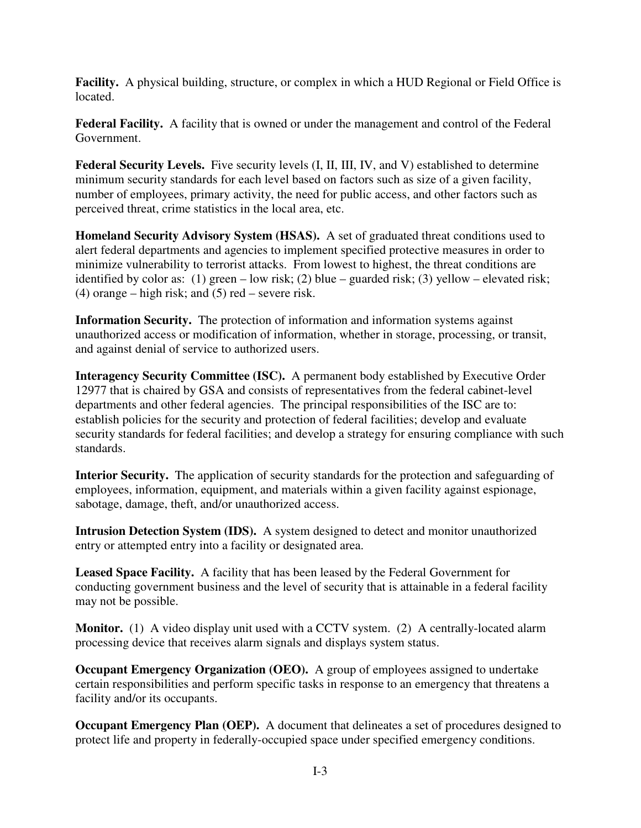**Facility.** A physical building, structure, or complex in which a HUD Regional or Field Office is located.

**Federal Facility.** A facility that is owned or under the management and control of the Federal Government.

Federal Security Levels. Five security levels  $(I, II, III, IV, and V)$  established to determine minimum security standards for each level based on factors such as size of a given facility, number of employees, primary activity, the need for public access, and other factors such as perceived threat, crime statistics in the local area, etc.

**Homeland Security Advisory System (HSAS).** A set of graduated threat conditions used to alert federal departments and agencies to implement specified protective measures in order to minimize vulnerability to terrorist attacks. From lowest to highest, the threat conditions are identified by color as: (1) green – low risk; (2) blue – guarded risk; (3) yellow – elevated risk; (4) orange – high risk; and  $(5)$  red – severe risk.

**Information Security.** The protection of information and information systems against unauthorized access or modification of information, whether in storage, processing, or transit, and against denial of service to authorized users.

**Interagency Security Committee (ISC).** A permanent body established by Executive Order 12977 that is chaired by GSA and consists of representatives from the federal cabinet-level departments and other federal agencies. The principal responsibilities of the ISC are to: establish policies for the security and protection of federal facilities; develop and evaluate security standards for federal facilities; and develop a strategy for ensuring compliance with such standards.

**Interior Security.** The application of security standards for the protection and safeguarding of employees, information, equipment, and materials within a given facility against espionage, sabotage, damage, theft, and/or unauthorized access.

**Intrusion Detection System (IDS).** A system designed to detect and monitor unauthorized entry or attempted entry into a facility or designated area.

**Leased Space Facility.** A facility that has been leased by the Federal Government for conducting government business and the level of security that is attainable in a federal facility may not be possible.

**Monitor.** (1) A video display unit used with a CCTV system. (2) A centrally-located alarm processing device that receives alarm signals and displays system status.

**Occupant Emergency Organization (OEO).** A group of employees assigned to undertake certain responsibilities and perform specific tasks in response to an emergency that threatens a facility and/or its occupants.

**Occupant Emergency Plan (OEP).** A document that delineates a set of procedures designed to protect life and property in federally-occupied space under specified emergency conditions.